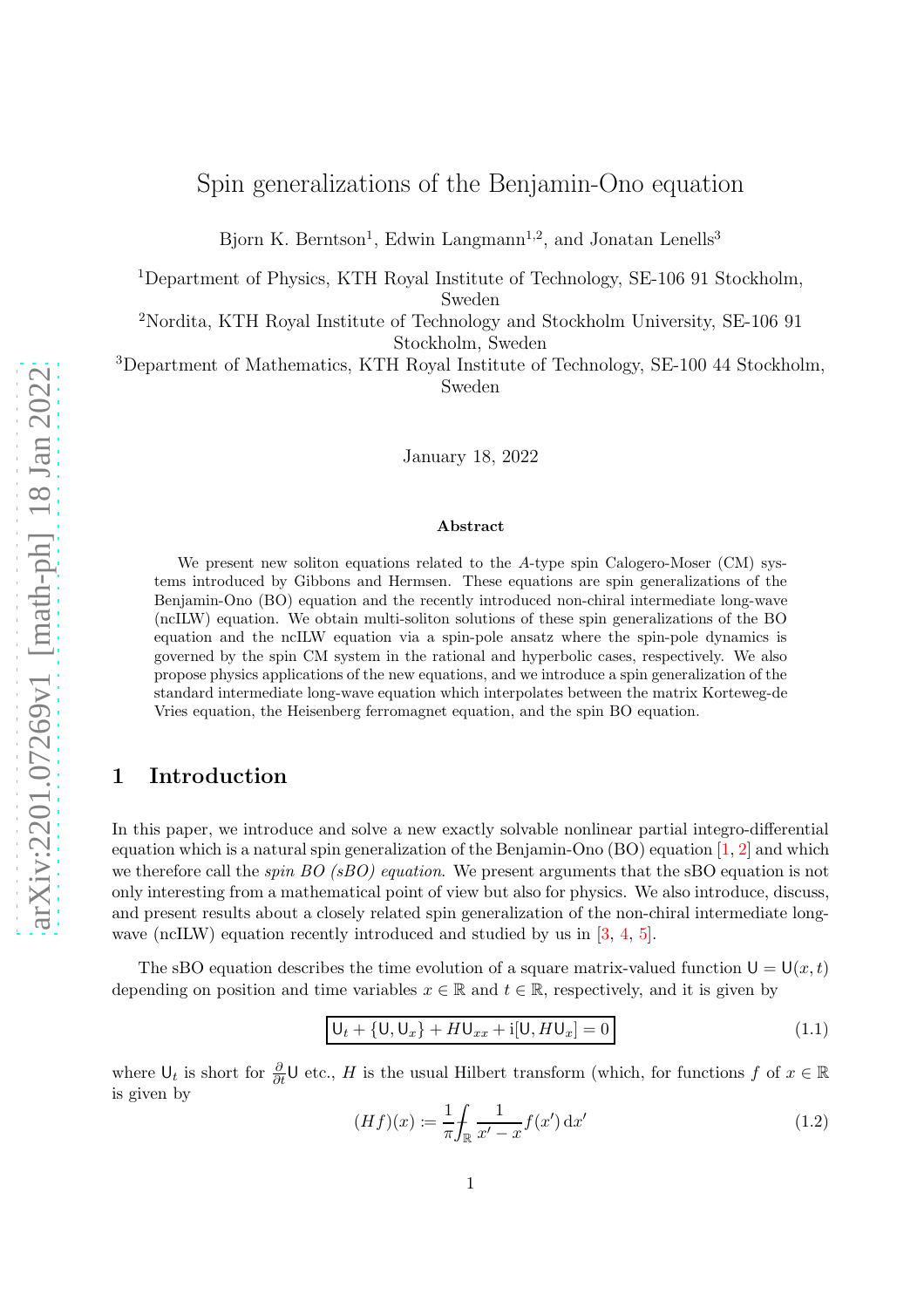# Spin generalizations of the Benjamin-Ono equation

Bjorn K. Berntson<sup>1</sup>, Edwin Langmann<sup>1,2</sup>, and Jonatan Lenells<sup>3</sup>

<sup>1</sup>Department of Physics, KTH Royal Institute of Technology, SE-106 91 Stockholm,

Sweden

<sup>2</sup>Nordita, KTH Royal Institute of Technology and Stockholm University, SE-106 91 Stockholm, Sweden

<sup>3</sup>Department of Mathematics, KTH Royal Institute of Technology, SE-100 44 Stockholm, Sweden

January 18, 2022

#### Abstract

We present new soliton equations related to the A-type spin Calogero-Moser (CM) systems introduced by Gibbons and Hermsen. These equations are spin generalizations of the Benjamin-Ono (BO) equation and the recently introduced non-chiral intermediate long-wave (ncILW) equation. We obtain multi-soliton solutions of these spin generalizations of the BO equation and the ncILW equation via a spin-pole ansatz where the spin-pole dynamics is governed by the spin CM system in the rational and hyperbolic cases, respectively. We also propose physics applications of the new equations, and we introduce a spin generalization of the standard intermediate long-wave equation which interpolates between the matrix Korteweg-de Vries equation, the Heisenberg ferromagnet equation, and the spin BO equation.

## 1 Introduction

In this paper, we introduce and solve a new exactly solvable nonlinear partial integro-differential equation which is a natural spin generalization of the Benjamin-Ono (BO) equation [\[1,](#page-31-0) [2\]](#page-31-1) and which we therefore call the *spin BO (sBO) equation*. We present arguments that the sBO equation is not only interesting from a mathematical point of view but also for physics. We also introduce, discuss, and present results about a closely related spin generalization of the non-chiral intermediate long-wave (ncILW) equation recently introduced and studied by us in [\[3,](#page-31-2) [4,](#page-31-3) [5\]](#page-31-4).

The sBO equation describes the time evolution of a square matrix-valued function  $U = U(x, t)$ depending on position and time variables  $x \in \mathbb{R}$  and  $t \in \mathbb{R}$ , respectively, and it is given by

<span id="page-0-0"></span>
$$
U_t + \{U, U_x\} + HU_{xx} + i[U, HU_x] = 0
$$
\n(1.1)

where  $\bigcup_t$  is short for  $\frac{\partial}{\partial t}$ U etc., H is the usual Hilbert transform (which, for functions f of  $x \in \mathbb{R}$ is given by

<span id="page-0-1"></span>
$$
(Hf)(x) := \frac{1}{\pi} \int_{\mathbb{R}} \frac{1}{x' - x} f(x') dx' \tag{1.2}
$$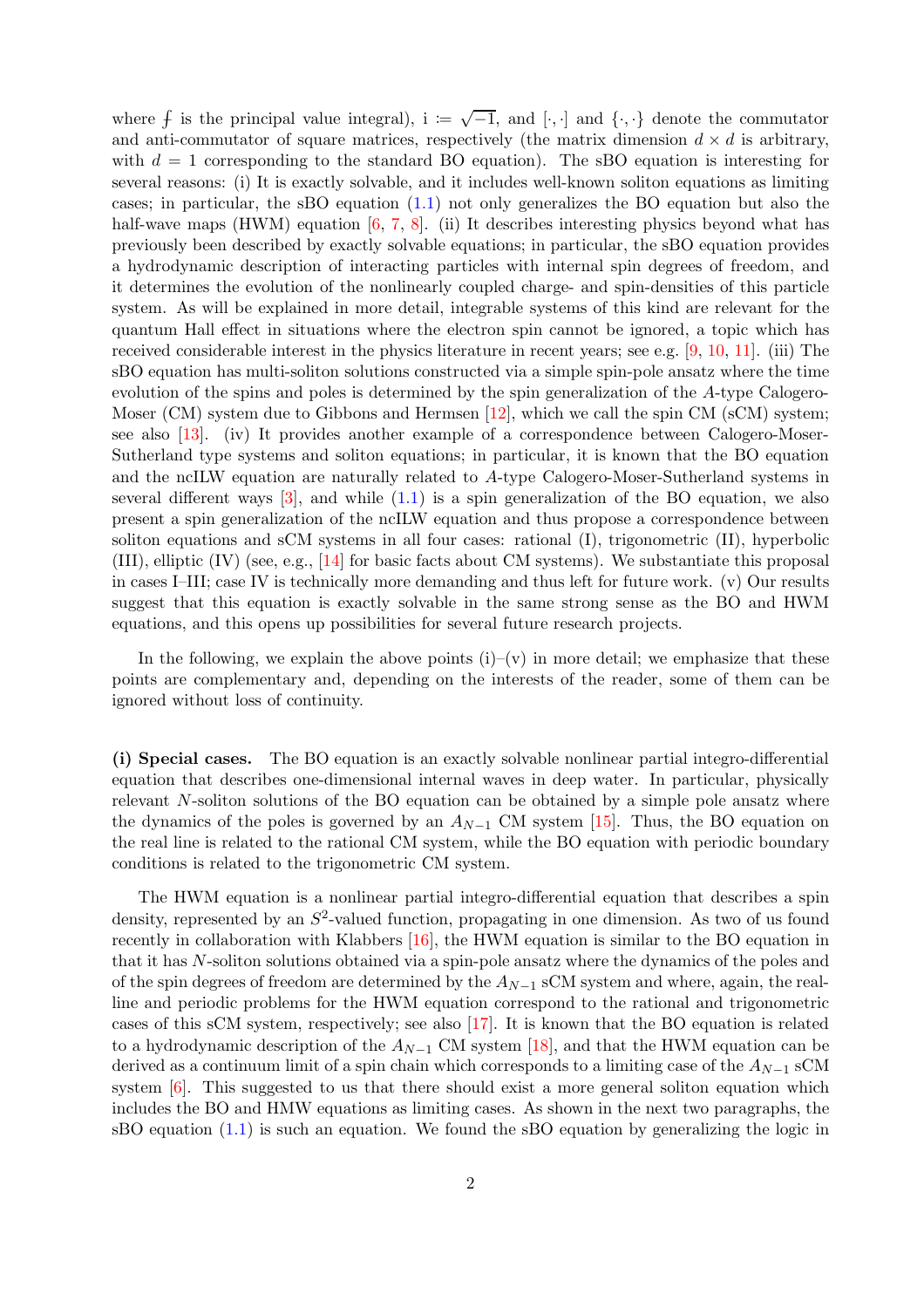where  $f$  is the principal value integral),  $i := \sqrt{-1}$ , and  $\{\cdot, \cdot\}$  denote the commutator and anti-commutator of square matrices, respectively (the matrix dimension  $d \times d$  is arbitrary, with  $d = 1$  corresponding to the standard BO equation). The sBO equation is interesting for several reasons: (i) It is exactly solvable, and it includes well-known soliton equations as limiting cases; in particular, the sBO equation [\(1.1\)](#page-0-0) not only generalizes the BO equation but also the half-wave maps (HWM) equation [\[6,](#page-31-5) [7,](#page-31-6) [8\]](#page-31-7). (ii) It describes interesting physics beyond what has previously been described by exactly solvable equations; in particular, the sBO equation provides a hydrodynamic description of interacting particles with internal spin degrees of freedom, and it determines the evolution of the nonlinearly coupled charge- and spin-densities of this particle system. As will be explained in more detail, integrable systems of this kind are relevant for the quantum Hall effect in situations where the electron spin cannot be ignored, a topic which has received considerable interest in the physics literature in recent years; see e.g. [\[9,](#page-31-8) [10,](#page-31-9) [11\]](#page-31-10). (iii) The sBO equation has multi-soliton solutions constructed via a simple spin-pole ansatz where the time evolution of the spins and poles is determined by the spin generalization of the A-type Calogero-Moser  $(CM)$  system due to Gibbons and Hermsen [\[12\]](#page-31-11), which we call the spin CM (sCM) system; see also [\[13\]](#page-31-12). (iv) It provides another example of a correspondence between Calogero-Moser-Sutherland type systems and soliton equations; in particular, it is known that the BO equation and the ncILW equation are naturally related to A-type Calogero-Moser-Sutherland systems in several different ways  $\lceil 3 \rceil$ , and while  $(1.1)$  is a spin generalization of the BO equation, we also present a spin generalization of the ncILW equation and thus propose a correspondence between soliton equations and sCM systems in all four cases: rational (I), trigonometric (II), hyperbolic (III), elliptic (IV) (see, e.g., [\[14\]](#page-31-13) for basic facts about CM systems). We substantiate this proposal in cases I–III; case IV is technically more demanding and thus left for future work. (v) Our results suggest that this equation is exactly solvable in the same strong sense as the BO and HWM equations, and this opens up possibilities for several future research projects.

In the following, we explain the above points  $(i)$ – $(v)$  in more detail; we emphasize that these points are complementary and, depending on the interests of the reader, some of them can be ignored without loss of continuity.

(i) Special cases. The BO equation is an exactly solvable nonlinear partial integro-differential equation that describes one-dimensional internal waves in deep water. In particular, physically relevant N-soliton solutions of the BO equation can be obtained by a simple pole ansatz where the dynamics of the poles is governed by an  $A_{N-1}$  CM system [\[15\]](#page-31-14). Thus, the BO equation on the real line is related to the rational CM system, while the BO equation with periodic boundary conditions is related to the trigonometric CM system.

The HWM equation is a nonlinear partial integro-differential equation that describes a spin density, represented by an  $S^2$ -valued function, propagating in one dimension. As two of us found recently in collaboration with Klabbers  $[16]$ , the HWM equation is similar to the BO equation in that it has N-soliton solutions obtained via a spin-pole ansatz where the dynamics of the poles and of the spin degrees of freedom are determined by the  $A_{N-1}$  sCM system and where, again, the realline and periodic problems for the HWM equation correspond to the rational and trigonometric cases of this sCM system, respectively; see also [\[17\]](#page-32-1). It is known that the BO equation is related to a hydrodynamic description of the  $A_{N-1}$  CM system [\[18\]](#page-32-2), and that the HWM equation can be derived as a continuum limit of a spin chain which corresponds to a limiting case of the  $A_{N-1}$  sCM system [\[6\]](#page-31-5). This suggested to us that there should exist a more general soliton equation which includes the BO and HMW equations as limiting cases. As shown in the next two paragraphs, the sBO equation  $(1.1)$  is such an equation. We found the sBO equation by generalizing the logic in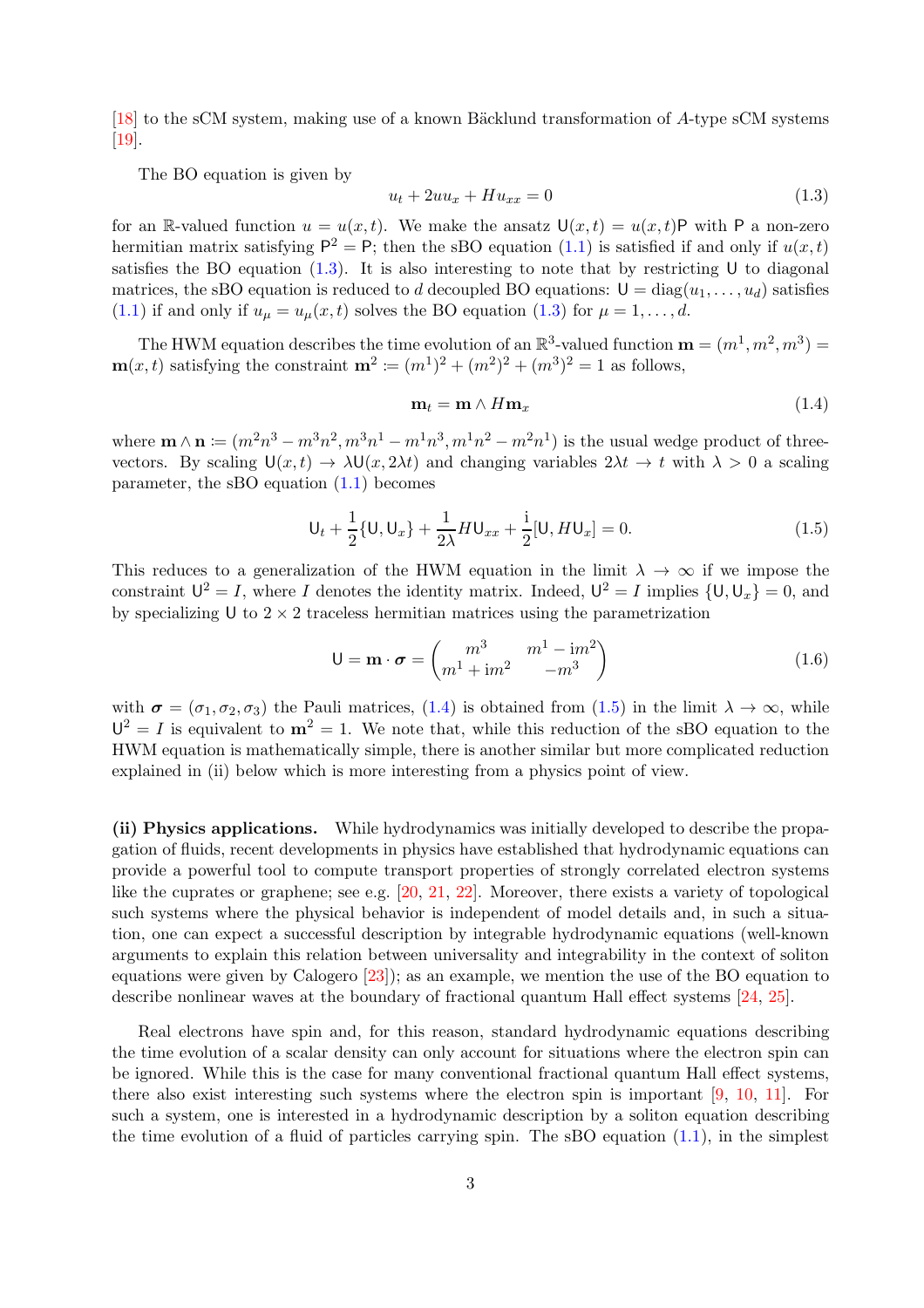[ $18$ ] to the sCM system, making use of a known Bäcklund transformation of A-type sCM systems [\[19\]](#page-32-3).

The BO equation is given by

<span id="page-2-0"></span>
$$
u_t + 2uu_x + Hu_{xx} = 0\tag{1.3}
$$

for an R-valued function  $u = u(x, t)$ . We make the ansatz  $\mathsf{U}(x, t) = u(x, t) \mathsf{P}$  with P a non-zero hermitian matrix satisfying  $P^2 = P$ ; then the sBO equation [\(1.1\)](#page-0-0) is satisfied if and only if  $u(x,t)$ satisfies the BO equation  $(1.3)$ . It is also interesting to note that by restricting U to diagonal matrices, the sBO equation is reduced to d decoupled BO equations:  $U = diag(u_1, \ldots, u_d)$  satisfies [\(1.1\)](#page-0-0) if and only if  $u_{\mu} = u_{\mu}(x, t)$  solves the BO equation [\(1.3\)](#page-2-0) for  $\mu = 1, \ldots, d$ .

The HWM equation describes the time evolution of an  $\mathbb{R}^3$ -valued function  $\mathbf{m} = (m^1, m^2, m^3) =$  $\mathbf{m}(x,t)$  satisfying the constraint  $\mathbf{m}^2 \coloneqq (m^1)^2 + (m^2)^2 + (m^3)^2 = 1$  as follows,

<span id="page-2-1"></span>
$$
\mathbf{m}_t = \mathbf{m} \wedge H\mathbf{m}_x \tag{1.4}
$$

where  $\mathbf{m} \wedge \mathbf{n} \coloneqq (m^2n^3 - m^3n^2, m^3n^1 - m^1n^3, m^1n^2 - m^2n^1)$  is the usual wedge product of threevectors. By scaling  $U(x, t) \to \lambda U(x, 2\lambda t)$  and changing variables  $2\lambda t \to t$  with  $\lambda > 0$  a scaling parameter, the sBO equation [\(1.1\)](#page-0-0) becomes

<span id="page-2-2"></span>
$$
U_t + \frac{1}{2} \{ U, U_x \} + \frac{1}{2\lambda} H U_{xx} + \frac{i}{2} [U, H U_x] = 0.
$$
 (1.5)

This reduces to a generalization of the HWM equation in the limit  $\lambda \to \infty$  if we impose the constraint  $U^2 = I$ , where I denotes the identity matrix. Indeed,  $U^2 = I$  implies  $\{U, U_x\} = 0$ , and by specializing U to  $2 \times 2$  traceless hermitian matrices using the parametrization

$$
\mathsf{U} = \mathbf{m} \cdot \boldsymbol{\sigma} = \begin{pmatrix} m^3 & m^1 - \mathrm{i} m^2 \\ m^1 + \mathrm{i} m^2 & -m^3 \end{pmatrix} \tag{1.6}
$$

with  $\sigma = (\sigma_1, \sigma_2, \sigma_3)$  the Pauli matrices, [\(1.4\)](#page-2-1) is obtained from [\(1.5\)](#page-2-2) in the limit  $\lambda \to \infty$ , while  $U^2 = I$  is equivalent to  $m^2 = 1$ . We note that, while this reduction of the sBO equation to the HWM equation is mathematically simple, there is another similar but more complicated reduction explained in (ii) below which is more interesting from a physics point of view.

(ii) Physics applications. While hydrodynamics was initially developed to describe the propagation of fluids, recent developments in physics have established that hydrodynamic equations can provide a powerful tool to compute transport properties of strongly correlated electron systems like the cuprates or graphene; see e.g. [\[20,](#page-32-4) [21,](#page-32-5) [22\]](#page-32-6). Moreover, there exists a variety of topological such systems where the physical behavior is independent of model details and, in such a situation, one can expect a successful description by integrable hydrodynamic equations (well-known arguments to explain this relation between universality and integrability in the context of soliton equations were given by Calogero [\[23\]](#page-32-7)); as an example, we mention the use of the BO equation to describe nonlinear waves at the boundary of fractional quantum Hall effect systems [\[24,](#page-32-8) [25\]](#page-32-9).

Real electrons have spin and, for this reason, standard hydrodynamic equations describing the time evolution of a scalar density can only account for situations where the electron spin can be ignored. While this is the case for many conventional fractional quantum Hall effect systems, there also exist interesting such systems where the electron spin is important [\[9,](#page-31-8) [10,](#page-31-9) [11\]](#page-31-10). For such a system, one is interested in a hydrodynamic description by a soliton equation describing the time evolution of a fluid of particles carrying spin. The sBO equation  $(1.1)$ , in the simplest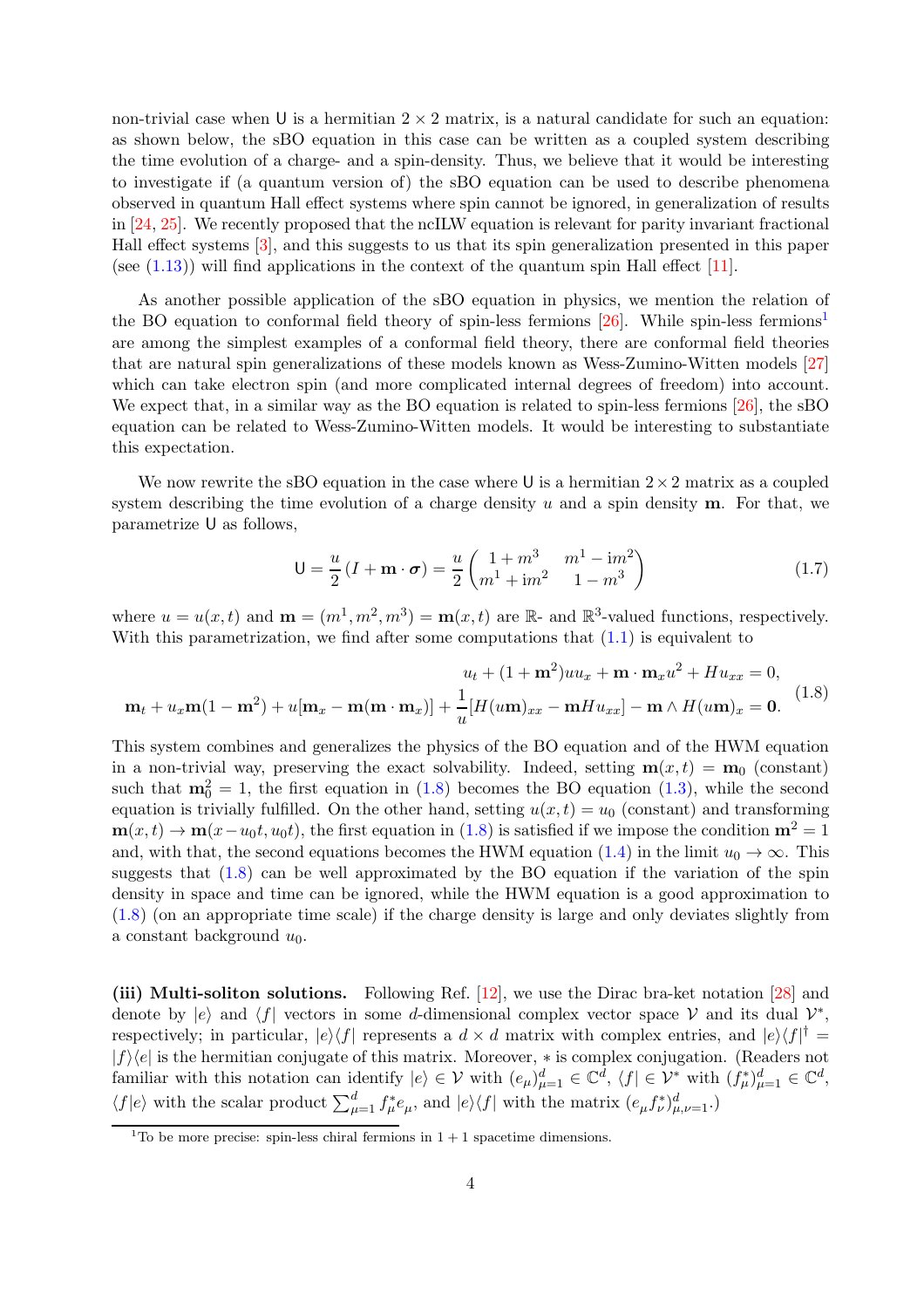non-trivial case when U is a hermitian  $2 \times 2$  matrix, is a natural candidate for such an equation: as shown below, the sBO equation in this case can be written as a coupled system describing the time evolution of a charge- and a spin-density. Thus, we believe that it would be interesting to investigate if (a quantum version of) the sBO equation can be used to describe phenomena observed in quantum Hall effect systems where spin cannot be ignored, in generalization of results in [\[24,](#page-32-8) [25\]](#page-32-9). We recently proposed that the ncILW equation is relevant for parity invariant fractional Hall effect systems [\[3\]](#page-31-2), and this suggests to us that its spin generalization presented in this paper (see  $(1.13)$ ) will find applications in the context of the quantum spin Hall effect [\[11\]](#page-31-10).

As another possible application of the sBO equation in physics, we mention the relation of the BO equation to conformal field theory of spin-less fermions  $[26]$ . While spin-less fermions<sup>[1](#page-3-0)</sup> are among the simplest examples of a conformal field theory, there are conformal field theories that are natural spin generalizations of these models known as Wess-Zumino-Witten models [\[27\]](#page-32-11) which can take electron spin (and more complicated internal degrees of freedom) into account. We expect that, in a similar way as the BO equation is related to spin-less fermions [\[26\]](#page-32-10), the sBO equation can be related to Wess-Zumino-Witten models. It would be interesting to substantiate this expectation.

We now rewrite the sBO equation in the case where U is a hermitian  $2\times 2$  matrix as a coupled system describing the time evolution of a charge density u and a spin density  $\mathbf{m}$ . For that, we parametrize U as follows,

$$
U = \frac{u}{2} (I + m \cdot \sigma) = \frac{u}{2} \begin{pmatrix} 1 + m^3 & m^1 - im^2 \\ m^1 + im^2 & 1 - m^3 \end{pmatrix}
$$
 (1.7)

where  $u = u(x, t)$  and  $\mathbf{m} = (m^1, m^2, m^3) = \mathbf{m}(x, t)$  are  $\mathbb{R}$ - and  $\mathbb{R}^3$ -valued functions, respectively. With this parametrization, we find after some computations that  $(1.1)$  is equivalent to

<span id="page-3-1"></span>
$$
u_t + (1 + \mathbf{m}^2)uu_x + \mathbf{m} \cdot \mathbf{m}_x u^2 + Hu_{xx} = 0,
$$
  

$$
\mathbf{m}_t + u_x \mathbf{m}(1 - \mathbf{m}^2) + u[\mathbf{m}_x - \mathbf{m}(\mathbf{m} \cdot \mathbf{m}_x)] + \frac{1}{u}[H(u\mathbf{m})_{xx} - \mathbf{m}Hu_{xx}] - \mathbf{m} \wedge H(u\mathbf{m})_x = \mathbf{0}.
$$
 (1.8)

This system combines and generalizes the physics of the BO equation and of the HWM equation in a non-trivial way, preserving the exact solvability. Indeed, setting  $\mathbf{m}(x, t) = \mathbf{m}_0$  (constant) such that  $m_0^2 = 1$ , the first equation in [\(1.8\)](#page-3-1) becomes the BO equation [\(1.3\)](#page-2-0), while the second equation is trivially fulfilled. On the other hand, setting  $u(x,t) = u_0$  (constant) and transforming  $\mathbf{m}(x, t) \to \mathbf{m}(x-u_0t, u_0t)$ , the first equation in [\(1.8\)](#page-3-1) is satisfied if we impose the condition  $\mathbf{m}^2 = 1$ and, with that, the second equations becomes the HWM equation [\(1.4\)](#page-2-1) in the limit  $u_0 \to \infty$ . This suggests that  $(1.8)$  can be well approximated by the BO equation if the variation of the spin density in space and time can be ignored, while the HWM equation is a good approximation to [\(1.8\)](#page-3-1) (on an appropriate time scale) if the charge density is large and only deviates slightly from a constant background  $u_0$ .

(iii) Multi-soliton solutions. Following Ref. [\[12\]](#page-31-11), we use the Dirac bra-ket notation [\[28\]](#page-32-12) and denote by  $|e\rangle$  and  $\langle f|$  vectors in some d-dimensional complex vector space V and its dual  $\mathcal{V}^*$ , respectively; in particular,  $|e\rangle\langle f|$  represents a  $d \times d$  matrix with complex entries, and  $|e\rangle\langle f|$ <sup>†</sup> =  $|f\rangle\langle e|$  is the hermitian conjugate of this matrix. Moreover,  $*$  is complex conjugation. (Readers not familiar with this notation can identify  $|e\rangle \in \mathcal{V}$  with  $(e_{\mu})_{\mu=1}^d \in \mathbb{C}^d$ ,  $\langle f | \in \mathcal{V}^*$  with  $(f_{\mu}^*)_{\mu=1}^d \in \mathbb{C}^d$ ,  $\langle f|e \rangle$  with the scalar product  $\sum_{\mu=1}^d f^*_{\mu} e_{\mu}$ , and  $|e\rangle\langle f|$  with the matrix  $(e_{\mu}f^*_{\nu})_{\mu,\nu=1}^d$ .

<span id="page-3-0"></span><sup>&</sup>lt;sup>1</sup>To be more precise: spin-less chiral fermions in  $1 + 1$  spacetime dimensions.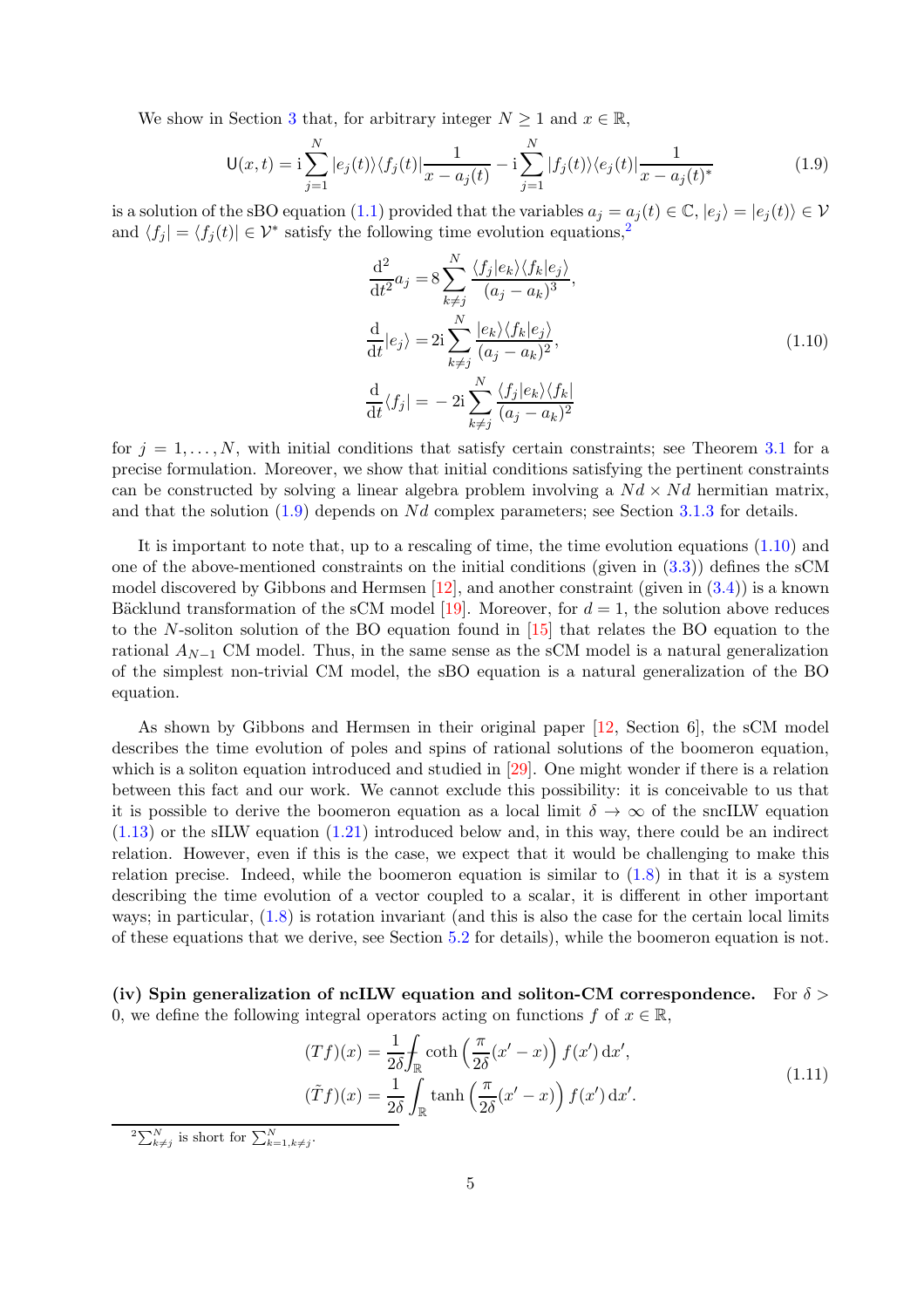We show in Section [3](#page-13-0) that, for arbitrary integer  $N \geq 1$  and  $x \in \mathbb{R}$ ,

<span id="page-4-1"></span>
$$
\mathsf{U}(x,t) = \mathsf{i} \sum_{j=1}^{N} |e_j(t)\rangle \langle f_j(t)| \frac{1}{x - a_j(t)} - \mathsf{i} \sum_{j=1}^{N} |f_j(t)\rangle \langle e_j(t)| \frac{1}{x - a_j(t)^*}
$$
(1.9)

is a solution of the sBO equation [\(1.1\)](#page-0-0) provided that the variables  $a_i = a_i(t) \in \mathbb{C}$ ,  $|e_i\rangle = |e_i(t)\rangle \in \mathcal{V}$ and  $\langle f_j | = \langle f_j (t) | \in \mathcal{V}^*$  satisfy the following time evolution equations,<sup>[2](#page-4-0)</sup>

$$
\frac{\mathrm{d}^2}{\mathrm{d}t^2} a_j = 8 \sum_{k \neq j}^N \frac{\langle f_j | e_k \rangle \langle f_k | e_j \rangle}{(a_j - a_k)^3},
$$
  

$$
\frac{\mathrm{d}}{\mathrm{d}t} | e_j \rangle = 2 \mathrm{i} \sum_{k \neq j}^N \frac{|e_k \rangle \langle f_k | e_j \rangle}{(a_j - a_k)^2},
$$
  

$$
\frac{\mathrm{d}}{\mathrm{d}t} \langle f_j | = -2 \mathrm{i} \sum_{k \neq j}^N \frac{\langle f_j | e_k \rangle \langle f_k |}{(a_j - a_k)^2}
$$
(1.10)

<span id="page-4-2"></span>for  $j = 1, \ldots, N$ , with initial conditions that satisfy certain constraints; see Theorem [3.1](#page-14-0) for a precise formulation. Moreover, we show that initial conditions satisfying the pertinent constraints can be constructed by solving a linear algebra problem involving a  $Nd \times Nd$  hermitian matrix, and that the solution  $(1.9)$  depends on Nd complex parameters; see Section [3.1.3](#page-15-0) for details.

It is important to note that, up to a rescaling of time, the time evolution equations [\(1.10\)](#page-4-2) and one of the above-mentioned constraints on the initial conditions (given in  $(3.3)$ ) defines the sCM model discovered by Gibbons and Hermsen  $[12]$ , and another constraint (given in  $(3.4)$ ) is a known Bäcklund transformation of the sCM model [\[19\]](#page-32-3). Moreover, for  $d = 1$ , the solution above reduces to the N-soliton solution of the BO equation found in [\[15\]](#page-31-14) that relates the BO equation to the rational  $A_{N-1}$  CM model. Thus, in the same sense as the sCM model is a natural generalization of the simplest non-trivial CM model, the sBO equation is a natural generalization of the BO equation.

As shown by Gibbons and Hermsen in their original paper [\[12,](#page-31-11) Section 6], the sCM model describes the time evolution of poles and spins of rational solutions of the boomeron equation, which is a soliton equation introduced and studied in [\[29\]](#page-32-13). One might wonder if there is a relation between this fact and our work. We cannot exclude this possibility: it is conceivable to us that it is possible to derive the boomeron equation as a local limit  $\delta \to \infty$  of the sncILW equation  $(1.13)$  or the sILW equation  $(1.21)$  introduced below and, in this way, there could be an indirect relation. However, even if this is the case, we expect that it would be challenging to make this relation precise. Indeed, while the boomeron equation is similar to  $(1.8)$  in that it is a system describing the time evolution of a vector coupled to a scalar, it is different in other important ways; in particular, [\(1.8\)](#page-3-1) is rotation invariant (and this is also the case for the certain local limits of these equations that we derive, see Section [5.2](#page-23-0) for details), while the boomeron equation is not.

(iv) Spin generalization of ncILW equation and soliton-CM correspondence. For  $\delta$ 0, we define the following integral operators acting on functions f of  $x \in \mathbb{R}$ ,

$$
(Tf)(x) = \frac{1}{2\delta} \int_{\mathbb{R}} \coth\left(\frac{\pi}{2\delta}(x'-x)\right) f(x') dx',
$$
  

$$
(\tilde{T}f)(x) = \frac{1}{2\delta} \int_{\mathbb{R}} \tanh\left(\frac{\pi}{2\delta}(x'-x)\right) f(x') dx'.
$$
 (1.11)

<span id="page-4-3"></span><span id="page-4-0"></span> ${}^2\Sigma_{k\neq j}^N$  is short for  $\sum_{k=1,k\neq j}^N$ .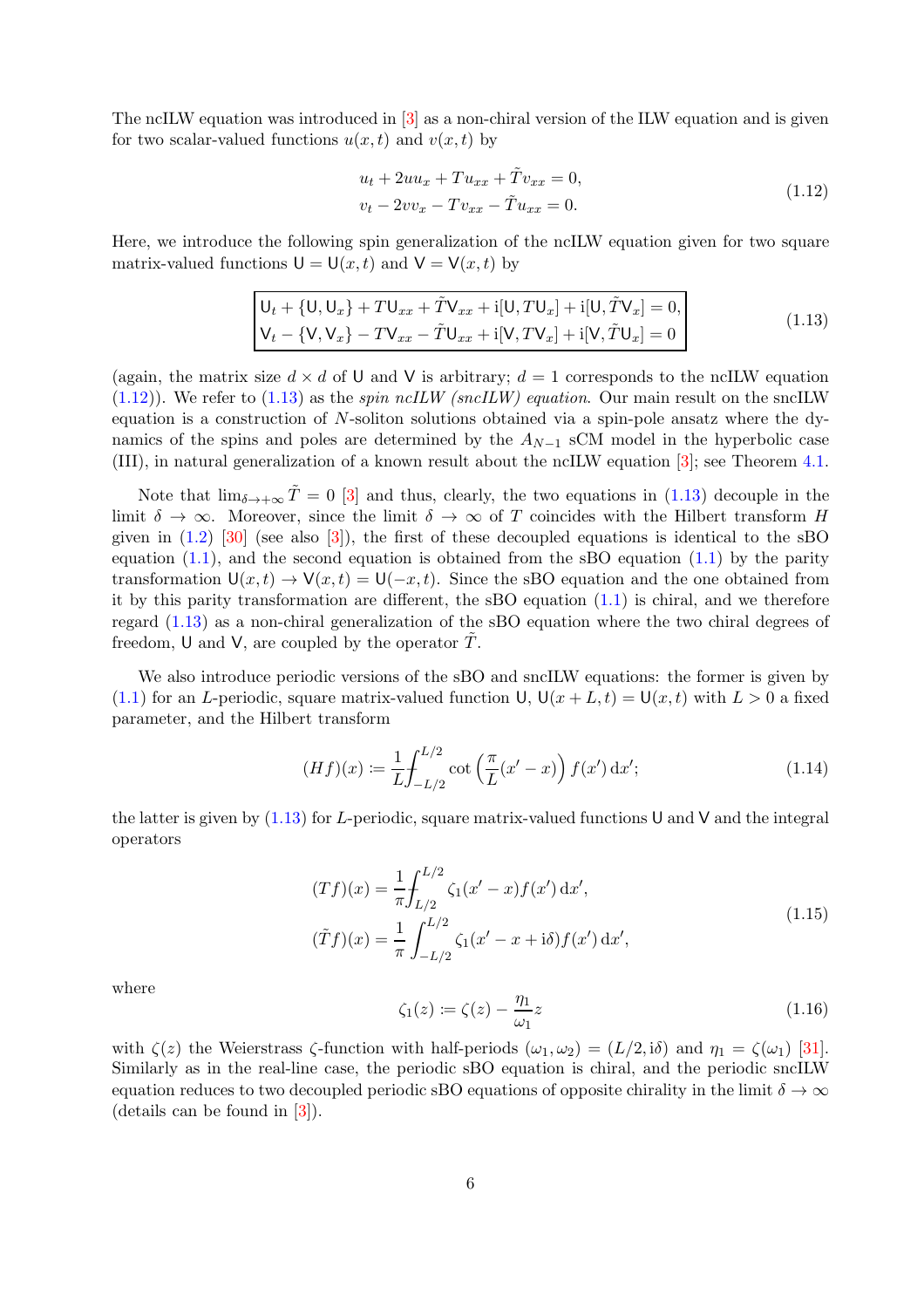The ncILW equation was introduced in [\[3\]](#page-31-2) as a non-chiral version of the ILW equation and is given for two scalar-valued functions  $u(x, t)$  and  $v(x, t)$  by

$$
u_t + 2uu_x + Tu_{xx} + \tilde{T}v_{xx} = 0,
$$
  

$$
v_t - 2vv_x - Tv_{xx} - \tilde{T}u_{xx} = 0.
$$
 (1.12)

<span id="page-5-1"></span>Here, we introduce the following spin generalization of the ncILW equation given for two square matrix-valued functions  $U = U(x, t)$  and  $V = V(x, t)$  by

<span id="page-5-0"></span>
$$
\begin{vmatrix} \mathsf{U}_t + \{\mathsf{U}, \mathsf{U}_x\} + T\mathsf{U}_{xx} + \tilde{T}\mathsf{V}_{xx} + \mathsf{i}[\mathsf{U}, T\mathsf{U}_x] + \mathsf{i}[\mathsf{U}, \tilde{T}\mathsf{V}_x] = 0, \\ \mathsf{V}_t - \{\mathsf{V}, \mathsf{V}_x\} - T\mathsf{V}_{xx} - \tilde{T}\mathsf{U}_{xx} + \mathsf{i}[\mathsf{V}, T\mathsf{V}_x] + \mathsf{i}[\mathsf{V}, \tilde{T}\mathsf{U}_x] = 0 \end{vmatrix} \tag{1.13}
$$

(again, the matrix size  $d \times d$  of U and V is arbitrary;  $d = 1$  corresponds to the ncILW equation [\(1.12\)](#page-5-1)). We refer to [\(1.13\)](#page-5-0) as the *spin ncILW (sncILW) equation*. Our main result on the sncILW equation is a construction of  $N$ -soliton solutions obtained via a spin-pole ansatz where the dynamics of the spins and poles are determined by the  $A_{N-1}$  sCM model in the hyperbolic case (III), in natural generalization of a known result about the ncILW equation [\[3\]](#page-31-2); see Theorem [4.1.](#page-20-0)

Note that  $\lim_{\delta \to +\infty} \tilde{T} = 0$  [\[3\]](#page-31-2) and thus, clearly, the two equations in [\(1.13\)](#page-5-0) decouple in the limit  $\delta \to \infty$ . Moreover, since the limit  $\delta \to \infty$  of T coincides with the Hilbert transform H given in  $(1.2)$  [\[30\]](#page-32-14) (see also [\[3\]](#page-31-2)), the first of these decoupled equations is identical to the sBO equation  $(1.1)$ , and the second equation is obtained from the sBO equation  $(1.1)$  by the parity transformation  $U(x, t) \to V(x, t) = U(-x, t)$ . Since the sBO equation and the one obtained from it by this parity transformation are different, the sBO equation [\(1.1\)](#page-0-0) is chiral, and we therefore regard [\(1.13\)](#page-5-0) as a non-chiral generalization of the sBO equation where the two chiral degrees of freedom, U and V, are coupled by the operator  $\tilde{T}$ .

We also introduce periodic versions of the sBO and sncILW equations: the former is given by [\(1.1\)](#page-0-0) for an L-periodic, square matrix-valued function U,  $U(x + L, t) = U(x, t)$  with  $L > 0$  a fixed parameter, and the Hilbert transform

<span id="page-5-2"></span>
$$
(Hf)(x) := \frac{1}{L} \int_{-L/2}^{L/2} \cot\left(\frac{\pi}{L}(x'-x)\right) f(x') dx';
$$
\n(1.14)

the latter is given by  $(1.13)$  for L-periodic, square matrix-valued functions U and V and the integral operators

$$
(Tf)(x) = \frac{1}{\pi} \int_{L/2}^{L/2} \zeta_1(x'-x) f(x') dx',
$$
  

$$
(\tilde{T}f)(x) = \frac{1}{\pi} \int_{-L/2}^{L/2} \zeta_1(x'-x+i\delta) f(x') dx',
$$
\n(1.15)

<span id="page-5-3"></span>where

$$
\zeta_1(z) \coloneqq \zeta(z) - \frac{\eta_1}{\omega_1} z \tag{1.16}
$$

with  $\zeta(z)$  the Weierstrass  $\zeta$ -function with half-periods  $(\omega_1, \omega_2) = (L/2, i\delta)$  and  $\eta_1 = \zeta(\omega_1)$  [\[31\]](#page-32-15). Similarly as in the real-line case, the periodic sBO equation is chiral, and the periodic sncILW equation reduces to two decoupled periodic sBO equations of opposite chirality in the limit  $\delta \to \infty$ (details can be found in [\[3\]](#page-31-2)).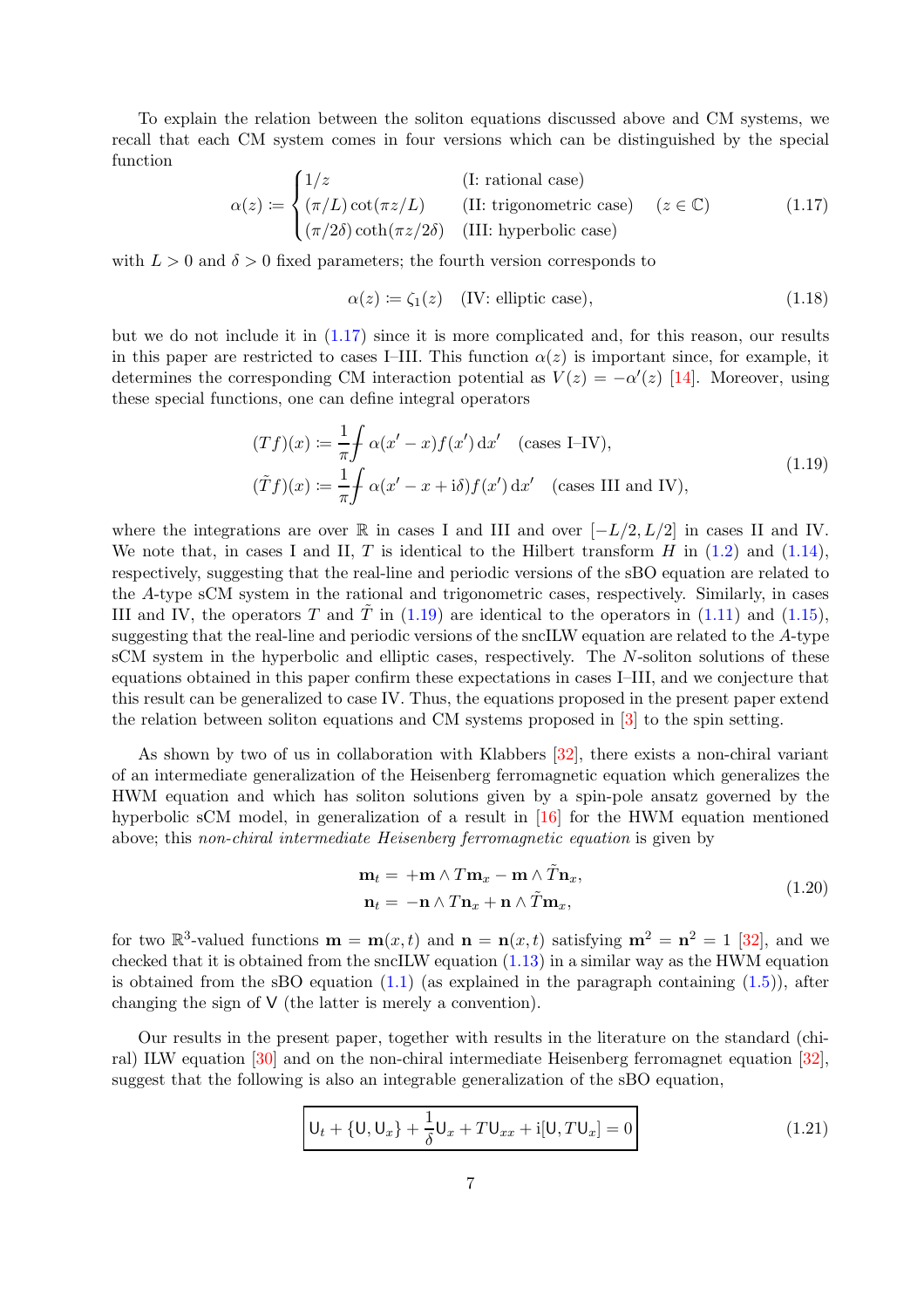To explain the relation between the soliton equations discussed above and CM systems, we recall that each CM system comes in four versions which can be distinguished by the special function

<span id="page-6-1"></span>
$$
\alpha(z) := \begin{cases}\n1/z & \text{(I: rational case)} \\
(\pi/L)\cot(\pi z/L) & \text{(II: trigonometric case)} \\
(\pi/2\delta)\coth(\pi z/2\delta) & \text{(III: hyperbolic case)}\n\end{cases} \quad (z \in \mathbb{C})
$$
\n(1.17)

with  $L > 0$  and  $\delta > 0$  fixed parameters; the fourth version corresponds to

$$
\alpha(z) \coloneqq \zeta_1(z) \quad (\text{IV: elliptic case}), \tag{1.18}
$$

but we do not include it in [\(1.17\)](#page-6-1) since it is more complicated and, for this reason, our results in this paper are restricted to cases I–III. This function  $\alpha(z)$  is important since, for example, it determines the corresponding CM interaction potential as  $V(z) = -\alpha'(z)$  [\[14\]](#page-31-13). Moreover, using these special functions, one can define integral operators

$$
(Tf)(x) := \frac{1}{\pi} \int \alpha(x'-x) f(x') dx' \quad \text{(cases I–IV)},
$$
  

$$
(\tilde{T}f)(x) := \frac{1}{\pi} \int \alpha(x'-x+\mathrm{i}\delta) f(x') dx' \quad \text{(cases III and IV)},
$$
\n(1.19)

<span id="page-6-2"></span>where the integrations are over R in cases I and III and over  $[-L/2, L/2]$  in cases II and IV. We note that, in cases I and II, T is identical to the Hilbert transform H in  $(1.2)$  and  $(1.14)$ , respectively, suggesting that the real-line and periodic versions of the sBO equation are related to the A-type sCM system in the rational and trigonometric cases, respectively. Similarly, in cases III and IV, the operators T and T in  $(1.19)$  are identical to the operators in  $(1.11)$  and  $(1.15)$ , suggesting that the real-line and periodic versions of the sncILW equation are related to the A-type sCM system in the hyperbolic and elliptic cases, respectively. The N-soliton solutions of these equations obtained in this paper confirm these expectations in cases I–III, and we conjecture that this result can be generalized to case IV. Thus, the equations proposed in the present paper extend the relation between soliton equations and CM systems proposed in [\[3\]](#page-31-2) to the spin setting.

As shown by two of us in collaboration with Klabbers [\[32\]](#page-32-16), there exists a non-chiral variant of an intermediate generalization of the Heisenberg ferromagnetic equation which generalizes the HWM equation and which has soliton solutions given by a spin-pole ansatz governed by the hyperbolic sCM model, in generalization of a result in [\[16\]](#page-32-0) for the HWM equation mentioned above; this *non-chiral intermediate Heisenberg ferromagnetic equation* is given by

$$
\mathbf{m}_t = +\mathbf{m} \wedge T\mathbf{m}_x - \mathbf{m} \wedge \tilde{T}\mathbf{n}_x, \n\mathbf{n}_t = -\mathbf{n} \wedge T\mathbf{n}_x + \mathbf{n} \wedge \tilde{T}\mathbf{m}_x,
$$
\n(1.20)

for two  $\mathbb{R}^3$ -valued functions  $\mathbf{m} = \mathbf{m}(x,t)$  and  $\mathbf{n} = \mathbf{n}(x,t)$  satisfying  $\mathbf{m}^2 = \mathbf{n}^2 = 1$  [\[32\]](#page-32-16), and we checked that it is obtained from the sncILW equation  $(1.13)$  in a similar way as the HWM equation is obtained from the sBO equation  $(1.1)$  (as explained in the paragraph containing  $(1.5)$ ), after changing the sign of V (the latter is merely a convention).

Our results in the present paper, together with results in the literature on the standard (chiral) ILW equation [\[30\]](#page-32-14) and on the non-chiral intermediate Heisenberg ferromagnet equation [\[32\]](#page-32-16), suggest that the following is also an integrable generalization of the sBO equation,

<span id="page-6-0"></span>
$$
U_t + \{U, U_x\} + \frac{1}{\delta}U_x + TU_{xx} + i[U, TU_x] = 0
$$
\n(1.21)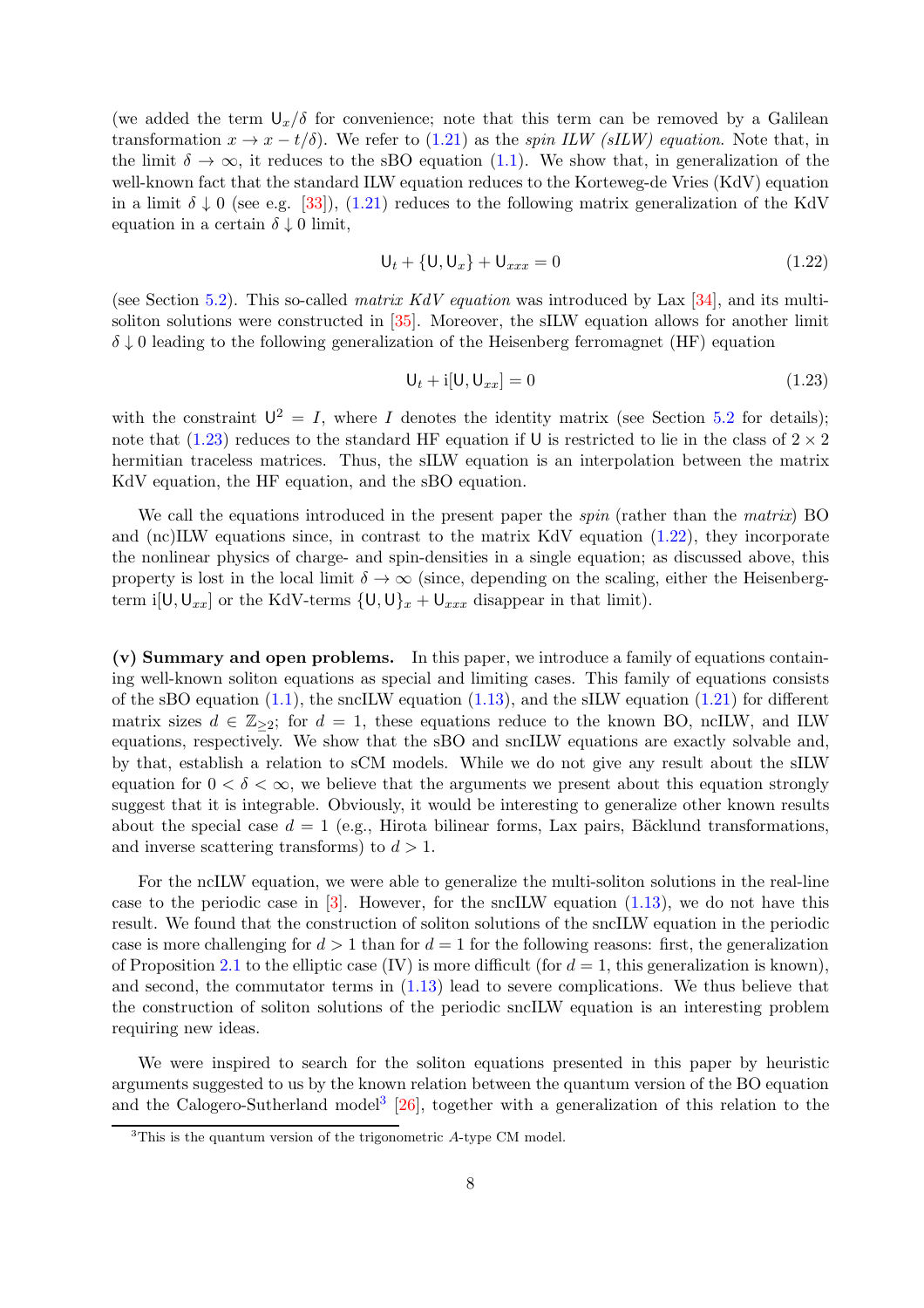(we added the term  $U_x/\delta$  for convenience; note that this term can be removed by a Galilean transformation  $x \to x - t/\delta$ . We refer to [\(1.21\)](#page-6-0) as the *spin ILW (sILW) equation*. Note that, in the limit  $\delta \to \infty$ , it reduces to the sBO equation [\(1.1\)](#page-0-0). We show that, in generalization of the well-known fact that the standard ILW equation reduces to the Korteweg-de Vries (KdV) equation in a limit  $\delta \downarrow 0$  (see e.g. [\[33\]](#page-33-0)), [\(1.21\)](#page-6-0) reduces to the following matrix generalization of the KdV equation in a certain  $\delta \downarrow 0$  limit,

<span id="page-7-1"></span>
$$
U_t + \{U, U_x\} + U_{xxx} = 0 \tag{1.22}
$$

(see Section [5.2\)](#page-23-0). This so-called *matrix KdV equation* was introduced by Lax [\[34\]](#page-33-1), and its multisoliton solutions were constructed in [\[35\]](#page-33-2). Moreover, the sILW equation allows for another limit  $\delta \downarrow 0$  leading to the following generalization of the Heisenberg ferromagnet (HF) equation

<span id="page-7-0"></span>
$$
\mathsf{U}_t + \mathrm{i}[\mathsf{U}, \mathsf{U}_{xx}] = 0 \tag{1.23}
$$

with the constraint  $U^2 = I$ , where I denotes the identity matrix (see Section [5.2](#page-23-0) for details); note that [\(1.23\)](#page-7-0) reduces to the standard HF equation if U is restricted to lie in the class of  $2 \times 2$ hermitian traceless matrices. Thus, the sILW equation is an interpolation between the matrix KdV equation, the HF equation, and the sBO equation.

We call the equations introduced in the present paper the *spin* (rather than the *matrix*) BO and  $\text{(nc)ILW}$  equations since, in contrast to the matrix KdV equation  $(1.22)$ , they incorporate the nonlinear physics of charge- and spin-densities in a single equation; as discussed above, this property is lost in the local limit  $\delta \to \infty$  (since, depending on the scaling, either the Heisenbergterm i[U, U<sub>xx</sub>] or the KdV-terms  $\{U, U\}_x + U_{xxx}$  disappear in that limit).

(v) Summary and open problems. In this paper, we introduce a family of equations containing well-known soliton equations as special and limiting cases. This family of equations consists of the sBO equation  $(1.1)$ , the sncILW equation  $(1.13)$ , and the sILW equation  $(1.21)$  for different matrix sizes  $d \in \mathbb{Z}_{\geq 2}$ ; for  $d = 1$ , these equations reduce to the known BO, ncILW, and ILW equations, respectively. We show that the sBO and sncILW equations are exactly solvable and, by that, establish a relation to sCM models. While we do not give any result about the sILW equation for  $0 < \delta < \infty$ , we believe that the arguments we present about this equation strongly suggest that it is integrable. Obviously, it would be interesting to generalize other known results about the special case  $d = 1$  (e.g., Hirota bilinear forms, Lax pairs, Bäcklund transformations, and inverse scattering transforms) to  $d > 1$ .

For the ncILW equation, we were able to generalize the multi-soliton solutions in the real-line case to the periodic case in  $[3]$ . However, for the sncILW equation  $(1.13)$ , we do not have this result. We found that the construction of soliton solutions of the sncILW equation in the periodic case is more challenging for  $d > 1$  than for  $d = 1$  for the following reasons: first, the generalization of Proposition [2.1](#page-10-0) to the elliptic case (IV) is more difficult (for  $d = 1$ , this generalization is known), and second, the commutator terms in [\(1.13\)](#page-5-0) lead to severe complications. We thus believe that the construction of soliton solutions of the periodic sncILW equation is an interesting problem requiring new ideas.

We were inspired to search for the soliton equations presented in this paper by heuristic arguments suggested to us by the known relation between the quantum version of the BO equation and the Calogero-Sutherland model<sup>[3](#page-7-2)</sup> [\[26\]](#page-32-10), together with a generalization of this relation to the

<span id="page-7-2"></span><sup>&</sup>lt;sup>3</sup>This is the quantum version of the trigonometric A-type CM model.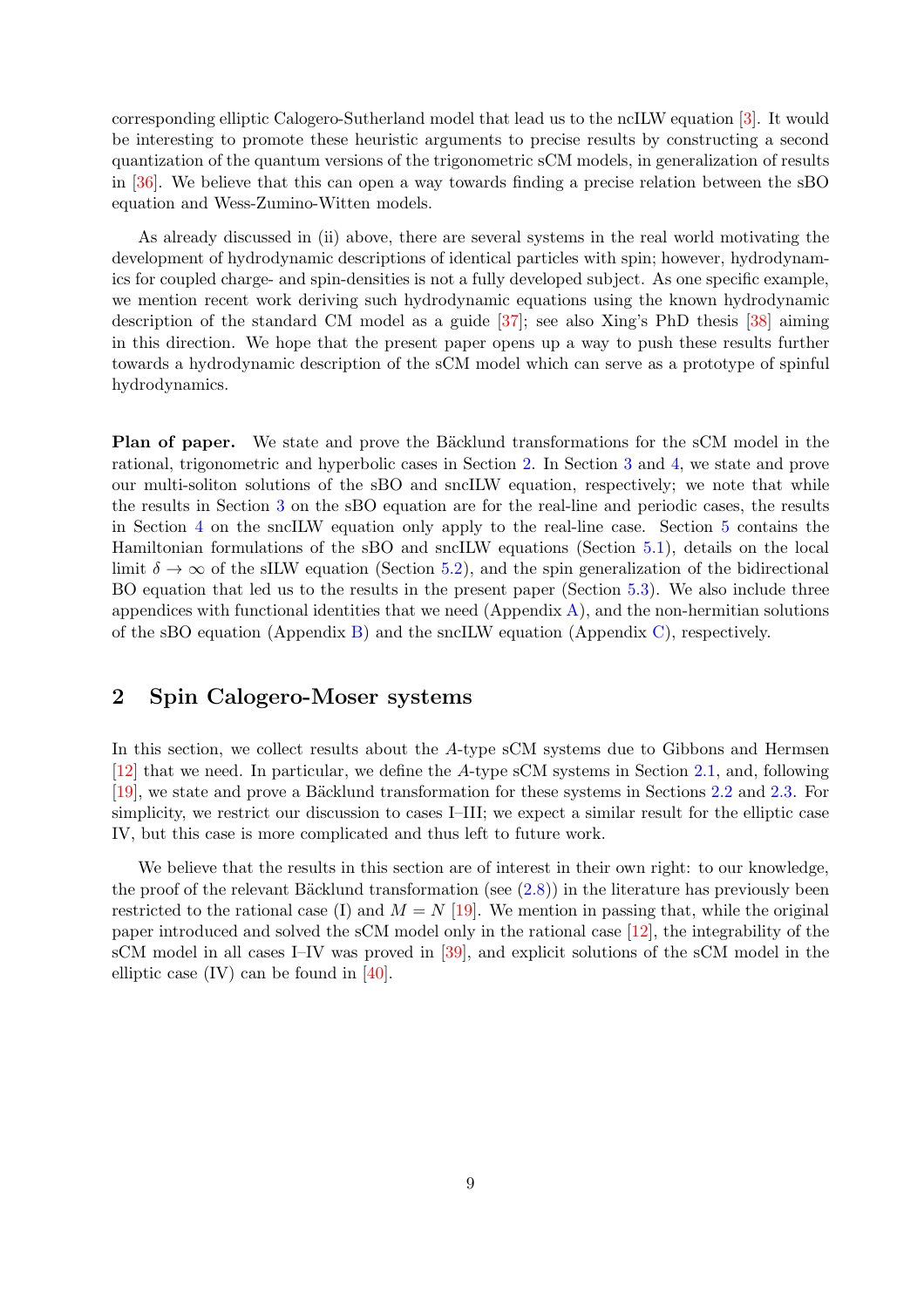corresponding elliptic Calogero-Sutherland model that lead us to the ncILW equation [\[3\]](#page-31-2). It would be interesting to promote these heuristic arguments to precise results by constructing a second quantization of the quantum versions of the trigonometric sCM models, in generalization of results in [\[36\]](#page-33-3). We believe that this can open a way towards finding a precise relation between the sBO equation and Wess-Zumino-Witten models.

As already discussed in (ii) above, there are several systems in the real world motivating the development of hydrodynamic descriptions of identical particles with spin; however, hydrodynamics for coupled charge- and spin-densities is not a fully developed subject. As one specific example, we mention recent work deriving such hydrodynamic equations using the known hydrodynamic description of the standard CM model as a guide [\[37\]](#page-33-4); see also Xing's PhD thesis [\[38\]](#page-33-5) aiming in this direction. We hope that the present paper opens up a way to push these results further towards a hydrodynamic description of the sCM model which can serve as a prototype of spinful hydrodynamics.

**Plan of paper.** We state and prove the Bäcklund transformations for the sCM model in the rational, trigonometric and hyperbolic cases in Section [2.](#page-8-0) In Section [3](#page-13-0) and [4,](#page-20-1) we state and prove our multi-soliton solutions of the sBO and sncILW equation, respectively; we note that while the results in Section [3](#page-13-0) on the sBO equation are for the real-line and periodic cases, the results in Section [4](#page-20-1) on the sncILW equation only apply to the real-line case. Section [5](#page-22-0) contains the Hamiltonian formulations of the sBO and sncILW equations (Section [5.1\)](#page-22-1), details on the local limit  $\delta \to \infty$  of the sILW equation (Section [5.2\)](#page-23-0), and the spin generalization of the bidirectional BO equation that led us to the results in the present paper (Section [5.3\)](#page-23-1). We also include three appendices with functional identities that we need  $(Appendix A)$  $(Appendix A)$ , and the non-hermitian solutions of the sBO equation (Appendix [B\)](#page-24-1) and the sncILW equation (Appendix [C\)](#page-27-0), respectively.

## <span id="page-8-0"></span>2 Spin Calogero-Moser systems

In this section, we collect results about the A-type sCM systems due to Gibbons and Hermsen [\[12\]](#page-31-11) that we need. In particular, we define the A-type sCM systems in Section [2.1,](#page-9-0) and, following [\[19\]](#page-32-3), we state and prove a Bäcklund transformation for these systems in Sections [2.2](#page-9-1) and [2.3.](#page-10-1) For simplicity, we restrict our discussion to cases I–III; we expect a similar result for the elliptic case IV, but this case is more complicated and thus left to future work.

We believe that the results in this section are of interest in their own right: to our knowledge, the proof of the relevant Bäcklund transformation (see  $(2.8)$ ) in the literature has previously been restricted to the rational case (I) and  $M = N$  [\[19\]](#page-32-3). We mention in passing that, while the original paper introduced and solved the sCM model only in the rational case [\[12\]](#page-31-11), the integrability of the sCM model in all cases I–IV was proved in [\[39\]](#page-33-6), and explicit solutions of the sCM model in the elliptic case (IV) can be found in [\[40\]](#page-33-7).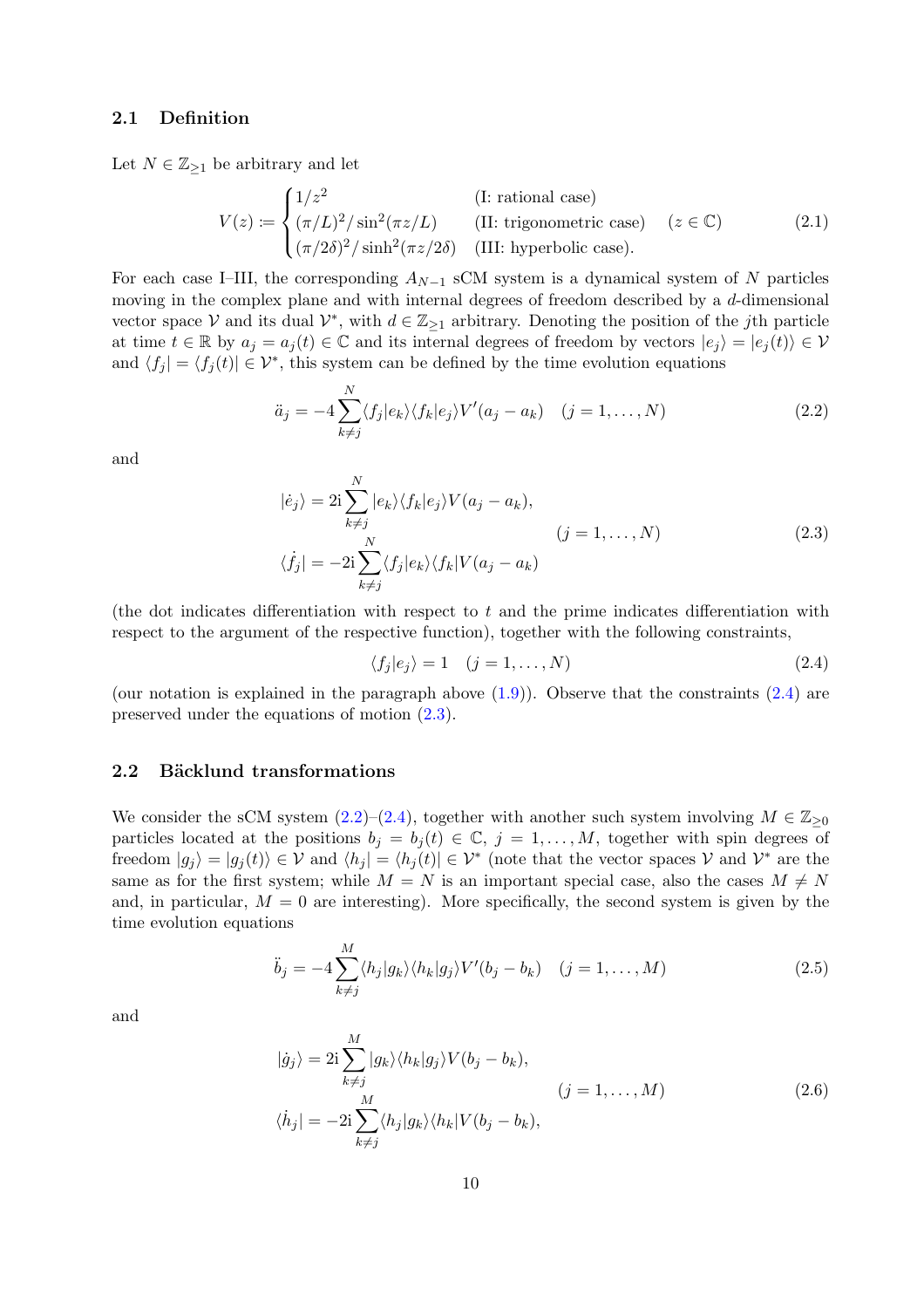### <span id="page-9-0"></span>2.1 Definition

Let  $N \in \mathbb{Z}_{\geq 1}$  be arbitrary and let

<span id="page-9-7"></span>
$$
V(z) := \begin{cases} 1/z^2 & (\text{I: rational case})\\ (\pi/L)^2/\sin^2(\pi z/L) & (\text{II: trigonometric case})\\ (\pi/2\delta)^2/\sinh^2(\pi z/2\delta) & (\text{III: hyperbolic case}). \end{cases} (z \in \mathbb{C})
$$
(2.1)

For each case I–III, the corresponding  $A_{N-1}$  sCM system is a dynamical system of N particles moving in the complex plane and with internal degrees of freedom described by a d-dimensional vector space V and its dual  $\mathcal{V}^*$ , with  $d \in \mathbb{Z}_{\geq 1}$  arbitrary. Denoting the position of the jth particle at time  $t \in \mathbb{R}$  by  $a_i = a_i(t) \in \mathbb{C}$  and its internal degrees of freedom by vectors  $|e_i\rangle = |e_i(t)\rangle \in \mathcal{V}$ and  $\langle f_j | = \langle f_j (t) | \in \mathcal{V}^*$ , this system can be defined by the time evolution equations

<span id="page-9-4"></span>
$$
\ddot{a}_j = -4 \sum_{k \neq j}^{N} \langle f_j | e_k \rangle \langle f_k | e_j \rangle V'(a_j - a_k) \quad (j = 1, \dots, N)
$$
\n(2.2)

<span id="page-9-3"></span>and

$$
|\dot{e}_j\rangle = 2i \sum_{k \neq j}^{N} |e_k\rangle \langle f_k | e_j \rangle V(a_j - a_k),
$$
  
\n
$$
\langle \dot{f}_j | = -2i \sum_{k \neq j}^{N} \langle f_j | e_k \rangle \langle f_k | V(a_j - a_k) \rangle
$$
\n(2.3)

(the dot indicates differentiation with respect to  $t$  and the prime indicates differentiation with respect to the argument of the respective function), together with the following constraints,

<span id="page-9-2"></span>
$$
\langle f_j | e_j \rangle = 1 \quad (j = 1, \dots, N) \tag{2.4}
$$

(our notation is explained in the paragraph above  $(1.9)$ ). Observe that the constraints  $(2.4)$  are preserved under the equations of motion [\(2.3\)](#page-9-3).

### <span id="page-9-1"></span>2.2 Bäcklund transformations

We consider the sCM system [\(2.2\)](#page-9-4)–[\(2.4\)](#page-9-2), together with another such system involving  $M \in \mathbb{Z}_{\geq 0}$ particles located at the positions  $b_j = b_j(t) \in \mathbb{C}, j = 1, ..., M$ , together with spin degrees of freedom  $|g_j\rangle = |g_j(t)\rangle \in \mathcal{V}$  and  $\langle h_j| = \langle h_j(t)| \in \mathcal{V}^*$  (note that the vector spaces  $\mathcal{V}$  and  $\mathcal{V}^*$  are the same as for the first system; while  $M = N$  is an important special case, also the cases  $M \neq N$ and, in particular,  $M = 0$  are interesting). More specifically, the second system is given by the time evolution equations

<span id="page-9-5"></span>
$$
\ddot{b}_j = -4 \sum_{k \neq j}^{M} \langle h_j | g_k \rangle \langle h_k | g_j \rangle V'(b_j - b_k) \quad (j = 1, \dots, M)
$$
\n(2.5)

<span id="page-9-6"></span>and

$$
|\dot{g}_j\rangle = 2i \sum_{k \neq j}^{M} |g_k\rangle \langle h_k | g_j \rangle V(b_j - b_k),
$$
  
\n
$$
\langle \dot{h}_j | = -2i \sum_{k \neq j}^{M} \langle h_j | g_k \rangle \langle h_k | V(b_j - b_k),
$$
\n(2.6)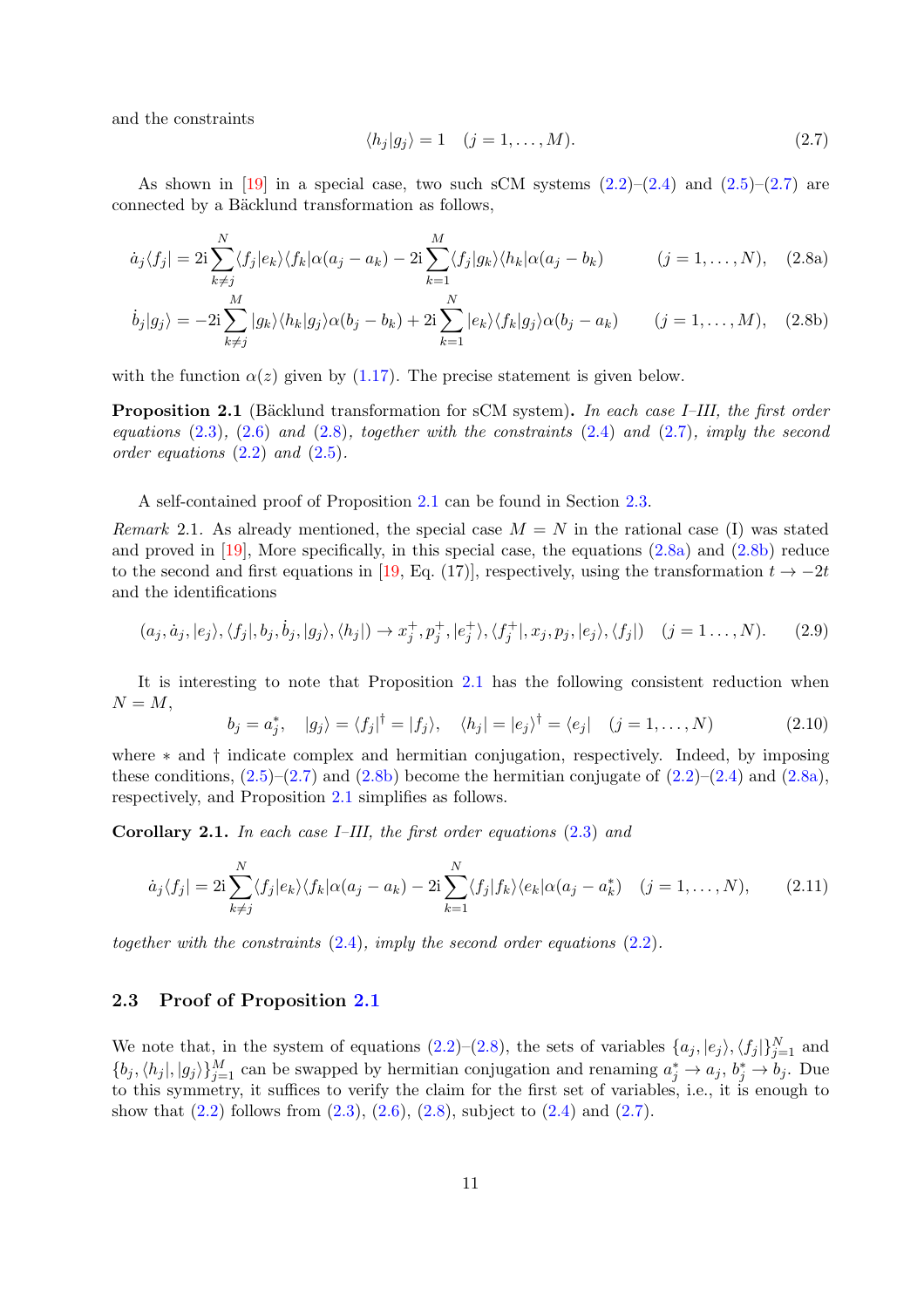and the constraints

<span id="page-10-5"></span><span id="page-10-4"></span><span id="page-10-3"></span><span id="page-10-2"></span>
$$
\langle h_j | g_j \rangle = 1 \quad (j = 1, \dots, M). \tag{2.7}
$$

As shown in [\[19\]](#page-32-3) in a special case, two such sCM systems  $(2.2)$ – $(2.4)$  and  $(2.5)$ – $(2.7)$  are connected by a Bäcklund transformation as follows,

$$
\dot{a}_j \langle f_j | = 2i \sum_{k \neq j}^N \langle f_j | e_k \rangle \langle f_k | \alpha(a_j - a_k) - 2i \sum_{k=1}^M \langle f_j | g_k \rangle \langle h_k | \alpha(a_j - b_k) \rangle
$$
  $(j = 1, ..., N),$  (2.8a)

$$
\dot{b}_j|g_j\rangle = -2i\sum_{k\neq j}^M|g_k\rangle\langle h_k|g_j\rangle\alpha(b_j - b_k) + 2i\sum_{k=1}^N|e_k\rangle\langle f_k|g_j\rangle\alpha(b_j - a_k) \qquad (j = 1, ..., M), \quad (2.8b)
$$

with the function  $\alpha(z)$  given by [\(1.17\)](#page-6-1). The precise statement is given below.

<span id="page-10-0"></span>**Proposition 2.1** (Bäcklund transformation for sCM system). In each case I–III, the first order *equations* [\(2.3\)](#page-9-3)*,* [\(2.6\)](#page-9-6) *and* [\(2.8\)](#page-10-2)*, together with the constraints* [\(2.4\)](#page-9-2) *and* [\(2.7\)](#page-10-3)*, imply the second order equations* [\(2.2\)](#page-9-4) *and* [\(2.5\)](#page-9-5)*.*

A self-contained proof of Proposition [2.1](#page-10-0) can be found in Section [2.3.](#page-10-1)

*Remark* 2.1. As already mentioned, the special case  $M = N$  in the rational case (I) was stated and proved in  $[19]$ , More specifically, in this special case, the equations  $(2.8a)$  and  $(2.8b)$  reduce to the second and first equations in [\[19,](#page-32-3) Eq. (17)], respectively, using the transformation  $t \to -2t$ and the identifications

$$
(a_j, \dot{a}_j, |e_j\rangle, \langle f_j|, b_j, \dot{b}_j, |g_j\rangle, \langle h_j|) \rightarrow x_j^+, p_j^+, |e_j^+\rangle, \langle f_j^+|, x_j, p_j, |e_j\rangle, \langle f_j|) \quad (j = 1, \dots, N). \tag{2.9}
$$

It is interesting to note that Proposition [2.1](#page-10-0) has the following consistent reduction when  $N = M$ ,

<span id="page-10-7"></span>
$$
b_j = a_j^*, \quad |g_j\rangle = \langle f_j|^\dagger = |f_j\rangle, \quad \langle h_j| = |e_j\rangle^\dagger = \langle e_j| \quad (j = 1, \dots, N)
$$
\n(2.10)

where ∗ and † indicate complex and hermitian conjugation, respectively. Indeed, by imposing these conditions,  $(2.5)$ – $(2.7)$  and  $(2.8b)$  become the hermitian conjugate of  $(2.2)$ – $(2.4)$  and  $(2.8a)$ , respectively, and Proposition [2.1](#page-10-0) simplifies as follows.

Corollary 2.1. *In each case I–III, the first order equations* [\(2.3\)](#page-9-3) *and*

<span id="page-10-6"></span>
$$
\dot{a}_j \langle f_j | = 2\mathbf{i} \sum_{k \neq j}^N \langle f_j | e_k \rangle \langle f_k | \alpha(a_j - a_k) - 2\mathbf{i} \sum_{k=1}^N \langle f_j | f_k \rangle \langle e_k | \alpha(a_j - a_k^*) \quad (j = 1, \dots, N), \tag{2.11}
$$

<span id="page-10-1"></span>*together with the constraints* [\(2.4\)](#page-9-2)*, imply the second order equations* [\(2.2\)](#page-9-4)*.*

### 2.3 Proof of Proposition [2.1](#page-10-0)

We note that, in the system of equations [\(2.2\)](#page-9-4)–[\(2.8\)](#page-10-2), the sets of variables  $\{a_j, |e_j\rangle, \langle f_j|\}_{j=1}^N$  and  $\{b_j, \langle h_j |, |g_j \rangle\}_{j=1}^M$  can be swapped by hermitian conjugation and renaming  $a_j^* \to a_j, b_j^* \to b_j$ . Due to this symmetry, it suffices to verify the claim for the first set of variables, i.e., it is enough to show that  $(2.2)$  follows from  $(2.3)$ ,  $(2.6)$ ,  $(2.8)$ , subject to  $(2.4)$  and  $(2.7)$ .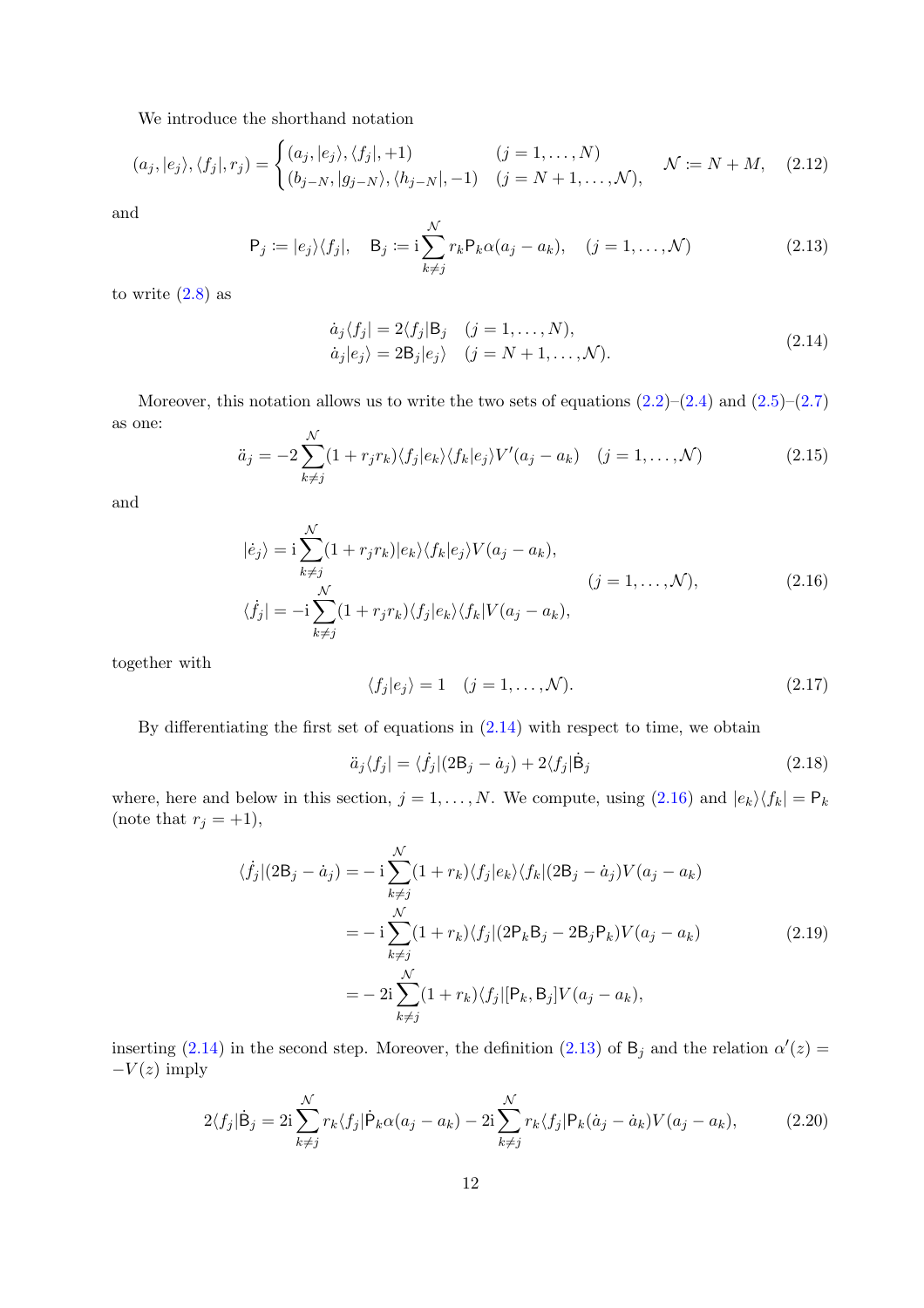We introduce the shorthand notation

$$
(a_j, |e_j\rangle, \langle f_j|, r_j) = \begin{cases} (a_j, |e_j\rangle, \langle f_j|, +1) & (j = 1, \dots, N) \\ (b_{j-N}, |g_{j-N}\rangle, \langle h_{j-N}|, -1) & (j = N+1, \dots, N), \end{cases} \quad \mathcal{N} := N + M, \quad (2.12)
$$

and

<span id="page-11-2"></span>
$$
P_j := |e_j\rangle\langle f_j|, \quad B_j := i \sum_{k \neq j}^{N} r_k P_k \alpha(a_j - a_k), \quad (j = 1, ..., \mathcal{N})
$$
\n(2.13)

<span id="page-11-0"></span>to write  $(2.8)$  as

$$
\dot{a}_j \langle f_j | = 2 \langle f_j | B_j \quad (j = 1, ..., N), \n\dot{a}_j | e_j \rangle = 2B_j | e_j \rangle \quad (j = N + 1, ..., N).
$$
\n(2.14)

Moreover, this notation allows us to write the two sets of equations  $(2.2)$ – $(2.4)$  and  $(2.5)$ – $(2.7)$ as one:

$$
\ddot{a}_j = -2 \sum_{k \neq j}^{N} (1 + r_j r_k) \langle f_j | e_k \rangle \langle f_k | e_j \rangle V'(a_j - a_k) \quad (j = 1, \dots, N)
$$
\n(2.15)

<span id="page-11-1"></span>and

$$
|\dot{e}_j\rangle = i \sum_{k \neq j}^{N} (1 + r_j r_k) |e_k\rangle \langle f_k | e_j \rangle V(a_j - a_k),
$$
  
\n
$$
\langle \dot{f}_j | = -i \sum_{k \neq j}^{N} (1 + r_j r_k) \langle f_j | e_k \rangle \langle f_k | V(a_j - a_k),
$$
\n(2.16)

together with

<span id="page-11-5"></span>
$$
\langle f_j | e_j \rangle = 1 \quad (j = 1, \dots, \mathcal{N}). \tag{2.17}
$$

By differentiating the first set of equations in [\(2.14\)](#page-11-0) with respect to time, we obtain

<span id="page-11-4"></span>
$$
\ddot{a}_j \langle f_j | = \langle \dot{f}_j | (2\mathsf{B}_j - \dot{a}_j) + 2\langle f_j | \dot{\mathsf{B}}_j \rangle \tag{2.18}
$$

where, here and below in this section,  $j = 1, ..., N$ . We compute, using  $(2.16)$  and  $|e_k\rangle\langle f_k| = \mathsf{P}_k$ (note that  $r_j = +1$ ),

$$
\langle \dot{f}_j | (2\mathsf{B}_j - \dot{a}_j) = -\,\mathbf{i} \sum_{k \neq j}^{\mathcal{N}} (1 + r_k) \langle f_j | e_k \rangle \langle f_k | (2\mathsf{B}_j - \dot{a}_j) V(a_j - a_k) \n= -\,\mathbf{i} \sum_{k \neq j}^{\mathcal{N}} (1 + r_k) \langle f_j | (2\mathsf{P}_k \mathsf{B}_j - 2\mathsf{B}_j \mathsf{P}_k) V(a_j - a_k) \n= -\,\mathbf{2} \mathbf{i} \sum_{k \neq j}^{\mathcal{N}} (1 + r_k) \langle f_j | [\mathsf{P}_k, \mathsf{B}_j] V(a_j - a_k),
$$
\n(2.19)

<span id="page-11-3"></span>inserting [\(2.14\)](#page-11-0) in the second step. Moreover, the definition [\(2.13\)](#page-11-2) of  $B_j$  and the relation  $\alpha'(z) =$  $-V(z)$  imply

$$
2\langle f_j|\dot{\mathbf{B}}_j = 2i\sum_{k\neq j}^N r_k \langle f_j|\dot{\mathbf{P}}_k\alpha(a_j - a_k) - 2i\sum_{k\neq j}^N r_k \langle f_j|\mathbf{P}_k(\dot{a}_j - \dot{a}_k)V(a_j - a_k), \tag{2.20}
$$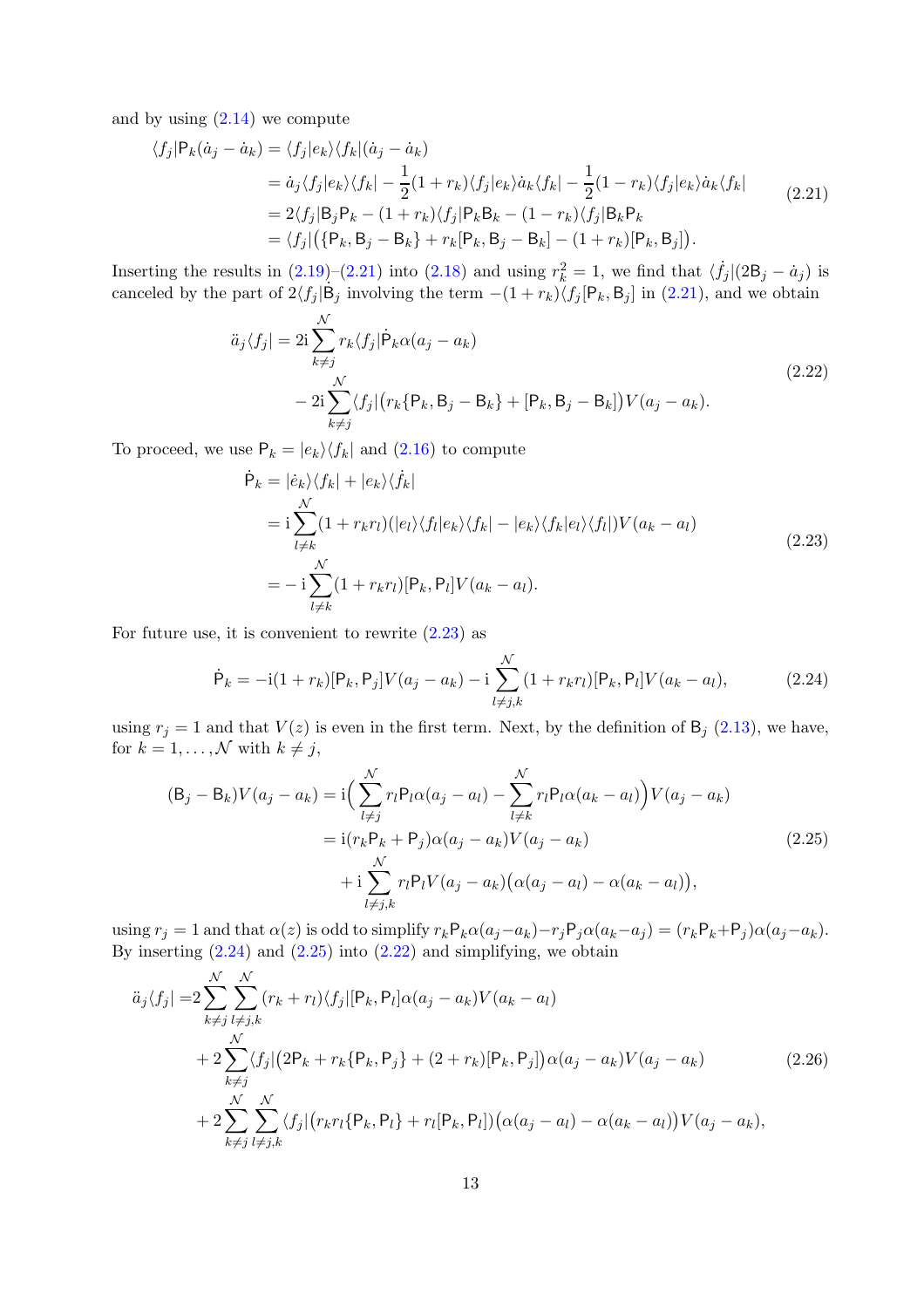and by using  $(2.14)$  we compute

<span id="page-12-0"></span>
$$
\langle f_j | P_k(\dot{a}_j - \dot{a}_k) \rangle = \langle f_j | e_k \rangle \langle f_k | (\dot{a}_j - \dot{a}_k) \rangle
$$
  
\n
$$
= \dot{a}_j \langle f_j | e_k \rangle \langle f_k | - \frac{1}{2} (1 + r_k) \langle f_j | e_k \rangle \dot{a}_k \langle f_k | - \frac{1}{2} (1 - r_k) \langle f_j | e_k \rangle \dot{a}_k \langle f_k |
$$
  
\n
$$
= 2 \langle f_j | B_j P_k - (1 + r_k) \langle f_j | P_k B_k - (1 - r_k) \langle f_j | B_k P_k |
$$
  
\n
$$
= \langle f_j | (\{P_k, B_j - B_k\} + r_k [P_k, B_j - B_k] - (1 + r_k) [P_k, B_j]).
$$
\n(2.21)

Inserting the results in  $(2.19)-(2.21)$  $(2.19)-(2.21)$  into  $(2.18)$  and using  $r_k^2 = 1$ , we find that  $\langle \dot{f}_j |(2B_j - \dot{a}_j)$  is canceled by the part of  $2\langle f_j | \dot{B}_j \text{ involving the term } -(1 + r_k)\langle f_j | P_k, B_j ]$  in [\(2.21\)](#page-12-0), and we obtain

$$
\ddot{a}_{j}\langle f_{j}| = 2i \sum_{k \neq j}^{N} r_{k}\langle f_{j}| \dot{P}_{k} \alpha(a_{j} - a_{k})
$$
\n
$$
- 2i \sum_{k \neq j}^{N} \langle f_{j}| (r_{k} \{P_{k}, B_{j} - B_{k}\} + [P_{k}, B_{j} - B_{k}]) V(a_{j} - a_{k}).
$$
\n(2.22)

<span id="page-12-4"></span><span id="page-12-1"></span>To proceed, we use  $P_k = |e_k\rangle\langle f_k|$  and [\(2.16\)](#page-11-1) to compute

$$
\dot{\mathsf{P}}_k = | \dot{e}_k \rangle \langle f_k | + | e_k \rangle \langle \dot{f}_k |
$$
\n
$$
= \mathbf{i} \sum_{l \neq k}^{\mathcal{N}} (1 + r_k r_l) (|e_l\rangle \langle f_l | e_k \rangle \langle f_k | - |e_k\rangle \langle f_k | e_l \rangle \langle f_l |) V(a_k - a_l)
$$
\n
$$
= -\mathbf{i} \sum_{l \neq k}^{\mathcal{N}} (1 + r_k r_l) [\mathsf{P}_k, \mathsf{P}_l] V(a_k - a_l).
$$
\n(2.23)

For future use, it is convenient to rewrite  $(2.23)$  as

<span id="page-12-2"></span>
$$
\dot{\mathsf{P}}_k = -\mathrm{i}(1+r_k)[\mathsf{P}_k, \mathsf{P}_j]V(a_j - a_k) - \mathrm{i} \sum_{l \neq j,k}^{N} (1+r_k r_l)[\mathsf{P}_k, \mathsf{P}_l]V(a_k - a_l), \tag{2.24}
$$

using  $r_j = 1$  and that  $V(z)$  is even in the first term. Next, by the definition of  $B_j$  [\(2.13\)](#page-11-2), we have, for  $k = 1, ..., \mathcal{N}$  with  $k \neq j$ ,

<span id="page-12-3"></span>
$$
(\mathsf{B}_{j} - \mathsf{B}_{k})V(a_{j} - a_{k}) = \mathrm{i}\Big(\sum_{l \neq j}^{N} r_{l}\mathsf{P}_{l}\alpha(a_{j} - a_{l}) - \sum_{l \neq k}^{N} r_{l}\mathsf{P}_{l}\alpha(a_{k} - a_{l})\Big)V(a_{j} - a_{k})
$$

$$
= \mathrm{i}(r_{k}\mathsf{P}_{k} + \mathsf{P}_{j})\alpha(a_{j} - a_{k})V(a_{j} - a_{k})
$$

$$
+ \mathrm{i}\sum_{l \neq j,k}^{N} r_{l}\mathsf{P}_{l}V(a_{j} - a_{k})\big(\alpha(a_{j} - a_{l}) - \alpha(a_{k} - a_{l})\big), \tag{2.25}
$$

using  $r_j = 1$  and that  $\alpha(z)$  is odd to simplify  $r_k \mathsf{P}_k \alpha(a_j - a_k) - r_j \mathsf{P}_j \alpha(a_k - a_j) = (r_k \mathsf{P}_k + \mathsf{P}_j) \alpha(a_j - a_k)$ . By inserting  $(2.24)$  and  $(2.25)$  into  $(2.22)$  and simplifying, we obtain

<span id="page-12-5"></span>
$$
\ddot{a}_{j}\langle f_{j}| = 2\sum_{k\neq j}^{N} \sum_{l\neq j,k}^{N} (r_{k} + r_{l})\langle f_{j}|[P_{k}, P_{l}]\alpha(a_{j} - a_{k})V(a_{k} - a_{l}) \n+ 2\sum_{k\neq j}^{N}\langle f_{j}|(2P_{k} + r_{k}\{P_{k}, P_{j}\} + (2 + r_{k})[P_{k}, P_{j}])\alpha(a_{j} - a_{k})V(a_{j} - a_{k}) \n+ 2\sum_{k\neq j}^{N} \sum_{l\neq j,k}^{N}\langle f_{j}|(r_{k}r_{l}\{P_{k}, P_{l}\} + r_{l}[P_{k}, P_{l}])(\alpha(a_{j} - a_{l}) - \alpha(a_{k} - a_{l}))V(a_{j} - a_{k}),
$$
\n(2.26)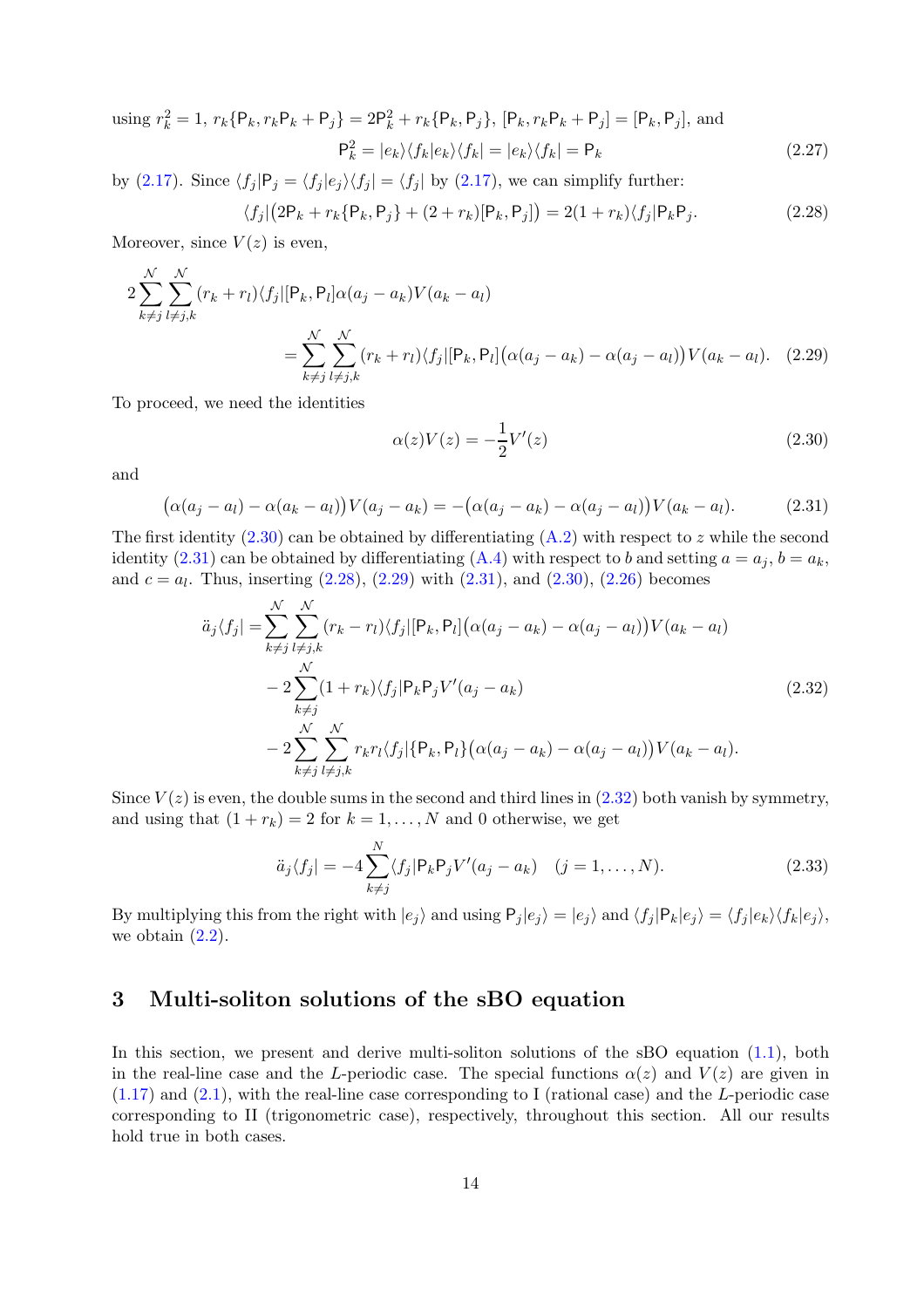using 
$$
r_k^2 = 1
$$
,  $r_k \{P_k, r_k P_k + P_j\} = 2P_k^2 + r_k \{P_k, P_j\}$ ,  $[P_k, r_k P_k + P_j] = [P_k, P_j]$ , and  

$$
P_k^2 = |e_k\rangle\langle f_k|e_k\rangle\langle f_k| = |e_k\rangle\langle f_k| = P_k
$$
(2.27)

by [\(2.17\)](#page-11-5). Since  $\langle f_j | P_j = \langle f_j | e_j \rangle \langle f_j | = \langle f_j |$  by (2.17), we can simplify further:

<span id="page-13-3"></span>
$$
\langle f_j | (2\mathsf{P}_k + r_k \{ \mathsf{P}_k, \mathsf{P}_j \} + (2 + r_k) [\mathsf{P}_k, \mathsf{P}_j] \rangle = 2(1 + r_k) \langle f_j | \mathsf{P}_k \mathsf{P}_j. \tag{2.28}
$$

Moreover, since  $V(z)$  is even,

$$
2\sum_{k\neq j}^{N} \sum_{l\neq j,k}^{N} (r_k + r_l) \langle f_j | [P_k, P_l] \alpha(a_j - a_k) V(a_k - a_l)
$$
  
= 
$$
\sum_{k\neq j}^{N} \sum_{l\neq j,k}^{N} (r_k + r_l) \langle f_j | [P_k, P_l] (\alpha(a_j - a_k) - \alpha(a_j - a_l)) V(a_k - a_l). \quad (2.29)
$$

To proceed, we need the identities

<span id="page-13-4"></span><span id="page-13-1"></span>
$$
\alpha(z)V(z) = -\frac{1}{2}V'(z)
$$
\n(2.30)

and

<span id="page-13-2"></span>
$$
(\alpha(a_j - a_l) - \alpha(a_k - a_l))V(a_j - a_k) = -(\alpha(a_j - a_k) - \alpha(a_j - a_l))V(a_k - a_l).
$$
 (2.31)

The first identity  $(2.30)$  can be obtained by differentiating  $(A.2)$  with respect to z while the second identity [\(2.31\)](#page-13-2) can be obtained by differentiating [\(A.4\)](#page-24-3) with respect to b and setting  $a = a_j$ ,  $b = a_k$ , and  $c = a_l$ . Thus, inserting  $(2.28)$ ,  $(2.29)$  with  $(2.31)$ , and  $(2.30)$ ,  $(2.26)$  becomes

$$
\ddot{a}_{j}\langle f_{j}| = \sum_{k \neq j}^{N} \sum_{l \neq j,k}^{N} (r_{k} - r_{l}) \langle f_{j}| [P_{k}, P_{l}] (\alpha(a_{j} - a_{k}) - \alpha(a_{j} - a_{l})) V(a_{k} - a_{l}) \n- 2 \sum_{k \neq j}^{N} (1 + r_{k}) \langle f_{j} | P_{k} P_{j} V'(a_{j} - a_{k}) \n- 2 \sum_{k \neq j}^{N} \sum_{l \neq j,k}^{N} r_{k} r_{l} \langle f_{j} | \{P_{k}, P_{l}\} (\alpha(a_{j} - a_{k}) - \alpha(a_{j} - a_{l})) V(a_{k} - a_{l}).
$$
\n(2.32)

<span id="page-13-5"></span>Since  $V(z)$  is even, the double sums in the second and third lines in  $(2.32)$  both vanish by symmetry, and using that  $(1 + r_k) = 2$  for  $k = 1, ..., N$  and 0 otherwise, we get

$$
\ddot{a}_j \langle f_j | = -4 \sum_{k \neq j}^N \langle f_j | P_k P_j V'(a_j - a_k) \quad (j = 1, ..., N). \tag{2.33}
$$

By multiplying this from the right with  $|e_j\rangle$  and using  $P_j |e_j\rangle = |e_j\rangle$  and  $\langle f_j | P_k | e_j \rangle = \langle f_j | e_k \rangle \langle f_k | e_j \rangle$ , we obtain  $(2.2)$ .

## <span id="page-13-0"></span>3 Multi-soliton solutions of the sBO equation

In this section, we present and derive multi-soliton solutions of the sBO equation [\(1.1\)](#page-0-0), both in the real-line case and the L-periodic case. The special functions  $\alpha(z)$  and  $V(z)$  are given in  $(1.17)$  and  $(2.1)$ , with the real-line case corresponding to I (rational case) and the L-periodic case corresponding to II (trigonometric case), respectively, throughout this section. All our results hold true in both cases.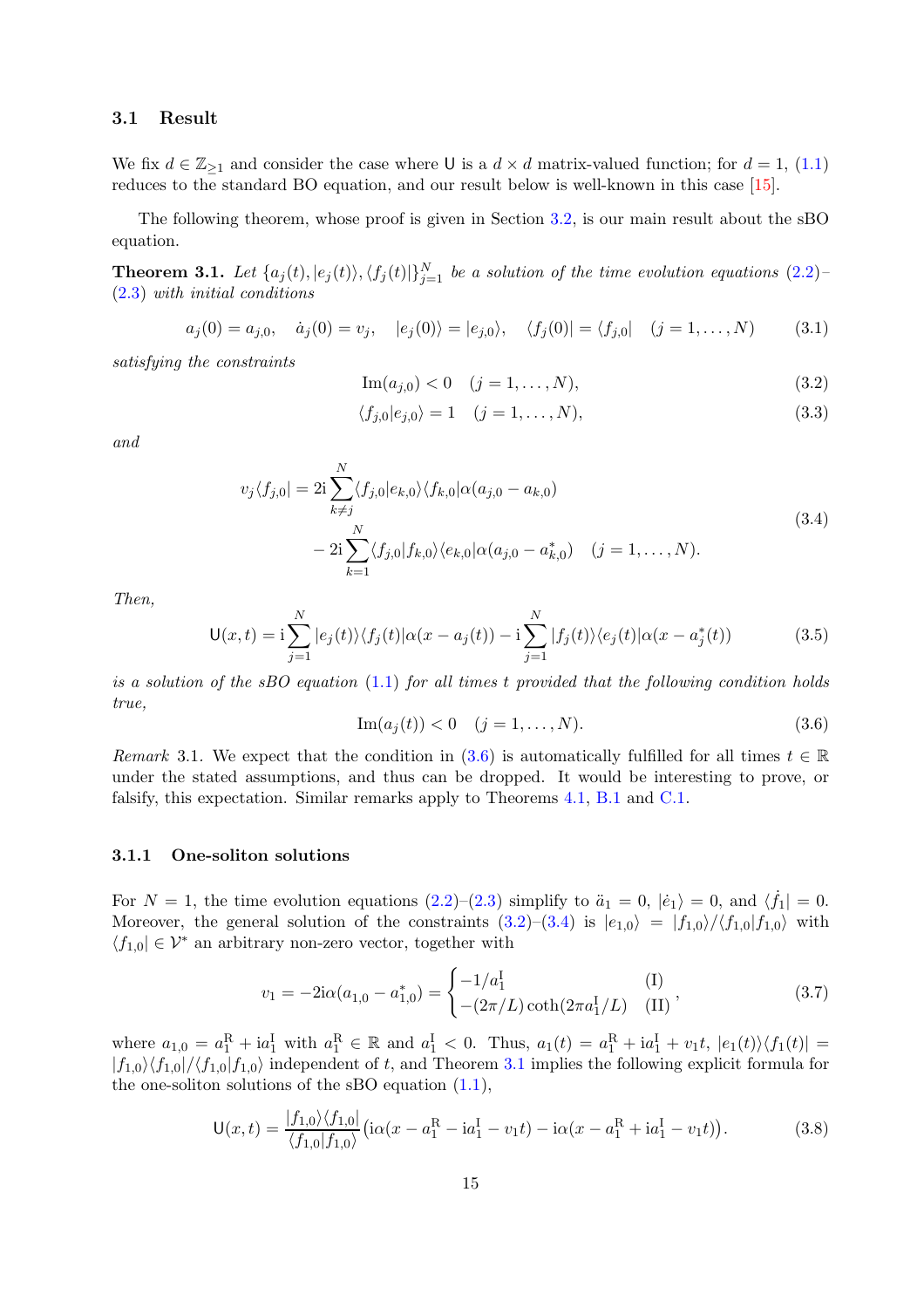## <span id="page-14-7"></span>3.1 Result

We fix  $d \in \mathbb{Z}_{\geq 1}$  and consider the case where U is a  $d \times d$  matrix-valued function; for  $d = 1$ , [\(1.1\)](#page-0-0) reduces to the standard BO equation, and our result below is well-known in this case [\[15\]](#page-31-14).

The following theorem, whose proof is given in Section [3.2,](#page-16-0) is our main result about the sBO equation.

<span id="page-14-0"></span>**Theorem 3.1.** Let  $\{a_j(t), |e_j(t)\rangle, \langle f_j(t)|\}_{j=1}^N$  be a solution of the time evolution equations [\(2.2\)](#page-9-4)– [\(2.3\)](#page-9-3) *with initial conditions*

$$
a_j(0) = a_{j,0}, \quad \dot{a}_j(0) = v_j, \quad |e_j(0)\rangle = |e_{j,0}\rangle, \quad \langle f_j(0)| = \langle f_{j,0}| \quad (j = 1, ..., N) \quad (3.1)
$$

*satisfying the constraints*

<span id="page-14-4"></span>
$$
Im(a_{j,0}) < 0 \quad (j = 1, ..., N),
$$
\n(3.2)

<span id="page-14-1"></span>
$$
\langle f_{j,0}|e_{j,0}\rangle = 1 \quad (j = 1, ..., N),
$$
\n(3.3)

<span id="page-14-2"></span>*and*

$$
v_j \langle f_{j,0} \rangle = 2i \sum_{k \neq j}^{N} \langle f_{j,0} | e_{k,0} \rangle \langle f_{k,0} | \alpha(a_{j,0} - a_{k,0})
$$
  

$$
- 2i \sum_{k=1}^{N} \langle f_{j,0} | f_{k,0} \rangle \langle e_{k,0} | \alpha(a_{j,0} - a_{k,0}^*) \quad (j = 1, ..., N).
$$
 (3.4)

*Then,*

<span id="page-14-6"></span>
$$
\mathsf{U}(x,t) = \mathrm{i} \sum_{j=1}^{N} |e_j(t)\rangle \langle f_j(t)|\alpha(x - a_j(t)) - \mathrm{i} \sum_{j=1}^{N} |f_j(t)\rangle \langle e_j(t)|\alpha(x - a_j^*(t))
$$
\n(3.5)

*is a solution of the sBO equation* [\(1.1\)](#page-0-0) *for all times* t *provided that the following condition holds true,*

<span id="page-14-3"></span>
$$
Im(a_j(t)) < 0 \quad (j = 1, ..., N). \tag{3.6}
$$

*Remark* 3.1. We expect that the condition in [\(3.6\)](#page-14-3) is automatically fulfilled for all times  $t \in \mathbb{R}$ under the stated assumptions, and thus can be dropped. It would be interesting to prove, or falsify, this expectation. Similar remarks apply to Theorems [4.1,](#page-20-0) [B.1](#page-25-0) and [C.1.](#page-27-1)

#### 3.1.1 One-soliton solutions

For  $N = 1$ , the time evolution equations  $(2.2)$ – $(2.3)$  simplify to  $\ddot{a}_1 = 0$ ,  $|\dot{e}_1\rangle = 0$ , and  $\langle \dot{f}_1| = 0$ . Moreover, the general solution of the constraints  $(3.2)$ – $(3.4)$  is  $|e_{1,0}\rangle = |f_{1,0}\rangle / \langle f_{1,0}|f_{1,0}\rangle$  with  $\langle f_{1,0} | \in \mathcal{V}^*$  an arbitrary non-zero vector, together with

$$
v_1 = -2i\alpha (a_{1,0} - a_{1,0}^*) = \begin{cases} -1/a_1^{\text{I}} & (\text{I}) \\ -(2\pi/L)\coth(2\pi a_1^{\text{I}}/L) & (\text{II}) \end{cases},
$$
(3.7)

where  $a_{1,0} = a_1^R + ia_1^I$  with  $a_1^R \in \mathbb{R}$  and  $a_1^I < 0$ . Thus,  $a_1(t) = a_1^R + ia_1^I + v_1t$ ,  $|e_1(t)\rangle\langle f_1(t)| =$  $|f_{1,0}\rangle\langle f_{1,0}|/f_{1,0}|f_{1,0}\rangle$  independent of t, and Theorem [3.1](#page-14-0) implies the following explicit formula for the one-soliton solutions of the sBO equation  $(1.1)$ ,

<span id="page-14-5"></span>
$$
\mathsf{U}(x,t) = \frac{|f_{1,0}\rangle\langle f_{1,0}|}{\langle f_{1,0}|f_{1,0}\rangle} \big( i\alpha(x - a_1^R - i a_1^I - v_1 t) - i\alpha(x - a_1^R + i a_1^I - v_1 t) \big). \tag{3.8}
$$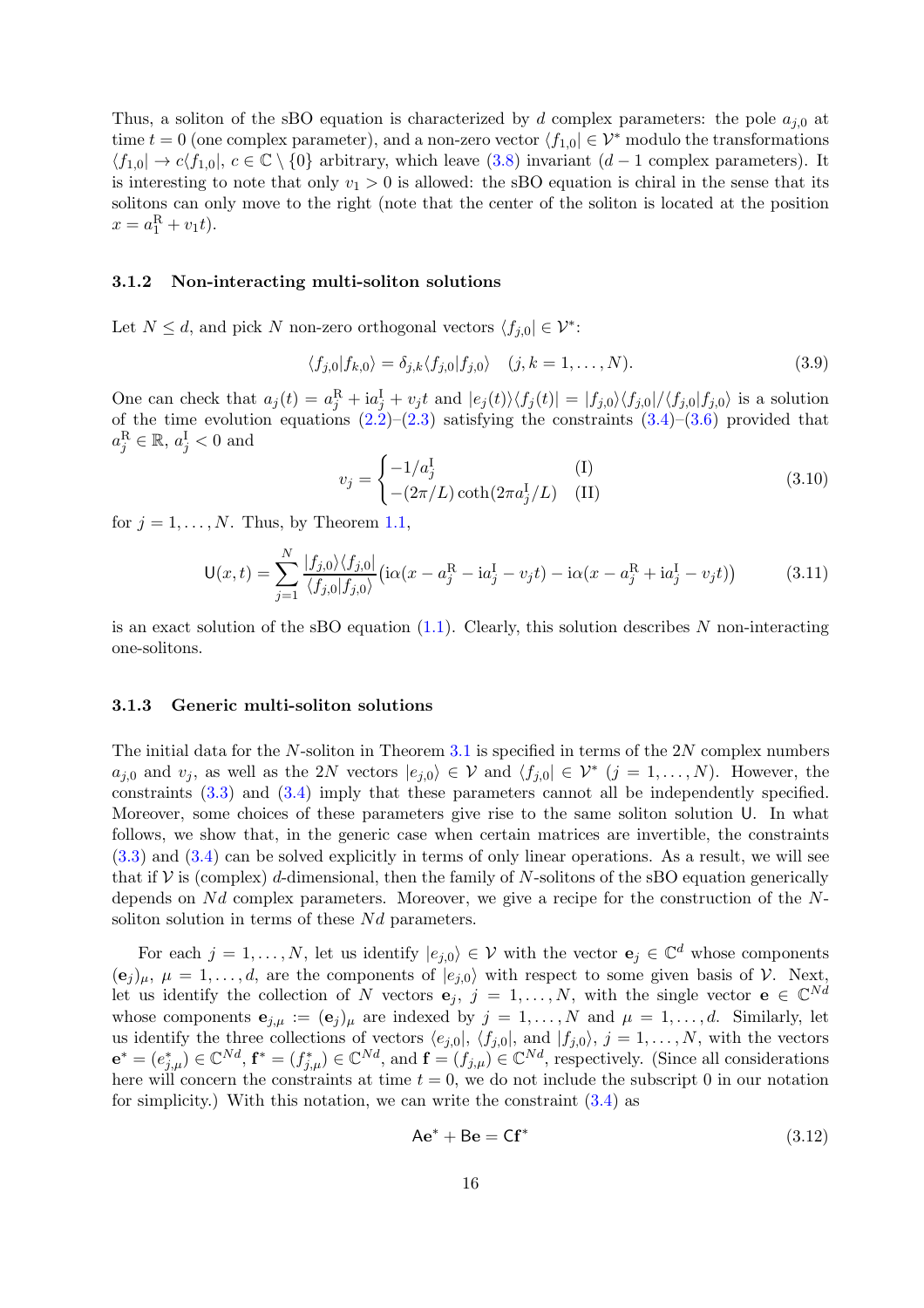Thus, a soliton of the sBO equation is characterized by d complex parameters: the pole  $a_{i,0}$  at time  $t = 0$  (one complex parameter), and a non-zero vector  $\langle f_{1,0} | \in \mathcal{V}^*$  modulo the transformations  $\langle f_{1,0} | \rightarrow c \langle f_{1,0} |, c \in \mathbb{C} \setminus \{0\}$  arbitrary, which leave [\(3.8\)](#page-14-5) invariant (d − 1 complex parameters). It is interesting to note that only  $v_1 > 0$  is allowed: the sBO equation is chiral in the sense that its solitons can only move to the right (note that the center of the soliton is located at the position  $x = a_1^{\rm R} + v_1 t$ .

#### 3.1.2 Non-interacting multi-soliton solutions

Let  $N \leq d$ , and pick N non-zero orthogonal vectors  $\langle f_{j,0} | \in \mathcal{V}^*$ :

$$
\langle f_{j,0} | f_{k,0} \rangle = \delta_{j,k} \langle f_{j,0} | f_{j,0} \rangle \quad (j,k = 1,\dots,N). \tag{3.9}
$$

One can check that  $a_j(t) = a_j^R + ia_j^I + v_jt$  and  $|e_j(t)\rangle\langle f_j(t)| = |f_{j,0}\rangle\langle f_{j,0}|/ \langle f_{j,0}|f_{j,0}\rangle$  is a solution of the time evolution equations  $(2.2)$ – $(2.3)$  satisfying the constraints  $(3.4)$ – $(3.6)$  provided that  $a_j^{\rm R} \in \mathbb{R}, a_j^{\rm I} < 0$  and

$$
v_j = \begin{cases} -1/a_j^{\text{I}} & \text{(I)}\\ -(2\pi/L)\coth(2\pi a_j^{\text{I}}/L) & \text{(II)} \end{cases}
$$
(3.10)

for  $j = 1, \ldots, N$ . Thus, by Theorem [1.1,](#page-0-0)

$$
\mathsf{U}(x,t) = \sum_{j=1}^{N} \frac{|f_{j,0}\rangle \langle f_{j,0}|}{\langle f_{j,0}|f_{j,0}\rangle} \left( i\alpha (x - a_j^{\mathrm{R}} - i a_j^{\mathrm{I}} - v_j t) - i\alpha (x - a_j^{\mathrm{R}} + i a_j^{\mathrm{I}} - v_j t) \right)
$$
(3.11)

is an exact solution of the sBO equation  $(1.1)$ . Clearly, this solution describes N non-interacting one-solitons.

#### <span id="page-15-0"></span>3.1.3 Generic multi-soliton solutions

The initial data for the  $N$ -soliton in Theorem [3.1](#page-14-0) is specified in terms of the  $2N$  complex numbers  $a_{j,0}$  and  $v_j$ , as well as the 2N vectors  $|e_{j,0}\rangle \in \mathcal{V}$  and  $\langle f_{j,0} | \in \mathcal{V}^*$   $(j = 1, ..., N)$ . However, the constraints [\(3.3\)](#page-14-1) and [\(3.4\)](#page-14-2) imply that these parameters cannot all be independently specified. Moreover, some choices of these parameters give rise to the same soliton solution U. In what follows, we show that, in the generic case when certain matrices are invertible, the constraints [\(3.3\)](#page-14-1) and [\(3.4\)](#page-14-2) can be solved explicitly in terms of only linear operations. As a result, we will see that if  $V$  is (complex) d-dimensional, then the family of N-solitons of the sBO equation generically depends on  $Nd$  complex parameters. Moreover, we give a recipe for the construction of the  $N$ soliton solution in terms of these  $Nd$  parameters.

For each  $j = 1, ..., N$ , let us identify  $|e_{j,0}\rangle \in \mathcal{V}$  with the vector  $e_j \in \mathbb{C}^d$  whose components  $(e_j)_{\mu}, \mu = 1, \ldots, d$ , are the components of  $|e_{j,0}\rangle$  with respect to some given basis of V. Next, let us identify the collection of N vectors  $e_j$ ,  $j = 1, ..., N$ , with the single vector  $e \in \mathbb{C}^{Nd}$ whose components  $\mathbf{e}_{j,\mu} := (\mathbf{e}_j)_{\mu}$  are indexed by  $j = 1, \dots, N$  and  $\mu = 1, \dots, d$ . Similarly, let us identify the three collections of vectors  $\langle e_{j,0}|, \langle f_{j,0}|, \text{ and } |f_{j,0}\rangle, j = 1, \ldots, N$ , with the vectors  $\mathbf{e}^* = (e_{j,\mu}^*) \in \mathbb{C}^{Nd}$ ,  $\mathbf{f}^* = (f_{j,\mu}^*) \in \mathbb{C}^{Nd}$ , and  $\mathbf{f} = (f_{j,\mu}) \in \mathbb{C}^{Nd}$ , respectively. (Since all considerations here will concern the constraints at time  $t = 0$ , we do not include the subscript 0 in our notation for simplicity.) With this notation, we can write the constraint  $(3.4)$  as

<span id="page-15-1"></span>
$$
Ae^* + Be = Cf^* \tag{3.12}
$$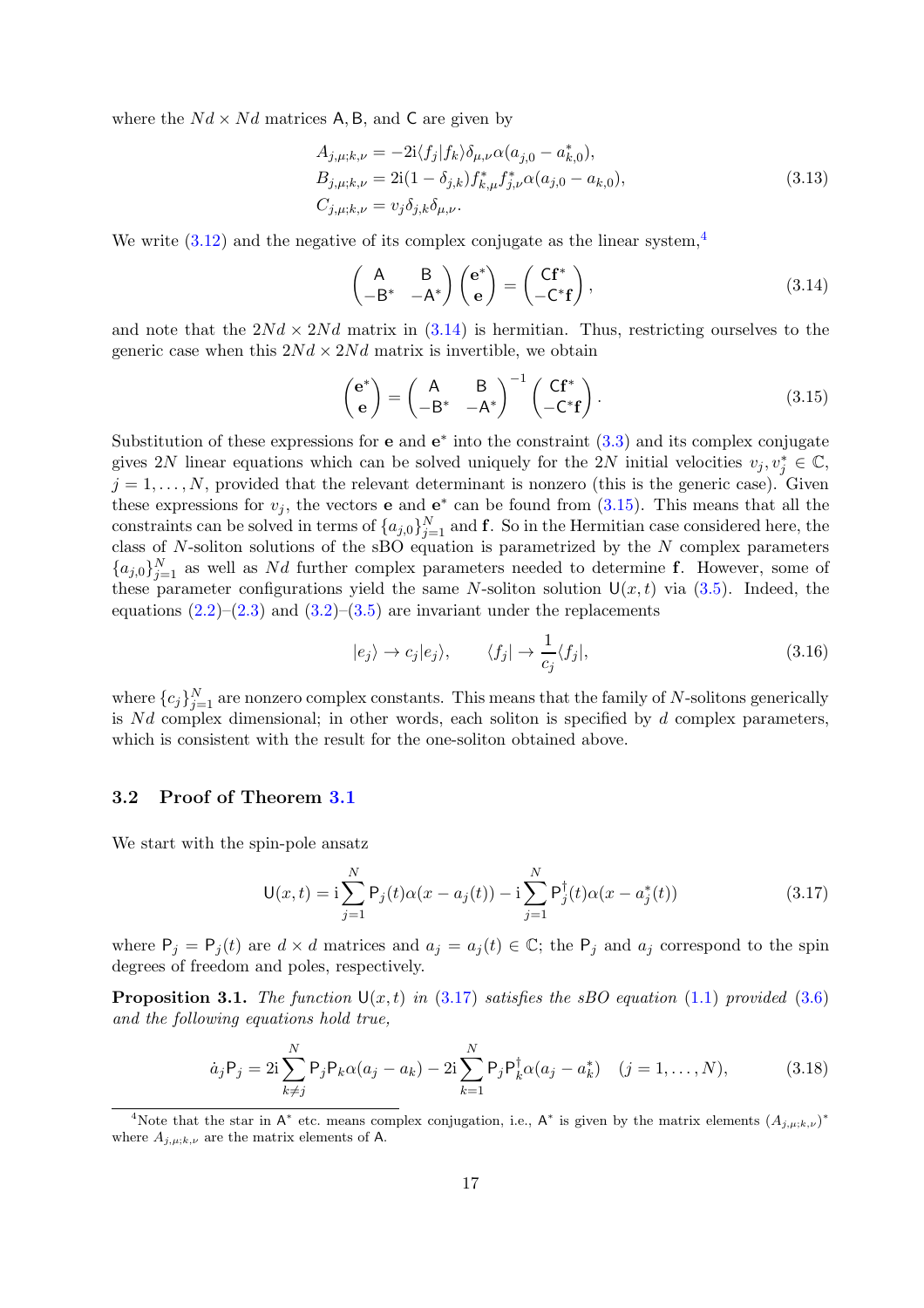where the  $Nd \times Nd$  matrices A, B, and C are given by

$$
A_{j,\mu;k,\nu} = -2i \langle f_j | f_k \rangle \delta_{\mu,\nu} \alpha(a_{j,0} - a_{k,0}^*),
$$
  
\n
$$
B_{j,\mu;k,\nu} = 2i(1 - \delta_{j,k}) f_{k,\mu}^* f_{j,\nu}^* \alpha(a_{j,0} - a_{k,0}),
$$
  
\n
$$
C_{j,\mu;k,\nu} = v_j \delta_{j,k} \delta_{\mu,\nu}.
$$
\n(3.13)

We write  $(3.12)$  and the negative of its complex conjugate as the linear system,<sup>[4](#page-16-1)</sup>

<span id="page-16-2"></span>
$$
\begin{pmatrix} A & B \ -B^* & -A^* \end{pmatrix} \begin{pmatrix} e^* \\ e \end{pmatrix} = \begin{pmatrix} Cf^* \\ -C^*f \end{pmatrix},
$$
\n(3.14)

and note that the  $2Nd \times 2Nd$  matrix in  $(3.14)$  is hermitian. Thus, restricting ourselves to the generic case when this  $2Nd \times 2Nd$  matrix is invertible, we obtain

<span id="page-16-3"></span>
$$
\begin{pmatrix} \mathbf{e}^* \\ \mathbf{e} \end{pmatrix} = \begin{pmatrix} A & B \\ -B^* & -A^* \end{pmatrix}^{-1} \begin{pmatrix} C\mathbf{f}^* \\ -C^*\mathbf{f} \end{pmatrix}.
$$
 (3.15)

Substitution of these expressions for  $e$  and  $e^*$  into the constraint  $(3.3)$  and its complex conjugate gives 2N linear equations which can be solved uniquely for the 2N initial velocities  $v_j, v_j^* \in \mathbb{C}$ ,  $j = 1, \ldots, N$ , provided that the relevant determinant is nonzero (this is the generic case). Given these expressions for  $v_j$ , the vectors **e** and **e**<sup>\*</sup> can be found from  $(3.15)$ . This means that all the constraints can be solved in terms of  $\{a_{j,0}\}_{j=1}^N$  and **f**. So in the Hermitian case considered here, the class of  $N$ -soliton solutions of the sBO equation is parametrized by the  $N$  complex parameters  ${a_{j,0}}_{j=1}^N$  as well as Nd further complex parameters needed to determine f. However, some of these parameter configurations yield the same N-soliton solution  $U(x, t)$  via [\(3.5\)](#page-14-6). Indeed, the equations  $(2.2)$ – $(2.3)$  and  $(3.2)$ – $(3.5)$  are invariant under the replacements

$$
|e_j\rangle \to c_j|e_j\rangle, \qquad \langle f_j| \to \frac{1}{c_j}\langle f_j|,\tag{3.16}
$$

where  $\{c_j\}_{j=1}^N$  are nonzero complex constants. This means that the family of N-solitons generically is  $Nd$  complex dimensional; in other words, each soliton is specified by  $d$  complex parameters, which is consistent with the result for the one-soliton obtained above.

#### <span id="page-16-0"></span>3.2 Proof of Theorem [3.1](#page-14-0)

We start with the spin-pole ansatz

<span id="page-16-4"></span>
$$
U(x,t) = i \sum_{j=1}^{N} P_j(t) \alpha(x - a_j(t)) - i \sum_{j=1}^{N} P_j^{\dagger}(t) \alpha(x - a_j^*(t))
$$
\n(3.17)

where  $P_j = P_j(t)$  are  $d \times d$  matrices and  $a_j = a_j(t) \in \mathbb{C}$ ; the  $P_j$  and  $a_j$  correspond to the spin degrees of freedom and poles, respectively.

<span id="page-16-6"></span>**Proposition 3.1.** *The function*  $U(x, t)$  *in* [\(3.17\)](#page-16-4) *satisfies the sBO equation* [\(1.1\)](#page-0-0) *provided* [\(3.6\)](#page-14-3) *and the following equations hold true,*

<span id="page-16-5"></span>
$$
\dot{a}_j P_j = 2i \sum_{k \neq j}^N P_j P_k \alpha(a_j - a_k) - 2i \sum_{k=1}^N P_j P_k^{\dagger} \alpha(a_j - a_k^*) \quad (j = 1, ..., N),
$$
 (3.18)

<span id="page-16-1"></span><sup>&</sup>lt;sup>4</sup>Note that the star in A<sup>\*</sup> etc. means complex conjugation, i.e., A<sup>\*</sup> is given by the matrix elements  $(A_{j,\mu;k,\nu})^*$ where  $A_{j,\mu;k,\nu}$  are the matrix elements of A.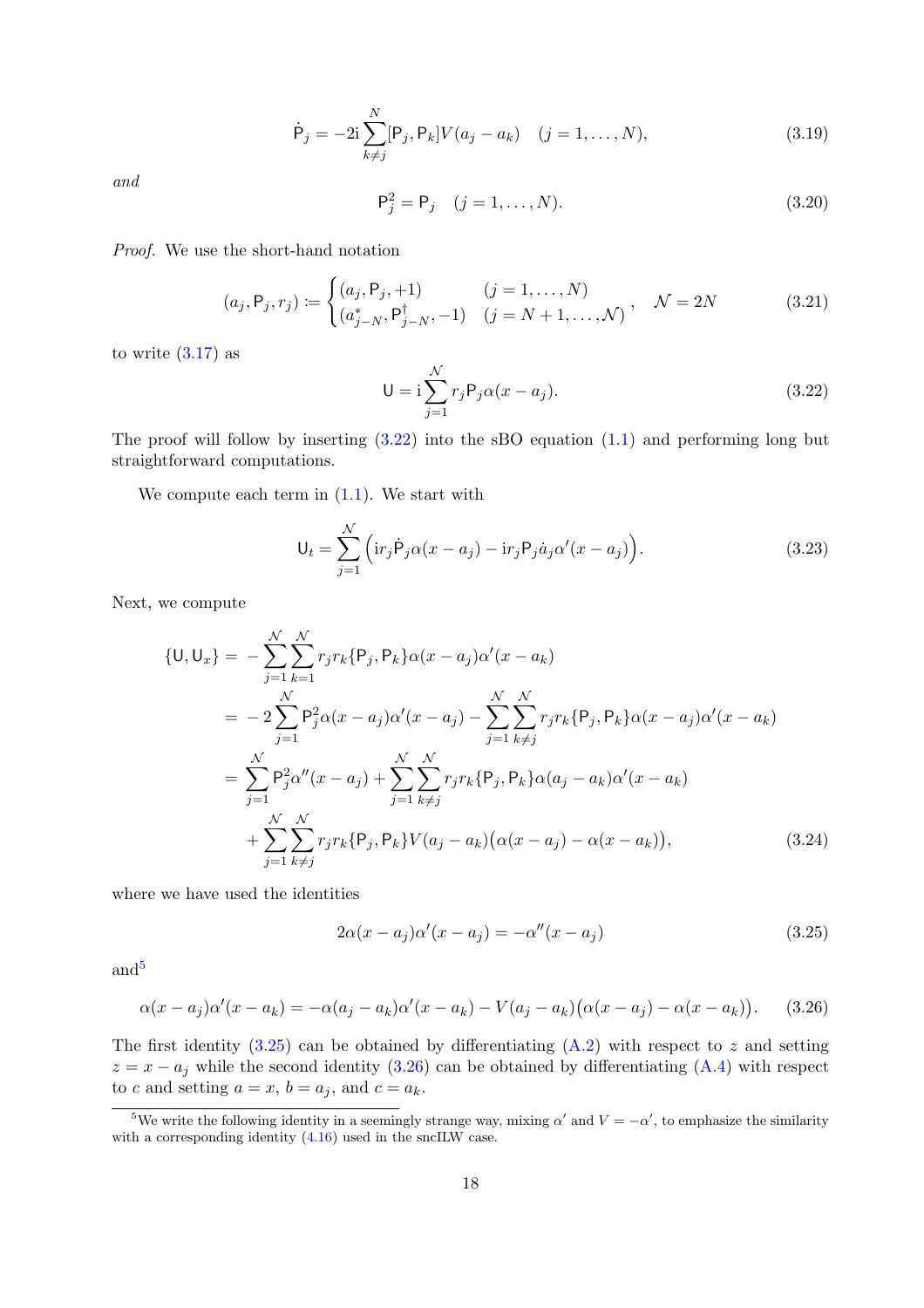<span id="page-17-7"></span>
$$
\dot{\mathsf{P}}_j = -2\mathbf{i} \sum_{k \neq j}^N [\mathsf{P}_j, \mathsf{P}_k] V(a_j - a_k) \quad (j = 1, \dots, N), \tag{3.19}
$$

*and*

<span id="page-17-8"></span>
$$
\mathsf{P}_j^2 = \mathsf{P}_j \quad (j = 1, \dots, N). \tag{3.20}
$$

*Proof.* We use the short-hand notation

<span id="page-17-6"></span>
$$
(a_j, P_j, r_j) := \begin{cases} (a_j, P_j, +1) & (j = 1, ..., N) \\ (a_{j-N}^*, P_{j-N}^\dagger, -1) & (j = N+1, ..., N) \end{cases}, \quad \mathcal{N} = 2N
$$
 (3.21)

to write  $(3.17)$  as

<span id="page-17-0"></span>
$$
U = i \sum_{j=1}^{N} r_j P_j \alpha(x - a_j).
$$
 (3.22)

The proof will follow by inserting  $(3.22)$  into the sBO equation  $(1.1)$  and performing long but straightforward computations.

We compute each term in  $(1.1)$ . We start with

<span id="page-17-5"></span>
$$
\mathsf{U}_{t} = \sum_{j=1}^{N} \left( \mathrm{ir}_{j} \dot{\mathsf{P}}_{j} \alpha(x - a_{j}) - \mathrm{ir}_{j} \mathsf{P}_{j} \dot{a}_{j} \alpha'(x - a_{j}) \right). \tag{3.23}
$$

Next, we compute

$$
\{U, U_x\} = -\sum_{j=1}^{N} \sum_{k=1}^{N} r_j r_k \{P_j, P_k\} \alpha(x - a_j) \alpha'(x - a_k)
$$
  
\n
$$
= -2 \sum_{j=1}^{N} P_j^2 \alpha(x - a_j) \alpha'(x - a_j) - \sum_{j=1}^{N} \sum_{k \neq j}^{N} r_j r_k \{P_j, P_k\} \alpha(x - a_j) \alpha'(x - a_k)
$$
  
\n
$$
= \sum_{j=1}^{N} P_j^2 \alpha''(x - a_j) + \sum_{j=1}^{N} \sum_{k \neq j}^{N} r_j r_k \{P_j, P_k\} \alpha(a_j - a_k) \alpha'(x - a_k)
$$
  
\n
$$
+ \sum_{j=1}^{N} \sum_{k \neq j}^{N} r_j r_k \{P_j, P_k\} V(a_j - a_k) (\alpha(x - a_j) - \alpha(x - a_k)), \qquad (3.24)
$$

where we have used the identities

<span id="page-17-4"></span><span id="page-17-2"></span>
$$
2\alpha(x-a_j)\alpha'(x-a_j) = -\alpha''(x-a_j)
$$
\n(3.25)

and<sup>[5](#page-17-1)</sup>

<span id="page-17-3"></span>
$$
\alpha(x - a_j)\alpha'(x - a_k) = -\alpha(a_j - a_k)\alpha'(x - a_k) - V(a_j - a_k)(\alpha(x - a_j) - \alpha(x - a_k)).
$$
 (3.26)

The first identity  $(3.25)$  can be obtained by differentiating  $(A.2)$  with respect to z and setting  $z = x - a_j$  while the second identity [\(3.26\)](#page-17-3) can be obtained by differentiating [\(A.4\)](#page-24-3) with respect to c and setting  $a = x$ ,  $b = a_j$ , and  $c = a_k$ .

<span id="page-17-1"></span><sup>&</sup>lt;sup>5</sup>We write the following identity in a seemingly strange way, mixing  $\alpha'$  and  $V = -\alpha'$ , to emphasize the similarity with a corresponding identity [\(4.16\)](#page-22-2) used in the sncILW case.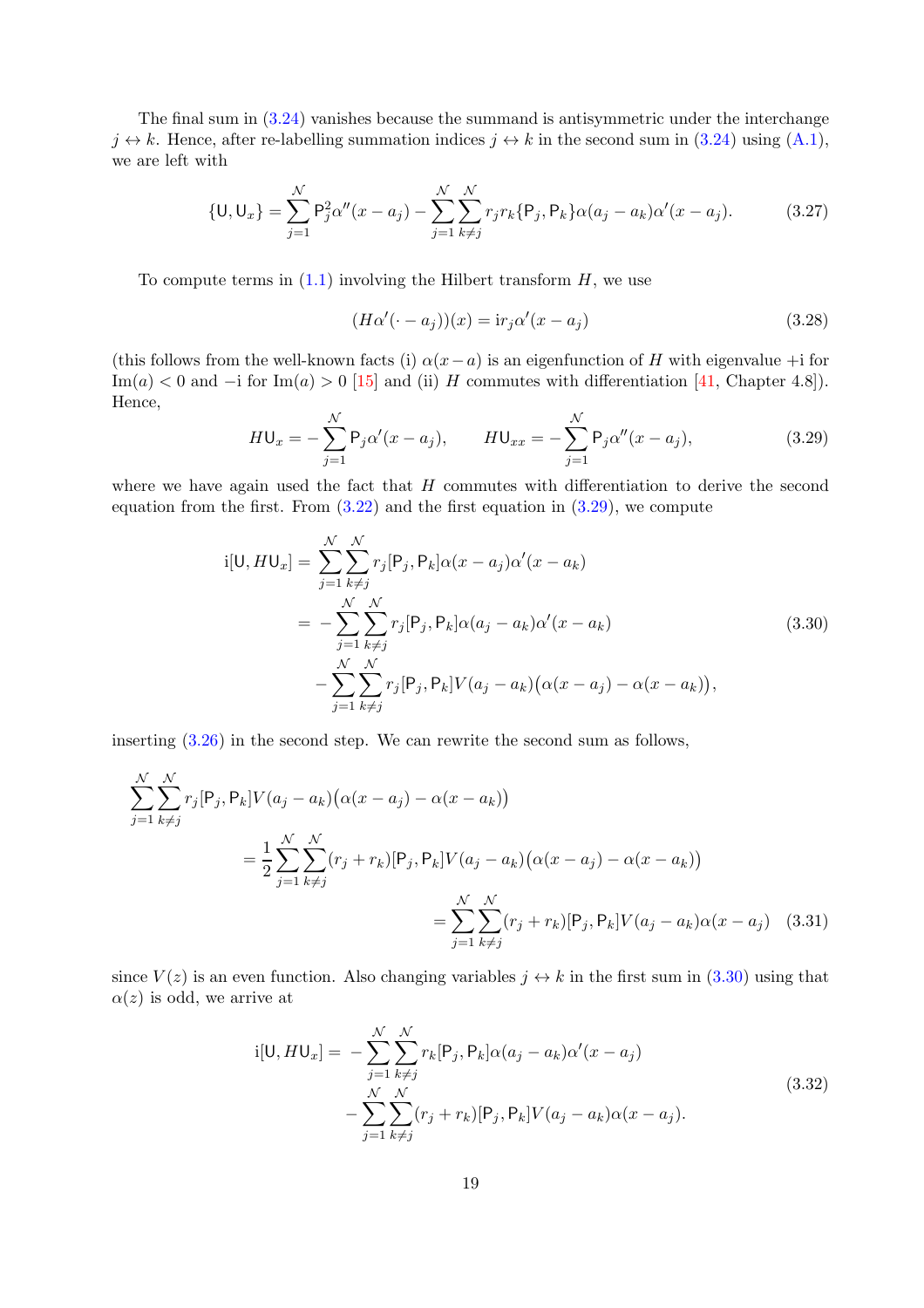The final sum in [\(3.24\)](#page-17-4) vanishes because the summand is antisymmetric under the interchange  $j \leftrightarrow k$ . Hence, after re-labelling summation indices  $j \leftrightarrow k$  in the second sum in [\(3.24\)](#page-17-4) using [\(A.1\)](#page-24-4), we are left with

<span id="page-18-2"></span>
$$
\{U, U_x\} = \sum_{j=1}^{N} P_j^2 \alpha''(x - a_j) - \sum_{j=1}^{N} \sum_{k \neq j}^{N} r_j r_k \{P_j, P_k\} \alpha(a_j - a_k) \alpha'(x - a_j). \tag{3.27}
$$

To compute terms in  $(1.1)$  involving the Hilbert transform  $H$ , we use

$$
(H\alpha'(\cdot - a_j))(x) = \mathrm{i}r_j\alpha'(x - a_j) \tag{3.28}
$$

<span id="page-18-4"></span>(this follows from the well-known facts (i)  $\alpha(x-a)$  is an eigenfunction of H with eigenvalue +i for Im(a) < 0 and −i for Im(a) > 0 [\[15\]](#page-31-14) and (ii) H commutes with differentiation [\[41,](#page-33-8) Chapter 4.8]). Hence,

<span id="page-18-0"></span>
$$
H\mathsf{U}_{x} = -\sum_{j=1}^{N} \mathsf{P}_{j} \alpha'(x - a_{j}), \qquad H\mathsf{U}_{xx} = -\sum_{j=1}^{N} \mathsf{P}_{j} \alpha''(x - a_{j}), \qquad (3.29)
$$

where we have again used the fact that  $H$  commutes with differentiation to derive the second equation from the first. From  $(3.22)$  and the first equation in  $(3.29)$ , we compute

$$
i[U, HU_x] = \sum_{j=1}^{N} \sum_{k \neq j}^{N} r_j [P_j, P_k] \alpha(x - a_j) \alpha'(x - a_k)
$$
  

$$
= - \sum_{j=1}^{N} \sum_{k \neq j}^{N} r_j [P_j, P_k] \alpha(a_j - a_k) \alpha'(x - a_k)
$$
  

$$
- \sum_{j=1}^{N} \sum_{k \neq j}^{N} r_j [P_j, P_k] V(a_j - a_k) (\alpha(x - a_j) - \alpha(x - a_k)),
$$
\n(3.30)

<span id="page-18-1"></span>inserting [\(3.26\)](#page-17-3) in the second step. We can rewrite the second sum as follows,

$$
\sum_{j=1}^{N} \sum_{k \neq j}^{N} r_j [P_j, P_k] V(a_j - a_k) (\alpha (x - a_j) - \alpha (x - a_k))
$$
  
= 
$$
\frac{1}{2} \sum_{j=1}^{N} \sum_{k \neq j}^{N} (r_j + r_k) [P_j, P_k] V(a_j - a_k) (\alpha (x - a_j) - \alpha (x - a_k))
$$
  
= 
$$
\sum_{j=1}^{N} \sum_{k \neq j}^{N} (r_j + r_k) [P_j, P_k] V(a_j - a_k) \alpha (x - a_j) \quad (3.31)
$$

<span id="page-18-3"></span>since  $V(z)$  is an even function. Also changing variables  $j \leftrightarrow k$  in the first sum in [\(3.30\)](#page-18-1) using that  $\alpha(z)$  is odd, we arrive at

$$
i[U, HU_x] = -\sum_{j=1}^{N} \sum_{k \neq j}^{N} r_k [P_j, P_k] \alpha(a_j - a_k) \alpha'(x - a_j)
$$
  

$$
- \sum_{j=1}^{N} \sum_{k \neq j}^{N} (r_j + r_k) [P_j, P_k] V(a_j - a_k) \alpha(x - a_j).
$$
 (3.32)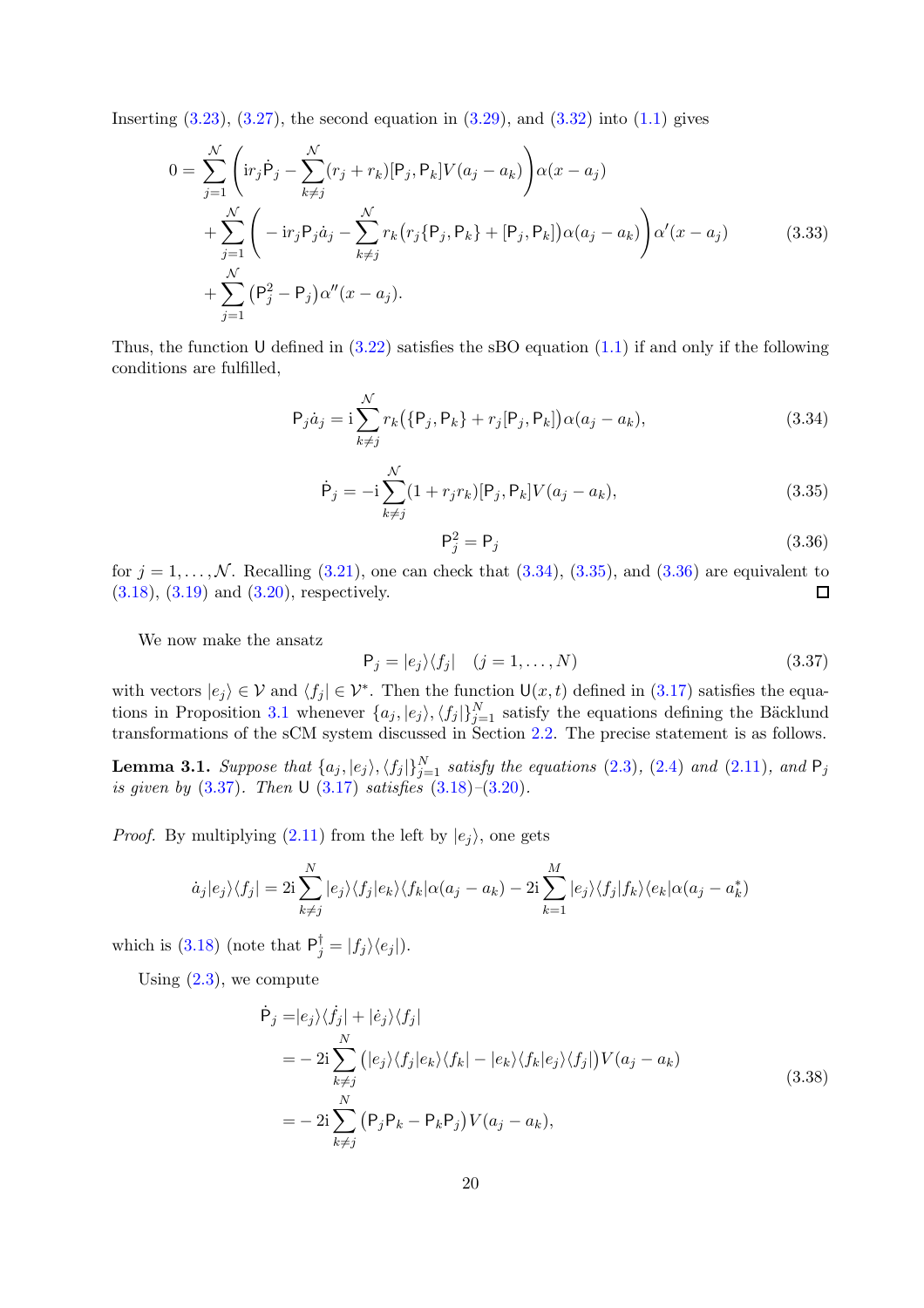Inserting  $(3.23)$ ,  $(3.27)$ , the second equation in  $(3.29)$ , and  $(3.32)$  into  $(1.1)$  gives

$$
0 = \sum_{j=1}^{N} \left( i r_j \dot{P}_j - \sum_{k \neq j}^{N} (r_j + r_k) [P_j, P_k] V(a_j - a_k) \right) \alpha(x - a_j)
$$
  
+ 
$$
\sum_{j=1}^{N} \left( -i r_j P_j \dot{a}_j - \sum_{k \neq j}^{N} r_k (r_j \{P_j, P_k\} + [P_j, P_k]) \alpha(a_j - a_k) \right) \alpha'(x - a_j)
$$
  
+ 
$$
\sum_{j=1}^{N} (P_j^2 - P_j) \alpha''(x - a_j).
$$
 (3.33)

Thus, the function U defined in  $(3.22)$  satisfies the sBO equation  $(1.1)$  if and only if the following conditions are fulfilled,

<span id="page-19-0"></span>
$$
P_j \dot{a}_j = i \sum_{k \neq j}^{N} r_k (\{P_j, P_k\} + r_j [P_j, P_k]) \alpha(a_j - a_k),
$$
\n(3.34)

<span id="page-19-1"></span>
$$
\dot{\mathsf{P}}_j = -\mathrm{i} \sum_{k \neq j}^{N} (1 + r_j r_k) [\mathsf{P}_j, \mathsf{P}_k] V(a_j - a_k), \tag{3.35}
$$

<span id="page-19-2"></span>
$$
\mathsf{P}_j^2 = \mathsf{P}_j \tag{3.36}
$$

for  $j = 1, ..., N$ . Recalling [\(3.21\)](#page-17-6), one can check that [\(3.34\)](#page-19-0), [\(3.35\)](#page-19-1), and [\(3.36\)](#page-19-2) are equivalent to (3.18), (3.19) and (3.20), respectively. [\(3.18\)](#page-16-5), [\(3.19\)](#page-17-7) and [\(3.20\)](#page-17-8), respectively.

We now make the ansatz

<span id="page-19-3"></span>
$$
P_j = |e_j\rangle\langle f_j| \quad (j = 1, \dots, N)
$$
\n(3.37)

with vectors  $|e_j\rangle \in \mathcal{V}$  and  $\langle f_j | \in \mathcal{V}^*$ . Then the function  $\mathsf{U}(x,t)$  defined in  $(3.17)$  satisfies the equa-tions in Proposition [3.1](#page-16-6) whenever  $\{a_j, |e_j\rangle, \langle f_j|\}_{j=1}^N$  satisfy the equations defining the Bäcklund transformations of the sCM system discussed in Section [2.2.](#page-9-1) The precise statement is as follows.

<span id="page-19-4"></span>**Lemma 3.1.** Suppose that  $\{a_j, |e_j\rangle, \langle f_j|\}_{j=1}^N$  satisfy the equations [\(2.3\)](#page-9-3), [\(2.4\)](#page-9-2) and [\(2.11\)](#page-10-6), and  $\mathsf{P}_j$ *is given by* [\(3.37\)](#page-19-3)*. Then* U [\(3.17\)](#page-16-4) *satisfies* [\(3.18\)](#page-16-5)*–*[\(3.20\)](#page-17-8)*.*

*Proof.* By multiplying [\(2.11\)](#page-10-6) from the left by  $|e_j\rangle$ , one gets

$$
\dot{a}_j|e_j\rangle\langle f_j| = 2i\sum_{k\neq j}^N|e_j\rangle\langle f_j|e_k\rangle\langle f_k|\alpha(a_j - a_k) - 2i\sum_{k=1}^M|e_j\rangle\langle f_j|f_k\rangle\langle e_k|\alpha(a_j - a_k^*)
$$

which is [\(3.18\)](#page-16-5) (note that  $P_j^{\dagger} = |f_j\rangle \langle e_j|$ ).

Using  $(2.3)$ , we compute

$$
\dot{P}_j = |e_j\rangle\langle f_j| + |e_j\rangle\langle f_j|
$$
\n
$$
= -2i \sum_{k \neq j}^N (|e_j\rangle\langle f_j|e_k\rangle\langle f_k| - |e_k\rangle\langle f_k|e_j\rangle\langle f_j|) V(a_j - a_k)
$$
\n
$$
= -2i \sum_{k \neq j}^N (P_j P_k - P_k P_j) V(a_j - a_k),
$$
\n(3.38)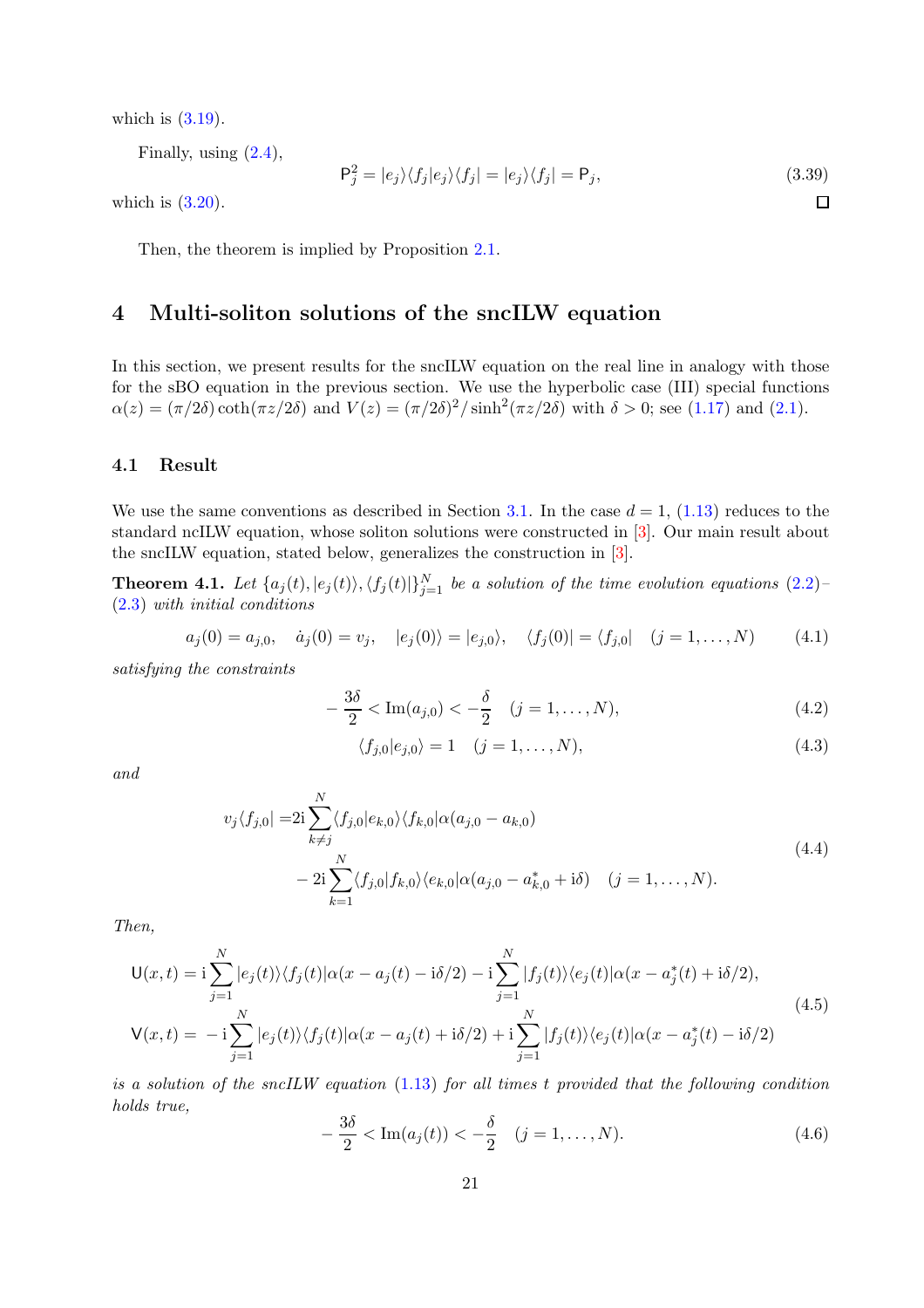which is  $(3.19)$ .

Finally, using  $(2.4)$ ,

$$
\mathsf{P}_j^2 = |e_j\rangle\langle f_j|e_j\rangle\langle f_j| = |e_j\rangle\langle f_j| = \mathsf{P}_j,\tag{3.39}
$$

 $\Box$ 

which is  $(3.20)$ .

<span id="page-20-1"></span>Then, the theorem is implied by Proposition [2.1.](#page-10-0)

## 4 Multi-soliton solutions of the sncILW equation

In this section, we present results for the sncILW equation on the real line in analogy with those for the sBO equation in the previous section. We use the hyperbolic case (III) special functions  $\alpha(z) = (\pi/2\delta) \coth(\pi z/2\delta)$  and  $V(z) = (\pi/2\delta)^2/\sinh^2(\pi z/2\delta)$  with  $\delta > 0$ ; see [\(1.17\)](#page-6-1) and [\(2.1\)](#page-9-7).

#### 4.1 Result

We use the same conventions as described in Section [3.1.](#page-14-7) In the case  $d = 1$ , [\(1.13\)](#page-5-0) reduces to the standard ncILW equation, whose soliton solutions were constructed in [\[3\]](#page-31-2). Our main result about the sncILW equation, stated below, generalizes the construction in [\[3\]](#page-31-2).

<span id="page-20-0"></span>**Theorem 4.1.** Let  $\{a_j(t), |e_j(t)\rangle, \langle f_j(t)|\}_{j=1}^N$  be a solution of the time evolution equations  $(2.2)$ [\(2.3\)](#page-9-3) *with initial conditions*

$$
a_j(0) = a_{j,0}, \quad \dot{a}_j(0) = v_j, \quad |e_j(0)\rangle = |e_{j,0}\rangle, \quad \langle f_j(0)| = \langle f_{j,0}| \quad (j = 1, ..., N) \quad (4.1)
$$

*satisfying the constraints*

$$
-\frac{3\delta}{2} < \text{Im}(a_{j,0}) < -\frac{\delta}{2} \quad (j = 1, \dots, N), \tag{4.2}
$$

$$
\langle f_{j,0}|e_{j,0}\rangle = 1 \quad (j=1,\ldots,N),\tag{4.3}
$$

*and*

$$
v_j \langle f_{j,0} | = 2i \sum_{k \neq j}^{N} \langle f_{j,0} | e_{k,0} \rangle \langle f_{k,0} | \alpha(a_{j,0} - a_{k,0})
$$
  

$$
- 2i \sum_{k=1}^{N} \langle f_{j,0} | f_{k,0} \rangle \langle e_{k,0} | \alpha(a_{j,0} - a_{k,0}^*) + i \delta \rangle \quad (j = 1, ..., N).
$$
 (4.4)

*Then,*

$$
\mathsf{U}(x,t) = \mathrm{i} \sum_{j=1}^{N} |e_j(t)\rangle \langle f_j(t)|\alpha(x - a_j(t) - \mathrm{i}\delta/2) - \mathrm{i} \sum_{j=1}^{N} |f_j(t)\rangle \langle e_j(t)|\alpha(x - a_j^*(t) + \mathrm{i}\delta/2),
$$
  
\n
$$
\mathsf{V}(x,t) = -\mathrm{i} \sum_{j=1}^{N} |e_j(t)\rangle \langle f_j(t)|\alpha(x - a_j(t) + \mathrm{i}\delta/2) + \mathrm{i} \sum_{j=1}^{N} |f_j(t)\rangle \langle e_j(t)|\alpha(x - a_j^*(t) - \mathrm{i}\delta/2)
$$
\n(4.5)

*is a solution of the sncILW equation* [\(1.13\)](#page-5-0) *for all times* t *provided that the following condition holds true,*

$$
-\frac{3\delta}{2} < \text{Im}(a_j(t)) < -\frac{\delta}{2} \quad (j = 1, \dots, N). \tag{4.6}
$$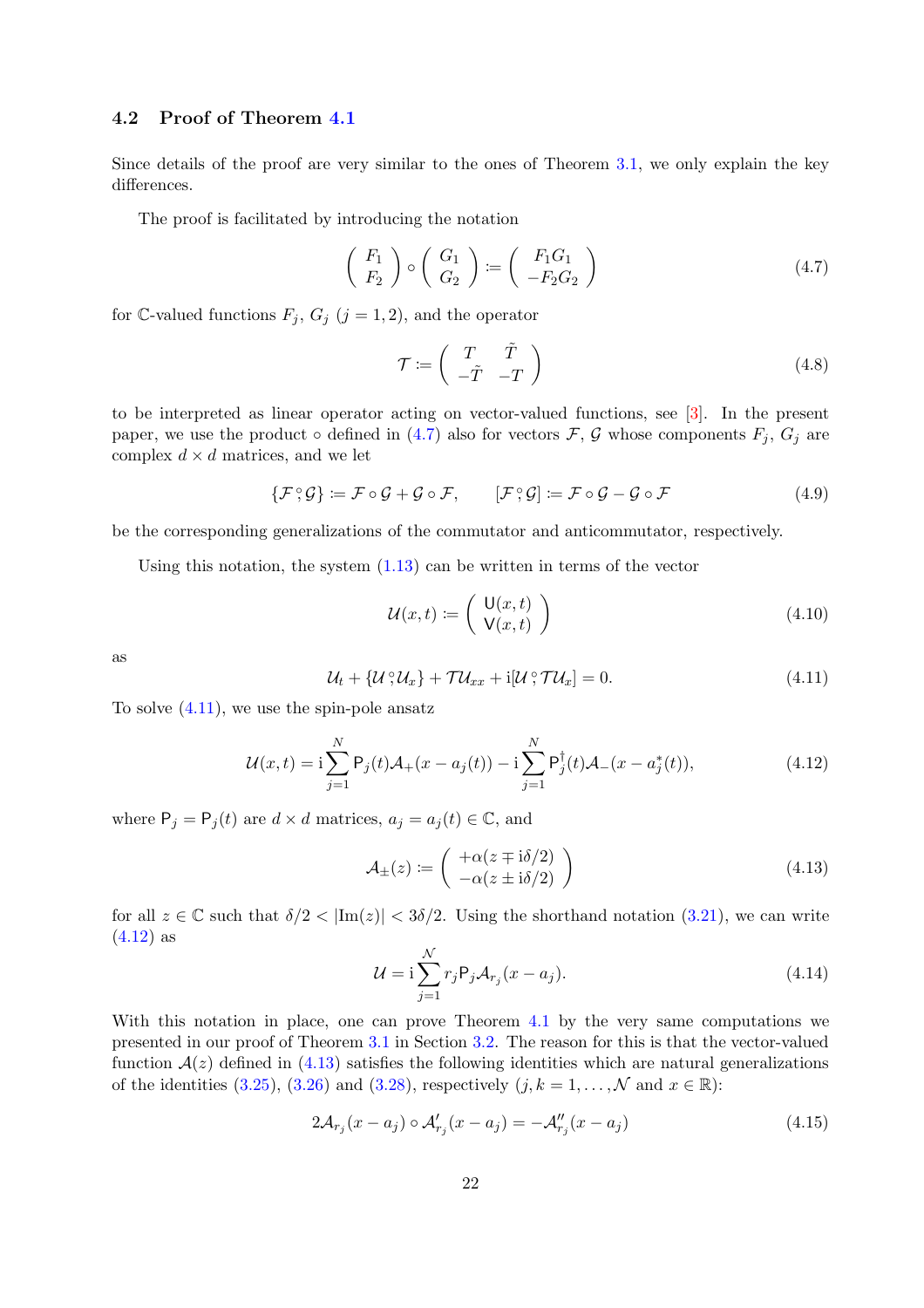### 4.2 Proof of Theorem [4.1](#page-20-0)

Since details of the proof are very similar to the ones of Theorem [3.1,](#page-14-0) we only explain the key differences.

The proof is facilitated by introducing the notation

<span id="page-21-0"></span>
$$
\left(\begin{array}{c} F_1 \\ F_2 \end{array}\right) \circ \left(\begin{array}{c} G_1 \\ G_2 \end{array}\right) := \left(\begin{array}{c} F_1 G_1 \\ -F_2 G_2 \end{array}\right) \tag{4.7}
$$

for C-valued functions  $F_j$ ,  $G_j$  ( $j = 1, 2$ ), and the operator

$$
\mathcal{T} \coloneqq \left( \begin{array}{cc} T & \tilde{T} \\ -\tilde{T} & -T \end{array} \right) \tag{4.8}
$$

to be interpreted as linear operator acting on vector-valued functions, see [\[3\]](#page-31-2). In the present paper, we use the product  $\circ$  defined in [\(4.7\)](#page-21-0) also for vectors F, G whose components  $F_i$ ,  $G_i$  are complex  $d \times d$  matrices, and we let

$$
\{\mathcal{F}\,;\mathcal{G}\}:=\mathcal{F}\circ\mathcal{G}+\mathcal{G}\circ\mathcal{F},\qquad[\mathcal{F}\,;\mathcal{G}]:=\mathcal{F}\circ\mathcal{G}-\mathcal{G}\circ\mathcal{F}\tag{4.9}
$$

be the corresponding generalizations of the commutator and anticommutator, respectively.

Using this notation, the system  $(1.13)$  can be written in terms of the vector

$$
\mathcal{U}(x,t) := \left(\begin{array}{c} \mathsf{U}(x,t) \\ \mathsf{V}(x,t) \end{array}\right) \tag{4.10}
$$

as

<span id="page-21-1"></span>
$$
\mathcal{U}_t + \{ \mathcal{U}^{\circ}\mathcal{U}_x \} + \mathcal{T}\mathcal{U}_{xx} + \mathrm{i}[\mathcal{U}^{\circ}\mathcal{T}\mathcal{U}_x] = 0. \tag{4.11}
$$

To solve  $(4.11)$ , we use the spin-pole ansatz

<span id="page-21-2"></span>
$$
\mathcal{U}(x,t) = \mathbf{i} \sum_{j=1}^{N} \mathsf{P}_j(t) \mathcal{A}_+(x - a_j(t)) - \mathbf{i} \sum_{j=1}^{N} \mathsf{P}_j^{\dagger}(t) \mathcal{A}_-(x - a_j^*(t)), \tag{4.12}
$$

where  $P_j = P_j(t)$  are  $d \times d$  matrices,  $a_j = a_j(t) \in \mathbb{C}$ , and

<span id="page-21-3"></span>
$$
\mathcal{A}_{\pm}(z) := \begin{pmatrix} +\alpha(z \mp i\delta/2) \\ -\alpha(z \pm i\delta/2) \end{pmatrix}
$$
 (4.13)

for all  $z \in \mathbb{C}$  such that  $\delta/2 < |Im(z)| < 3\delta/2$ . Using the shorthand notation [\(3.21\)](#page-17-6), we can write  $(4.12)$  as

<span id="page-21-4"></span>
$$
\mathcal{U} = \mathbf{i} \sum_{j=1}^{N} r_j \mathbf{P}_j \mathcal{A}_{r_j} (x - a_j). \tag{4.14}
$$

With this notation in place, one can prove Theorem [4.1](#page-20-0) by the very same computations we presented in our proof of Theorem [3.1](#page-14-0) in Section [3.2.](#page-16-0) The reason for this is that the vector-valued function  $A(z)$  defined in [\(4.13\)](#page-21-3) satisfies the following identities which are natural generalizations of the identities [\(3.25\)](#page-17-2), [\(3.26\)](#page-17-3) and [\(3.28\)](#page-18-4), respectively  $(j, k = 1, ..., \mathcal{N}$  and  $x \in \mathbb{R}$ ):

<span id="page-21-5"></span>
$$
2\mathcal{A}_{r_j}(x-a_j) \circ \mathcal{A}'_{r_j}(x-a_j) = -\mathcal{A}''_{r_j}(x-a_j)
$$
\n(4.15)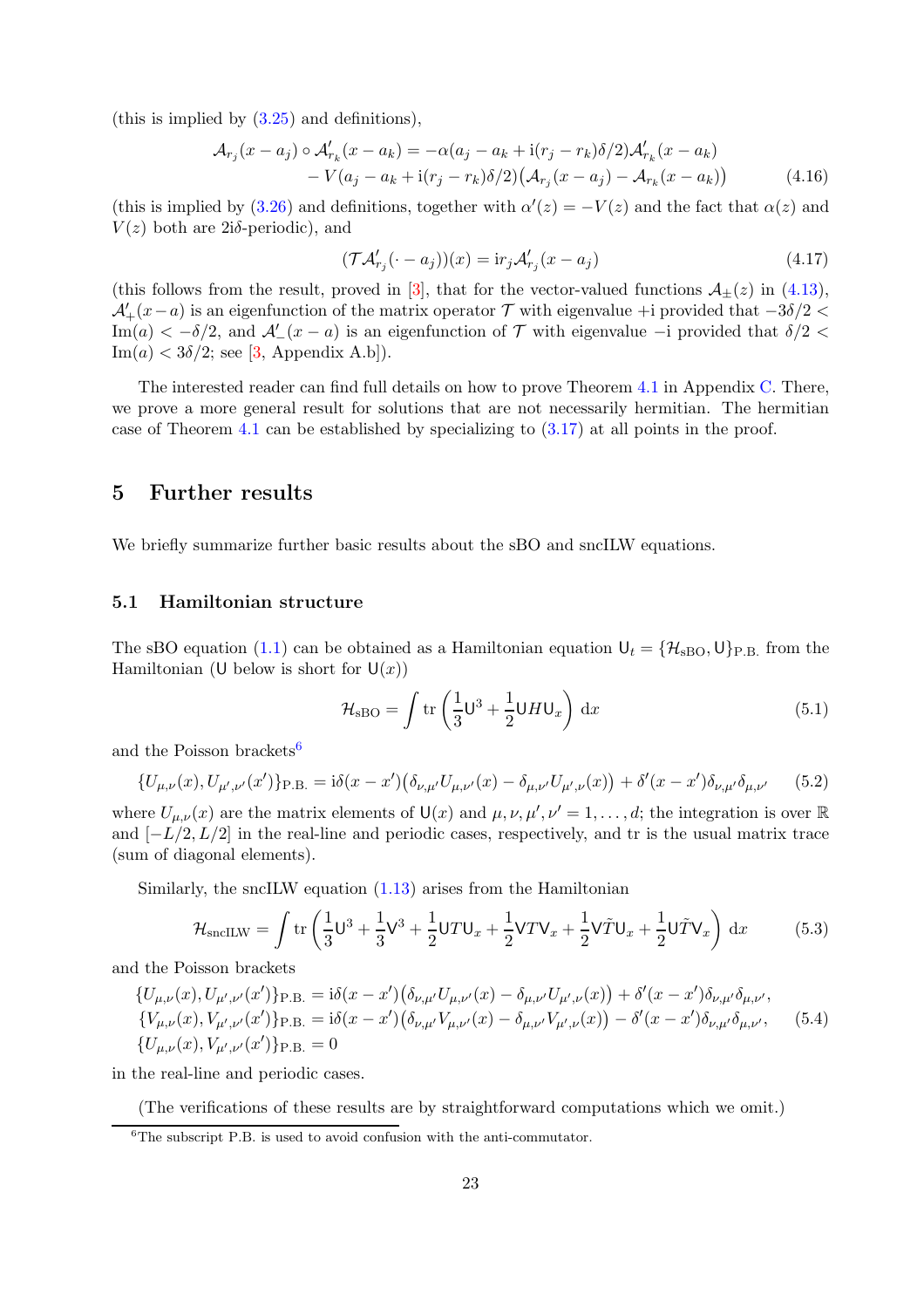(this is implied by [\(3.25\)](#page-17-2) and definitions),

$$
\mathcal{A}_{r_j}(x - a_j) \circ \mathcal{A}'_{r_k}(x - a_k) = -\alpha(a_j - a_k + i(r_j - r_k)\delta/2)\mathcal{A}'_{r_k}(x - a_k) - V(a_j - a_k + i(r_j - r_k)\delta/2)(\mathcal{A}_{r_j}(x - a_j) - \mathcal{A}_{r_k}(x - a_k))
$$
(4.16)

(this is implied by [\(3.26\)](#page-17-3) and definitions, together with  $\alpha'(z) = -V(z)$  and the fact that  $\alpha(z)$  and  $V(z)$  both are 2iδ-periodic), and

<span id="page-22-4"></span><span id="page-22-2"></span>
$$
(\mathcal{TA}'_{r_j}(\cdot - a_j))(x) = \mathrm{i}r_j \mathcal{A}'_{r_j}(x - a_j) \tag{4.17}
$$

(this follows from the result, proved in [\[3\]](#page-31-2), that for the vector-valued functions  $\mathcal{A}_{\pm}(z)$  in [\(4.13\)](#page-21-3),  $\mathcal{A}'_+(x-a)$  is an eigenfunction of the matrix operator  $\mathcal T$  with eigenvalue +i provided that  $-3\delta/2 <$ Im(a) <  $-\delta/2$ , and  $\mathcal{A}'_-(x-a)$  is an eigenfunction of  $\mathcal T$  with eigenvalue  $-i$  provided that  $\delta/2$  <  $\text{Im}(a) < 3\delta/2$ ; see [\[3,](#page-31-2) Appendix A.b]).

The interested reader can find full details on how to prove Theorem [4.1](#page-20-0) in Appendix [C.](#page-27-0) There, we prove a more general result for solutions that are not necessarily hermitian. The hermitian case of Theorem [4.1](#page-20-0) can be established by specializing to  $(3.17)$  at all points in the proof.

## <span id="page-22-0"></span>5 Further results

<span id="page-22-1"></span>We briefly summarize further basic results about the sBO and sncILW equations.

### 5.1 Hamiltonian structure

The sBO equation [\(1.1\)](#page-0-0) can be obtained as a Hamiltonian equation  $U_t = \{\mathcal{H}_{\rm sBO}, U\}_{\rm P.B.}$  from the Hamiltonian (U below is short for  $U(x)$ )

$$
\mathcal{H}_{\rm sBO} = \int \text{tr}\left(\frac{1}{3}\mathsf{U}^3 + \frac{1}{2}\mathsf{U}H\mathsf{U}_x\right) \, \text{d}x\tag{5.1}
$$

and the Poisson brackets<sup>[6](#page-22-3)</sup>

$$
\{U_{\mu,\nu}(x), U_{\mu',\nu'}(x')\}_{\text{P.B.}} = i\delta(x-x')\big(\delta_{\nu,\mu'}U_{\mu,\nu'}(x) - \delta_{\mu,\nu'}U_{\mu',\nu}(x)\big) + \delta'(x-x')\delta_{\nu,\mu'}\delta_{\mu,\nu'} \qquad (5.2)
$$

where  $U_{\mu,\nu}(x)$  are the matrix elements of  $\mathsf{U}(x)$  and  $\mu,\nu,\mu',\nu'=1,\ldots,d;$  the integration is over  $\mathbb R$ and  $[-L/2, L/2]$  in the real-line and periodic cases, respectively, and tr is the usual matrix trace (sum of diagonal elements).

Similarly, the sncILW equation [\(1.13\)](#page-5-0) arises from the Hamiltonian

$$
\mathcal{H}_{\text{snclLW}} = \int \text{tr}\left(\frac{1}{3}\mathsf{U}^3 + \frac{1}{3}\mathsf{V}^3 + \frac{1}{2}\mathsf{U}T\mathsf{U}_x + \frac{1}{2}\mathsf{V}T\mathsf{V}_x + \frac{1}{2}\mathsf{V}\tilde{T}\mathsf{U}_x + \frac{1}{2}\mathsf{U}\tilde{T}\mathsf{V}_x\right) dx\tag{5.3}
$$

and the Poisson brackets

$$
\{U_{\mu,\nu}(x), U_{\mu',\nu'}(x')\}_{P.B.} = i\delta(x - x')(\delta_{\nu,\mu'}U_{\mu,\nu'}(x) - \delta_{\mu,\nu'}U_{\mu',\nu}(x)) + \delta'(x - x')\delta_{\nu,\mu'}\delta_{\mu,\nu'},\{V_{\mu,\nu}(x), V_{\mu',\nu'}(x')\}_{P.B.} = i\delta(x - x')(\delta_{\nu,\mu'}V_{\mu,\nu'}(x) - \delta_{\mu,\nu'}V_{\mu',\nu}(x)) - \delta'(x - x')\delta_{\nu,\mu'}\delta_{\mu,\nu'},\qquad(5.4)
$$
\n
$$
\{U_{\mu,\nu}(x), V_{\mu',\nu'}(x')\}_{P.B.} = 0
$$

in the real-line and periodic cases.

(The verifications of these results are by straightforward computations which we omit.)

<span id="page-22-3"></span><sup>&</sup>lt;sup>6</sup>The subscript P.B. is used to avoid confusion with the anti-commutator.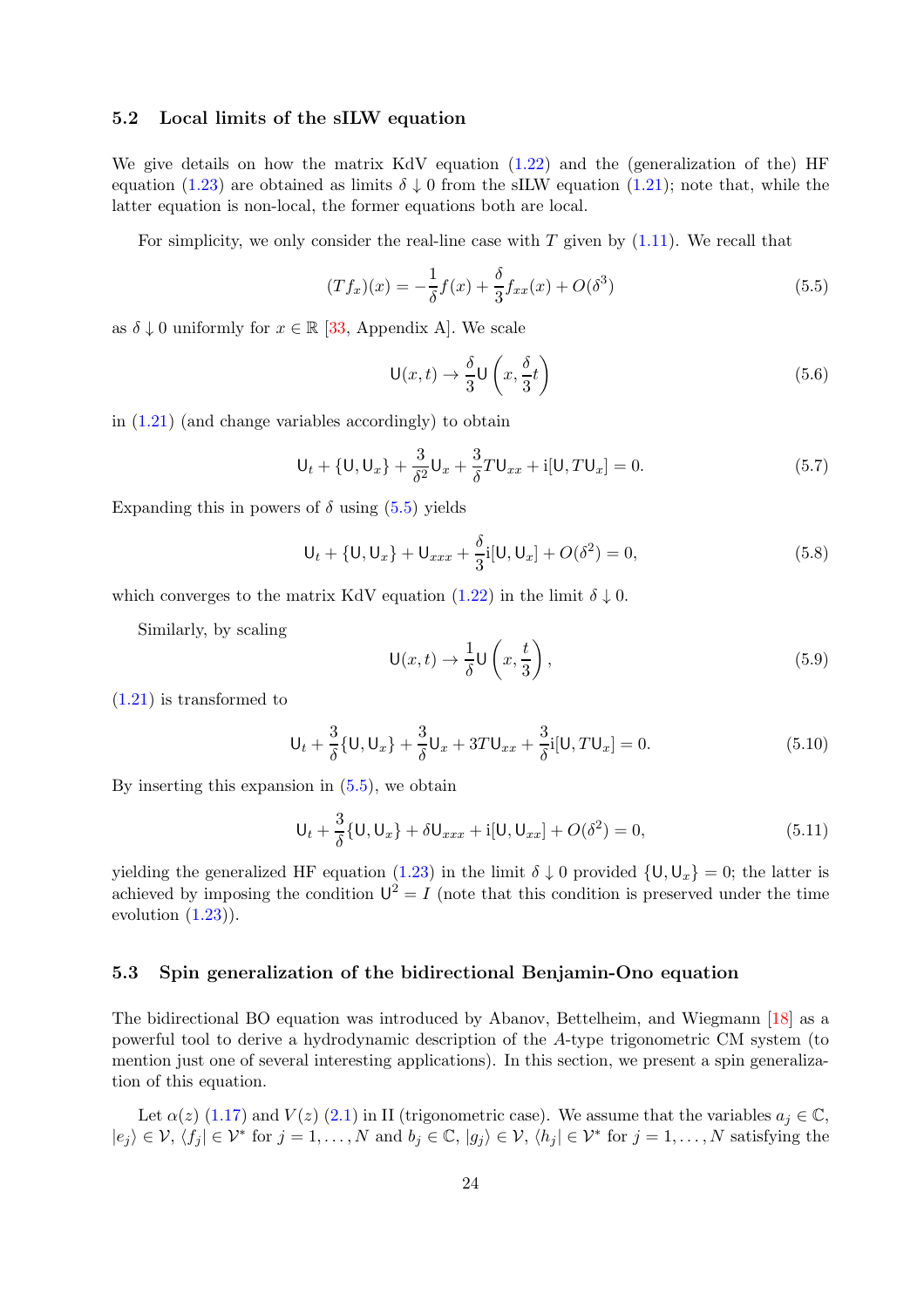#### <span id="page-23-0"></span>5.2 Local limits of the sILW equation

We give details on how the matrix KdV equation [\(1.22\)](#page-7-1) and the (generalization of the) HF equation [\(1.23\)](#page-7-0) are obtained as limits  $\delta \downarrow 0$  from the sILW equation [\(1.21\)](#page-6-0); note that, while the latter equation is non-local, the former equations both are local.

For simplicity, we only consider the real-line case with  $T$  given by  $(1.11)$ . We recall that

<span id="page-23-2"></span>
$$
(Tf_x)(x) = -\frac{1}{\delta}f(x) + \frac{\delta}{3}f_{xx}(x) + O(\delta^3)
$$
\n(5.5)

as  $\delta \downarrow 0$  uniformly for  $x \in \mathbb{R}$  [\[33,](#page-33-0) Appendix A]. We scale

$$
\mathsf{U}(x,t) \to \frac{\delta}{3} \mathsf{U}\left(x, \frac{\delta}{3}t\right) \tag{5.6}
$$

in  $(1.21)$  (and change variables accordingly) to obtain

$$
U_t + \{U, U_x\} + \frac{3}{\delta^2} U_x + \frac{3}{\delta} T U_{xx} + i[U, TU_x] = 0.
$$
 (5.7)

Expanding this in powers of  $\delta$  using  $(5.5)$  yields

$$
U_t + \{U, U_x\} + U_{xxx} + \frac{\delta}{3}i[U, U_x] + O(\delta^2) = 0,
$$
\n(5.8)

which converges to the matrix KdV equation [\(1.22\)](#page-7-1) in the limit  $\delta \downarrow 0$ .

Similarly, by scaling

$$
\mathsf{U}(x,t) \to \frac{1}{\delta} \mathsf{U}\left(x, \frac{t}{3}\right),\tag{5.9}
$$

[\(1.21\)](#page-6-0) is transformed to

$$
U_t + \frac{3}{\delta} \{ U, U_x \} + \frac{3}{\delta} U_x + 3T U_{xx} + \frac{3}{\delta} i [U, TU_x] = 0.
$$
 (5.10)

By inserting this expansion in [\(5.5\)](#page-23-2), we obtain

$$
U_t + \frac{3}{\delta} \{U, U_x\} + \delta U_{xxx} + i[U, U_{xx}] + O(\delta^2) = 0,
$$
\n(5.11)

yielding the generalized HF equation [\(1.23\)](#page-7-0) in the limit  $\delta \downarrow 0$  provided  $\{U, U_x\} = 0$ ; the latter is achieved by imposing the condition  $U^2 = I$  (note that this condition is preserved under the time evolution  $(1.23)$ .

#### <span id="page-23-1"></span>5.3 Spin generalization of the bidirectional Benjamin-Ono equation

The bidirectional BO equation was introduced by Abanov, Bettelheim, and Wiegmann [\[18\]](#page-32-2) as a powerful tool to derive a hydrodynamic description of the A-type trigonometric CM system (to mention just one of several interesting applications). In this section, we present a spin generalization of this equation.

Let  $\alpha(z)$  [\(1.17\)](#page-6-1) and  $V(z)$  [\(2.1\)](#page-9-7) in II (trigonometric case). We assume that the variables  $a_j \in \mathbb{C}$ ,  $|e_j\rangle \in \mathcal{V}, \langle f_j | \in \mathcal{V}^*$  for  $j = 1, ..., N$  and  $b_j \in \mathbb{C}, |g_j\rangle \in \mathcal{V}, \langle h_j | \in \mathcal{V}^*$  for  $j = 1, ..., N$  satisfying the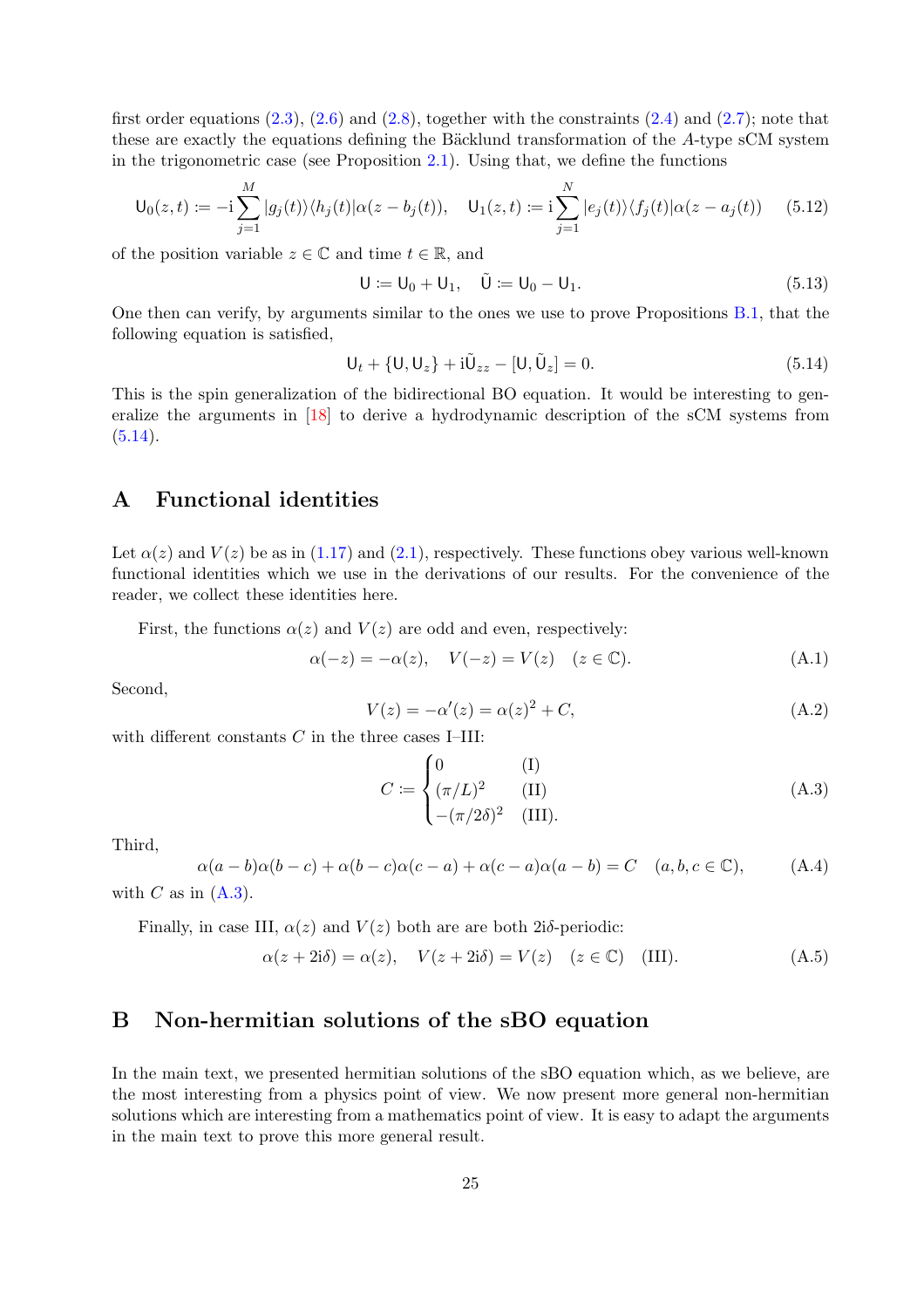first order equations  $(2.3)$ ,  $(2.6)$  and  $(2.8)$ , together with the constraints  $(2.4)$  and  $(2.7)$ ; note that these are exactly the equations defining the Bäcklund transformation of the A-type sCM system in the trigonometric case (see Proposition [2.1\)](#page-10-0). Using that, we define the functions

$$
\mathsf{U}_0(z,t) := -\mathrm{i} \sum_{j=1}^M |g_j(t)\rangle \langle h_j(t)| \alpha(z - b_j(t)), \quad \mathsf{U}_1(z,t) := \mathrm{i} \sum_{j=1}^N |e_j(t)\rangle \langle f_j(t)| \alpha(z - a_j(t)) \quad (5.12)
$$

of the position variable  $z \in \mathbb{C}$  and time  $t \in \mathbb{R}$ , and

$$
U := U_0 + U_1, \quad \tilde{U} := U_0 - U_1.
$$
\n(5.13)

One then can verify, by arguments similar to the ones we use to prove Propositions [B.1,](#page-26-0) that the following equation is satisfied,

<span id="page-24-5"></span>
$$
U_t + \{U, U_z\} + i\tilde{U}_{zz} - [U, \tilde{U}_z] = 0.
$$
\n(5.14)

This is the spin generalization of the bidirectional BO equation. It would be interesting to generalize the arguments in [\[18\]](#page-32-2) to derive a hydrodynamic description of the sCM systems from  $(5.14).$  $(5.14).$ 

## <span id="page-24-0"></span>A Functional identities

Let  $\alpha(z)$  and  $V(z)$  be as in [\(1.17\)](#page-6-1) and [\(2.1\)](#page-9-7), respectively. These functions obey various well-known functional identities which we use in the derivations of our results. For the convenience of the reader, we collect these identities here.

First, the functions  $\alpha(z)$  and  $V(z)$  are odd and even, respectively:

<span id="page-24-4"></span>
$$
\alpha(-z) = -\alpha(z), \quad V(-z) = V(z) \quad (z \in \mathbb{C}). \tag{A.1}
$$

Second,

<span id="page-24-2"></span>
$$
V(z) = -\alpha'(z) = \alpha(z)^2 + C,
$$
 (A.2)

with different constants  $C$  in the three cases I–III:

<span id="page-24-6"></span>
$$
C := \begin{cases} 0 & \text{(I)}\\ (\pi/L)^2 & \text{(II)}\\ -(\pi/2\delta)^2 & \text{(III)} \end{cases}
$$
 (A.3)

Third,

<span id="page-24-3"></span>
$$
\alpha(a-b)\alpha(b-c) + \alpha(b-c)\alpha(c-a) + \alpha(c-a)\alpha(a-b) = C \quad (a, b, c \in \mathbb{C}), \tag{A.4}
$$

with C as in  $(A.3)$ .

Finally, in case III,  $\alpha(z)$  and  $V(z)$  both are are both 2i $\delta$ -periodic:

<span id="page-24-7"></span>
$$
\alpha(z+2i\delta) = \alpha(z), \quad V(z+2i\delta) = V(z) \quad (z \in \mathbb{C}) \quad \text{(III)}.
$$

## <span id="page-24-1"></span>B Non-hermitian solutions of the sBO equation

In the main text, we presented hermitian solutions of the sBO equation which, as we believe, are the most interesting from a physics point of view. We now present more general non-hermitian solutions which are interesting from a mathematics point of view. It is easy to adapt the arguments in the main text to prove this more general result.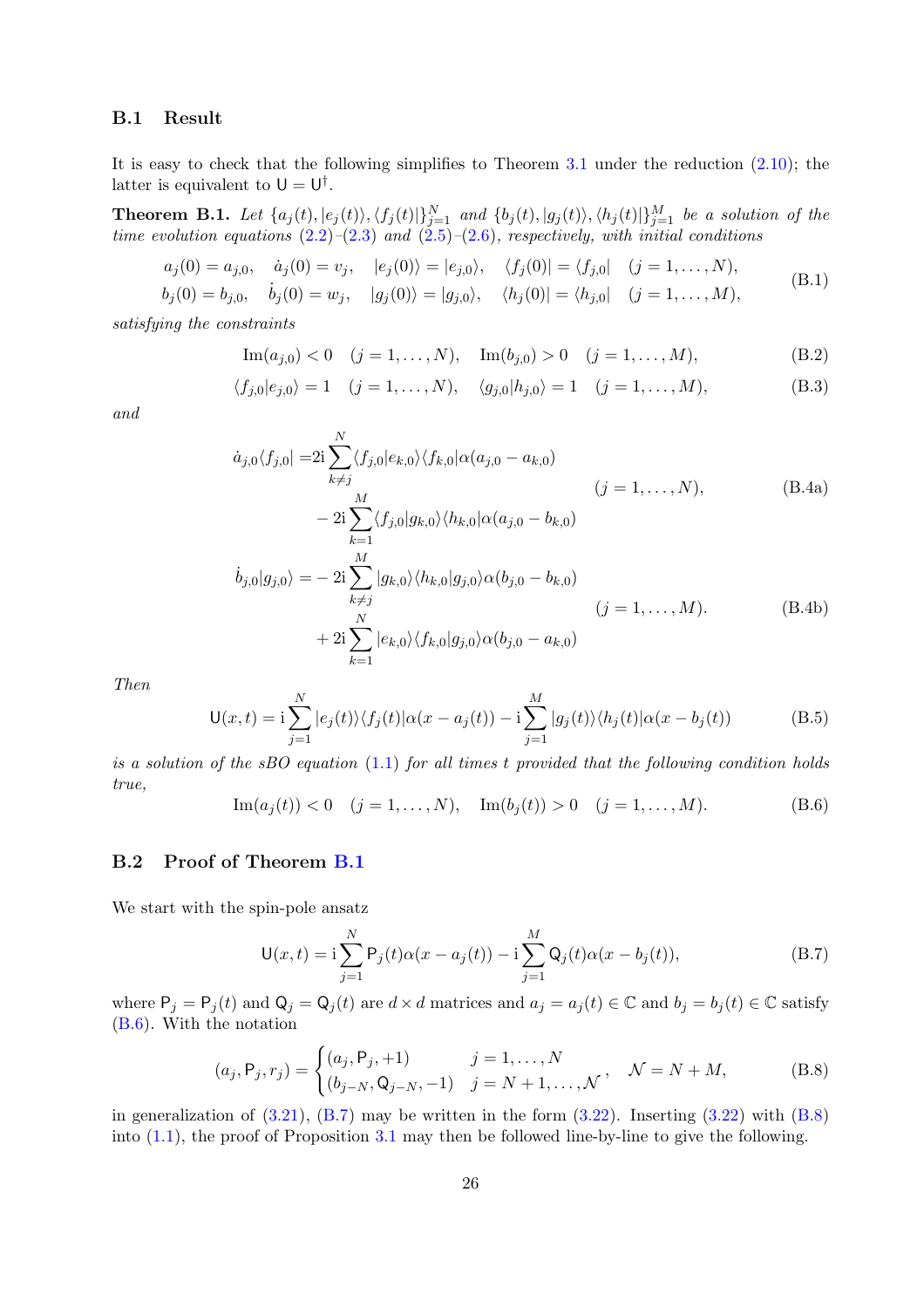### B.1 Result

It is easy to check that the following simplifies to Theorem [3.1](#page-14-0) under the reduction [\(2.10\)](#page-10-7); the latter is equivalent to  $U = U^{\dagger}$ .

<span id="page-25-0"></span>**Theorem B.1.** Let  $\{a_j(t), |e_j(t)\rangle, \langle f_j(t)|\}_{j=1}^N$  and  $\{b_j(t), |g_j(t)\rangle, \langle h_j(t)|\}_{j=1}^M$  be a solution of the *time evolution equations* [\(2.2\)](#page-9-4)*–*[\(2.3\)](#page-9-3) *and* [\(2.5\)](#page-9-5)*–*[\(2.6\)](#page-9-6)*, respectively, with initial conditions*

$$
a_j(0) = a_{j,0}, \quad \dot{a}_j(0) = v_j, \quad |e_j(0)\rangle = |e_{j,0}\rangle, \quad \langle f_j(0)| = \langle f_{j,0}| \quad (j = 1, ..., N),
$$
  
\n
$$
b_j(0) = b_{j,0}, \quad \dot{b}_j(0) = w_j, \quad |g_j(0)\rangle = |g_{j,0}\rangle, \quad \langle h_j(0)| = \langle h_{j,0}| \quad (j = 1, ..., M),
$$
\n(B.1)

*satisfying the constraints*

Im
$$
(a_{j,0}) < 0
$$
  $(j = 1,..., N)$ , Im $(b_{j,0}) > 0$   $(j = 1,..., M)$ , (B.2)

$$
\langle f_{j,0}|e_{j,0}\rangle = 1 \quad (j = 1, ..., N), \quad \langle g_{j,0}|h_{j,0}\rangle = 1 \quad (j = 1, ..., M),
$$
 (B.3)

*and*

$$
\dot{a}_{j,0}\langle f_{j,0}| = 2i \sum_{k \neq j}^{N} \langle f_{j,0}|e_{k,0}\rangle \langle f_{k,0}|\alpha(a_{j,0} - a_{k,0})
$$
\n
$$
- 2i \sum_{k=1}^{M} \langle f_{j,0}|g_{k,0}\rangle \langle h_{k,0}|\alpha(a_{j,0} - b_{k,0})
$$
\n
$$
\dot{b}_{j,0}|g_{j,0}\rangle = -2i \sum_{k \neq j}^{M} |g_{k,0}\rangle \langle h_{k,0}|g_{j,0}\rangle \alpha(b_{j,0} - b_{k,0})
$$
\n
$$
(j = 1, ..., M).
$$
\n(B.4b)\n
$$
+ 2i \sum_{k=1}^{N} |e_{k,0}\rangle \langle f_{k,0}|g_{j,0}\rangle \alpha(b_{j,0} - a_{k,0})
$$

*Then*

$$
\mathsf{U}(x,t) = \mathrm{i} \sum_{j=1}^{N} |e_j(t)\rangle \langle f_j(t)|\alpha(x - a_j(t)) - \mathrm{i} \sum_{j=1}^{M} |g_j(t)\rangle \langle h_j(t)|\alpha(x - b_j(t))
$$
(B.5)

*is a solution of the sBO equation* [\(1.1\)](#page-0-0) *for all times* t *provided that the following condition holds true,*

 $k=1$ 

<span id="page-25-1"></span>
$$
\text{Im}(a_j(t)) < 0 \quad (j = 1, \dots, N), \quad \text{Im}(b_j(t)) > 0 \quad (j = 1, \dots, M). \tag{B.6}
$$

### B.2 Proof of Theorem [B.1](#page-25-0)

We start with the spin-pole ansatz

<span id="page-25-2"></span>
$$
U(x,t) = i \sum_{j=1}^{N} P_j(t)\alpha(x - a_j(t)) - i \sum_{j=1}^{M} Q_j(t)\alpha(x - b_j(t)),
$$
 (B.7)

where  $P_j = P_j(t)$  and  $Q_j = Q_j(t)$  are  $d \times d$  matrices and  $a_j = a_j(t) \in \mathbb{C}$  and  $b_j = b_j(t) \in \mathbb{C}$  satisfy [\(B.6\)](#page-25-1). With the notation

<span id="page-25-3"></span>
$$
(a_j, P_j, r_j) = \begin{cases} (a_j, P_j, +1) & j = 1, ..., N \\ (b_{j-N}, Q_{j-N}, -1) & j = N+1, ..., N \end{cases}, \quad \mathcal{N} = N + M,
$$
 (B.8)

in generalization of  $(3.21)$ ,  $(B.7)$  may be written in the form  $(3.22)$ . Inserting  $(3.22)$  with  $(B.8)$ into  $(1.1)$ , the proof of Proposition [3.1](#page-16-6) may then be followed line-by-line to give the following.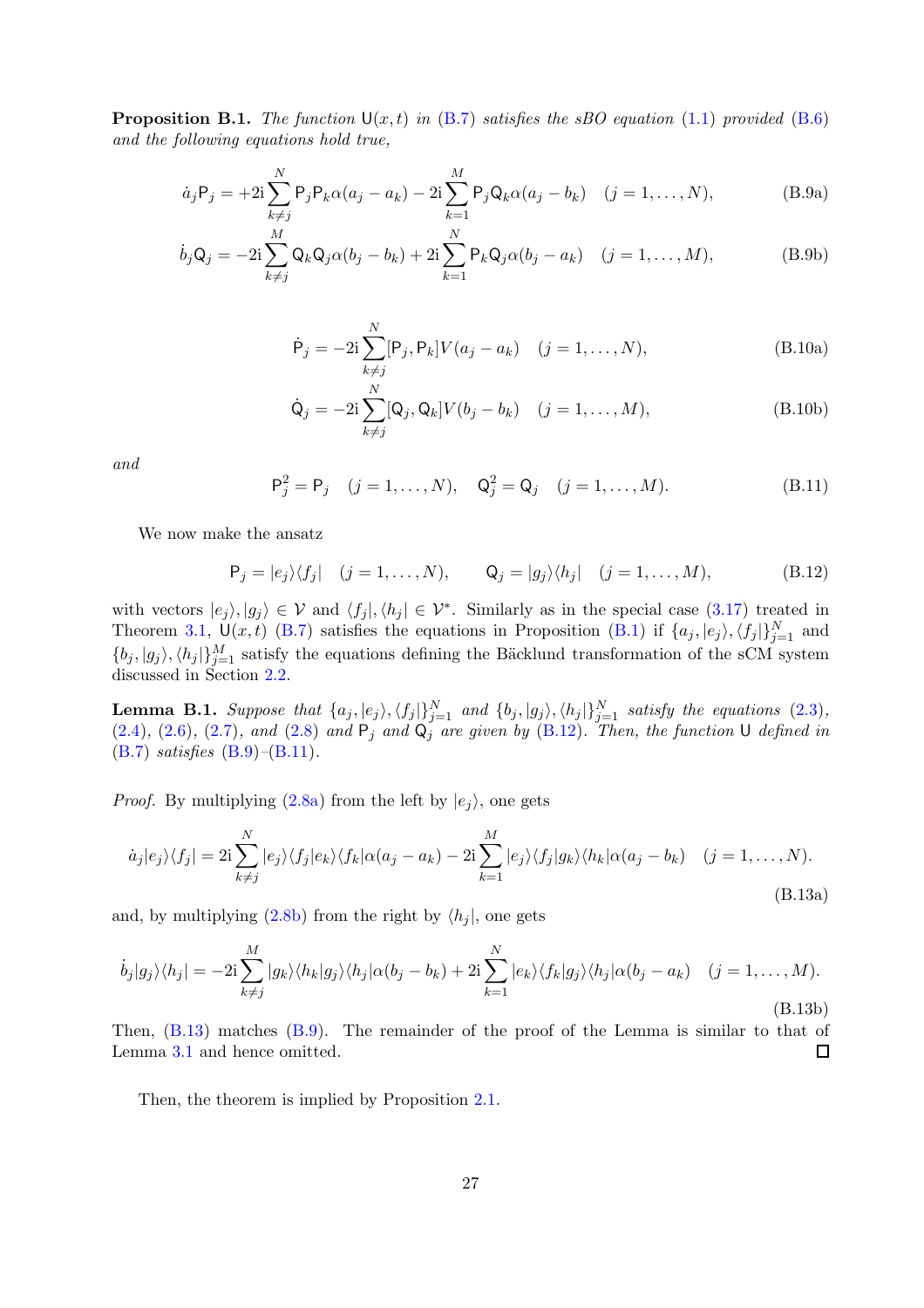<span id="page-26-0"></span>**Proposition B.1.** *The function*  $U(x,t)$  *in* [\(B.7\)](#page-25-2) *satisfies the sBO equation* [\(1.1\)](#page-0-0) *provided* [\(B.6\)](#page-25-1) *and the following equations hold true,*

<span id="page-26-2"></span>
$$
\dot{a}_j P_j = +2i \sum_{k \neq j}^N P_j P_k \alpha(a_j - a_k) - 2i \sum_{k=1}^M P_j Q_k \alpha(a_j - b_k) \quad (j = 1, \dots, N),
$$
 (B.9a)

$$
\dot{b}_j \mathsf{Q}_j = -2\mathrm{i} \sum_{k \neq j}^M \mathsf{Q}_k \mathsf{Q}_j \alpha (b_j - b_k) + 2\mathrm{i} \sum_{k=1}^N \mathsf{P}_k \mathsf{Q}_j \alpha (b_j - a_k) \quad (j = 1, \dots, M), \tag{B.9b}
$$

$$
\dot{\mathsf{P}}_j = -2i \sum_{k \neq j}^{N} [\mathsf{P}_j, \mathsf{P}_k] V(a_j - a_k) \quad (j = 1, ..., N), \tag{B.10a}
$$

$$
\dot{\mathsf{Q}}_j = -2\mathrm{i}\sum_{k\neq j}^N [\mathsf{Q}_j, \mathsf{Q}_k] V(b_j - b_k) \quad (j = 1, \dots, M),
$$
\n(B.10b)

*and*

<span id="page-26-3"></span>
$$
\mathsf{P}_{j}^{2} = \mathsf{P}_{j} \quad (j = 1, ..., N), \quad \mathsf{Q}_{j}^{2} = \mathsf{Q}_{j} \quad (j = 1, ..., M). \tag{B.11}
$$

We now make the ansatz

<span id="page-26-4"></span><span id="page-26-1"></span>
$$
P_j = |e_j\rangle\langle f_j| \quad (j = 1, ..., N), \qquad Q_j = |g_j\rangle\langle h_j| \quad (j = 1, ..., M), \tag{B.12}
$$

with vectors  $|e_j\rangle, |g_j\rangle \in \mathcal{V}$  and  $\langle f_j |, \langle h_j | \in \mathcal{V}^*$ . Similarly as in the special case [\(3.17\)](#page-16-4) treated in Theorem [3.1,](#page-14-0)  $\mathsf{U}(x,t)$  [\(B.7\)](#page-25-2) satisfies the equations in Proposition [\(B.1\)](#page-26-0) if  $\{a_j, |e_j\rangle, \langle f_j|\}_{j=1}^N$  and  $\{b_j, |g_j\rangle, \langle h_j|\}_{j=1}^M$  satisfy the equations defining the Bäcklund transformation of the sCM system discussed in Section [2.2.](#page-9-1)

**Lemma B.1.** Suppose that  $\{a_j, |e_j\rangle, \langle f_j|\}_{j=1}^N$  and  $\{b_j, |g_j\rangle, \langle h_j|\}_{j=1}^N$  satisfy the equations  $(2.3)$ *,*  $(2.4)$ ,  $(2.6)$ ,  $(2.7)$ *, and*  $(2.8)$  *and*  $\mathsf{P}_j$  *and*  $\mathsf{Q}_j$  *are given by*  $(B.12)$ *. Then, the function* U *defined in* [\(B.7\)](#page-25-2) *satisfies* [\(B.9\)](#page-26-2)*–*[\(B.11\)](#page-26-3)*.*

*Proof.* By multiplying  $(2.8a)$  from the left by  $|e_i\rangle$ , one gets

$$
\dot{a}_j|e_j\rangle\langle f_j| = 2i \sum_{k \neq j}^N |e_j\rangle\langle f_j|e_k\rangle\langle f_k|\alpha(a_j - a_k) - 2i \sum_{k=1}^M |e_j\rangle\langle f_j|g_k\rangle\langle h_k|\alpha(a_j - b_k) \quad (j = 1, ..., N).
$$
\n(B.13a)

and, by multiplying  $(2.8b)$  from the right by  $\langle h_j |$ , one gets

$$
\dot{b}_j|g_j\rangle\langle h_j| = -2i\sum_{k\neq j}^M|g_k\rangle\langle h_k|g_j\rangle\langle h_j|\alpha(b_j - b_k) + 2i\sum_{k=1}^N|e_k\rangle\langle f_k|g_j\rangle\langle h_j|\alpha(b_j - a_k) \quad (j = 1, ..., M).
$$
\n(B.13b)

Then, [\(B.13\)](#page-26-4) matches [\(B.9\)](#page-26-2). The remainder of the proof of the Lemma is similar to that of Lemma [3.1](#page-19-4) and hence omitted.  $\Box$ 

Then, the theorem is implied by Proposition [2.1.](#page-10-0)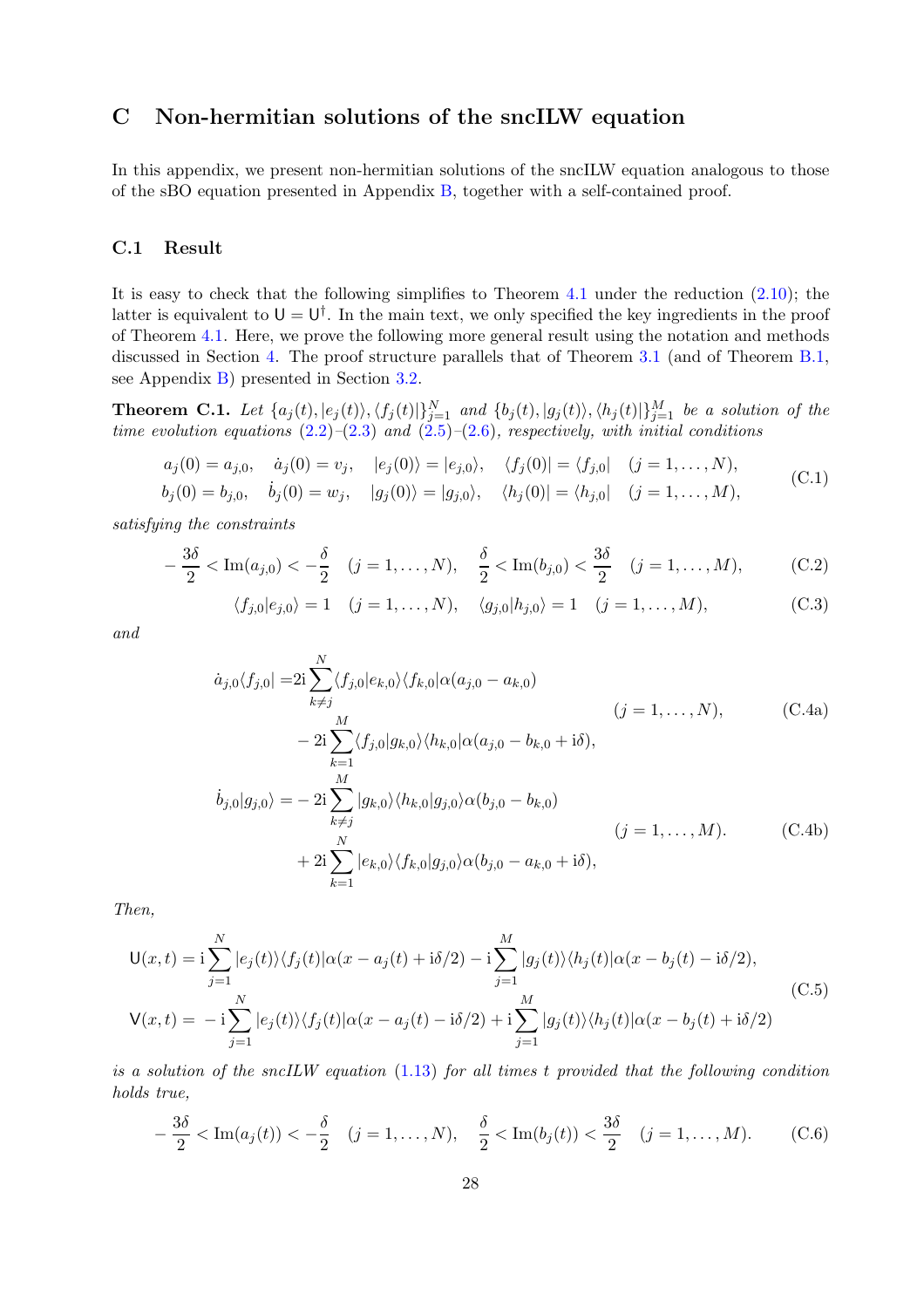## <span id="page-27-0"></span>C Non-hermitian solutions of the sncILW equation

In this appendix, we present non-hermitian solutions of the sncILW equation analogous to those of the sBO equation presented in Appendix [B,](#page-24-1) together with a self-contained proof.

#### C.1 Result

It is easy to check that the following simplifies to Theorem [4.1](#page-20-0) under the reduction [\(2.10\)](#page-10-7); the latter is equivalent to  $U = U^{\dagger}$ . In the main text, we only specified the key ingredients in the proof of Theorem [4.1.](#page-20-0) Here, we prove the following more general result using the notation and methods discussed in Section [4.](#page-20-1) The proof structure parallels that of Theorem [3.1](#page-14-0) (and of Theorem [B.1,](#page-25-0) see Appendix [B\)](#page-24-1) presented in Section [3.2.](#page-16-0)

<span id="page-27-1"></span>**Theorem C.1.** Let  $\{a_j(t), |e_j(t)\rangle, \langle f_j(t)|\}_{j=1}^N$  and  $\{b_j(t), |g_j(t)\rangle, \langle h_j(t)|\}_{j=1}^M$  be a solution of the *time evolution equations* [\(2.2\)](#page-9-4)*–*[\(2.3\)](#page-9-3) *and* [\(2.5\)](#page-9-5)*–*[\(2.6\)](#page-9-6)*, respectively, with initial conditions*

$$
a_j(0) = a_{j,0}, \quad \dot{a}_j(0) = v_j, \quad |e_j(0)\rangle = |e_{j,0}\rangle, \quad \langle f_j(0)| = \langle f_{j,0}| \quad (j = 1, \dots, N),
$$
\n
$$
a_j(0) = a_{j,0}, \quad \dot{a}_j(0) = v_j, \quad |e_j(0)\rangle = |e_{j,0}\rangle, \quad \langle f_j(0)| = \langle f_{j,0}| \quad (j = 1, \dots, N),
$$
\n
$$
(C.1)
$$

$$
b_j(0) = b_{j,0},
$$
  $\dot{b}_j(0) = w_j,$   $|g_j(0)\rangle = |g_{j,0}\rangle,$   $\langle h_j(0)| = \langle h_{j,0}| (j = 1,...,M),$  (0.1)

*satisfying the constraints*

$$
-\frac{3\delta}{2} < \text{Im}(a_{j,0}) < -\frac{\delta}{2} \quad (j = 1, \dots, N), \quad \frac{\delta}{2} < \text{Im}(b_{j,0}) < \frac{3\delta}{2} \quad (j = 1, \dots, M), \tag{C.2}
$$

$$
\langle f_{j,0}|e_{j,0}\rangle = 1 \quad (j = 1,..., N), \quad \langle g_{j,0}|h_{j,0}\rangle = 1 \quad (j = 1,..., M),
$$
 (C.3)

*and*

$$
\dot{a}_{j,0}\langle f_{j,0}| = 2i \sum_{k \neq j}^{N} \langle f_{j,0}|e_{k,0}\rangle \langle f_{k,0}|\alpha(a_{j,0} - a_{k,0})
$$
\n
$$
- 2i \sum_{k=1}^{M} \langle f_{j,0}|g_{k,0}\rangle \langle h_{k,0}|\alpha(a_{j,0} - b_{k,0} + i\delta),
$$
\n
$$
\dot{b}_{j,0}|g_{j,0}\rangle = -2i \sum_{k \neq j}^{M} |g_{k,0}\rangle \langle h_{k,0}|g_{j,0}\rangle \alpha(b_{j,0} - b_{k,0})
$$
\n
$$
(j = 1, ..., M).
$$
\n(C.4b)\n
$$
+ 2i \sum_{k=1}^{N} |e_{k,0}\rangle \langle f_{k,0}|g_{j,0}\rangle \alpha(b_{j,0} - a_{k,0} + i\delta),
$$

*Then,*

<span id="page-27-3"></span>
$$
U(x,t) = i \sum_{j=1}^{N} |e_j(t)\rangle \langle f_j(t)|\alpha(x - a_j(t) + i\delta/2) - i \sum_{j=1}^{M} |g_j(t)\rangle \langle h_j(t)|\alpha(x - b_j(t) - i\delta/2),
$$
  
\n
$$
V(x,t) = -i \sum_{j=1}^{N} |e_j(t)\rangle \langle f_j(t)|\alpha(x - a_j(t) - i\delta/2) + i \sum_{j=1}^{M} |g_j(t)\rangle \langle h_j(t)|\alpha(x - b_j(t) + i\delta/2)
$$
\n(C.5)

*is a solution of the sncILW equation* [\(1.13\)](#page-5-0) *for all times* t *provided that the following condition holds true,*

<span id="page-27-2"></span>
$$
-\frac{3\delta}{2} < \text{Im}(a_j(t)) < -\frac{\delta}{2} \quad (j = 1, \dots, N), \quad \frac{\delta}{2} < \text{Im}(b_j(t)) < \frac{3\delta}{2} \quad (j = 1, \dots, M). \tag{C.6}
$$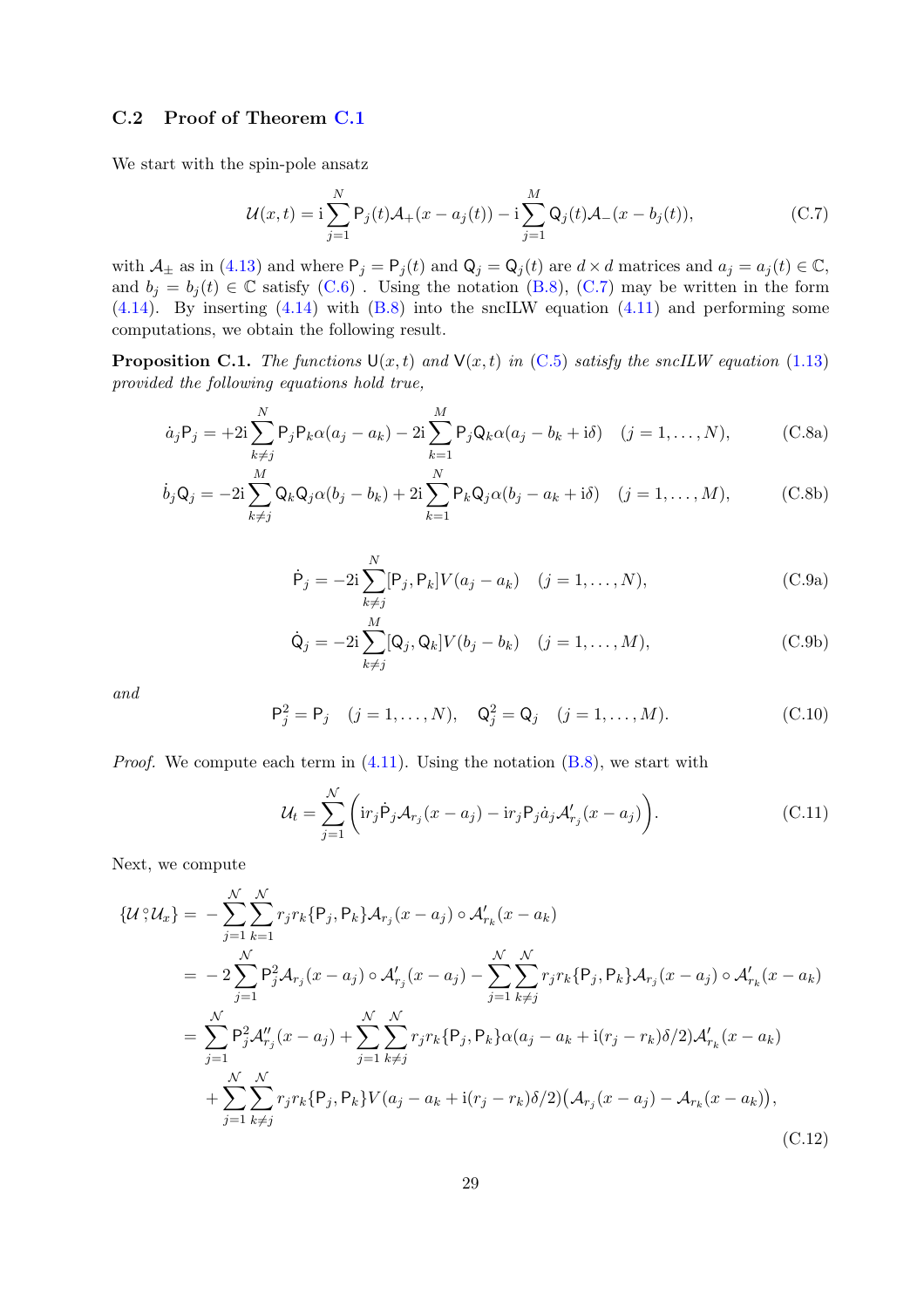### C.2 Proof of Theorem [C.1](#page-27-1)

We start with the spin-pole ansatz

<span id="page-28-0"></span>
$$
\mathcal{U}(x,t) = \mathbf{i} \sum_{j=1}^{N} \mathsf{P}_j(t) \mathcal{A}_+(x - a_j(t)) - \mathbf{i} \sum_{j=1}^{M} \mathsf{Q}_j(t) \mathcal{A}_-(x - b_j(t)),
$$
\n(C.7)

with  $\mathcal{A}_{\pm}$  as in [\(4.13\)](#page-21-3) and where  $P_j = P_j(t)$  and  $Q_j = Q_j(t)$  are  $d \times d$  matrices and  $a_j = a_j(t) \in \mathbb{C}$ , and  $b_j = b_j(t) \in \mathbb{C}$  satisfy [\(C.6\)](#page-27-2). Using the notation [\(B.8\)](#page-25-3), [\(C.7\)](#page-28-0) may be written in the form  $(4.14)$ . By inserting  $(4.14)$  with  $(B.8)$  into the sncILW equation  $(4.11)$  and performing some computations, we obtain the following result.

<span id="page-28-6"></span>**Proposition C.1.** *The functions*  $U(x,t)$  *and*  $V(x,t)$  *in* [\(C.5\)](#page-27-3) *satisfy the sncILW equation* [\(1.13\)](#page-5-0) *provided the following equations hold true,*

$$
\dot{a}_j P_j = +2i \sum_{k \neq j}^N P_j P_k \alpha(a_j - a_k) - 2i \sum_{k=1}^M P_j Q_k \alpha(a_j - b_k + i\delta) \quad (j = 1, ..., N), \tag{C.8a}
$$

<span id="page-28-4"></span>
$$
\dot{b}_j \mathbf{Q}_j = -2\mathbf{i} \sum_{k \neq j}^M \mathbf{Q}_k \mathbf{Q}_j \alpha (b_j - b_k) + 2\mathbf{i} \sum_{k=1}^N \mathbf{P}_k \mathbf{Q}_j \alpha (b_j - a_k + \mathbf{i} \delta) \quad (j = 1, ..., M), \tag{C.8b}
$$

<span id="page-28-3"></span>
$$
\dot{\mathsf{P}}_j = -2\mathbf{i} \sum_{k \neq j}^N [\mathsf{P}_j, \mathsf{P}_k] V(a_j - a_k) \quad (j = 1, ..., N),
$$
\n(C.9a)

$$
\dot{\mathbf{Q}}_j = -2\mathbf{i}\sum_{k\neq j}^M [\mathbf{Q}_j, \mathbf{Q}_k] V(b_j - b_k) \quad (j = 1, \dots, M), \tag{C.9b}
$$

*and*

<span id="page-28-5"></span>
$$
\mathsf{P}_{j}^{2} = \mathsf{P}_{j} \quad (j = 1, ..., N), \quad \mathsf{Q}_{j}^{2} = \mathsf{Q}_{j} \quad (j = 1, ..., M). \tag{C.10}
$$

*Proof.* We compute each term in  $(4.11)$ . Using the notation  $(B.8)$ , we start with

<span id="page-28-2"></span><span id="page-28-1"></span>
$$
\mathcal{U}_t = \sum_{j=1}^{\mathcal{N}} \left( \text{ir}_j \dot{\mathsf{P}}_j \mathcal{A}_{r_j}(x - a_j) - \text{ir}_j \mathsf{P}_j \dot{a}_j \mathcal{A}'_{r_j}(x - a_j) \right). \tag{C.11}
$$

Next, we compute

$$
\{U^{\circ}\mathcal{U}_{x}\} = -\sum_{j=1}^{N} \sum_{k=1}^{N} r_{j} r_{k} \{P_{j}, P_{k}\} \mathcal{A}_{r_{j}}(x - a_{j}) \circ \mathcal{A}'_{r_{k}}(x - a_{k})
$$
  
\n
$$
= -2 \sum_{j=1}^{N} P_{j}^{2} \mathcal{A}_{r_{j}}(x - a_{j}) \circ \mathcal{A}'_{r_{j}}(x - a_{j}) - \sum_{j=1}^{N} \sum_{k \neq j}^{N} r_{j} r_{k} \{P_{j}, P_{k}\} \mathcal{A}_{r_{j}}(x - a_{j}) \circ \mathcal{A}'_{r_{k}}(x - a_{k})
$$
  
\n
$$
= \sum_{j=1}^{N} P_{j}^{2} \mathcal{A}''_{r_{j}}(x - a_{j}) + \sum_{j=1}^{N} \sum_{k \neq j}^{N} r_{j} r_{k} \{P_{j}, P_{k}\} \alpha(a_{j} - a_{k} + i(r_{j} - r_{k})\delta/2) \mathcal{A}'_{r_{k}}(x - a_{k})
$$
  
\n
$$
+ \sum_{j=1}^{N} \sum_{k \neq j}^{N} r_{j} r_{k} \{P_{j}, P_{k}\} V(a_{j} - a_{k} + i(r_{j} - r_{k})\delta/2) (\mathcal{A}_{r_{j}}(x - a_{j}) - \mathcal{A}_{r_{k}}(x - a_{k})),
$$
\n(C.12)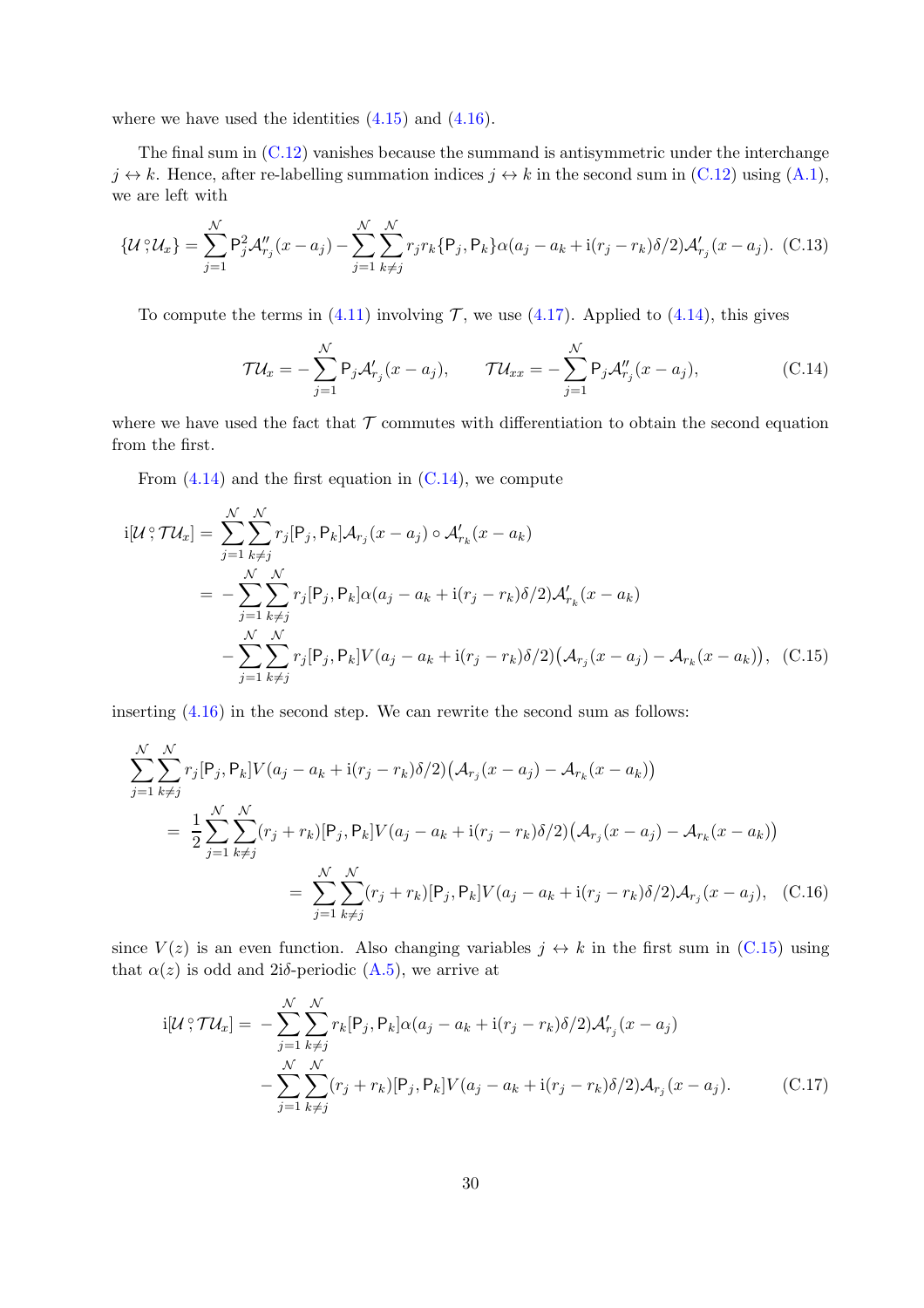where we have used the identities  $(4.15)$  and  $(4.16)$ .

The final sum in [\(C.12\)](#page-28-1) vanishes because the summand is antisymmetric under the interchange  $j \leftrightarrow k$ . Hence, after re-labelling summation indices  $j \leftrightarrow k$  in the second sum in [\(C.12\)](#page-28-1) using [\(A.1\)](#page-24-4), we are left with

<span id="page-29-2"></span>
$$
\{\mathcal{U}\,;\mathcal{U}_x\} = \sum_{j=1}^{\mathcal{N}} \mathsf{P}_j^2 \mathcal{A}''_{r_j}(x - a_j) - \sum_{j=1}^{\mathcal{N}} \sum_{k \neq j}^{\mathcal{N}} r_j r_k \{\mathsf{P}_j, \mathsf{P}_k\} \alpha(a_j - a_k + \mathrm{i} (r_j - r_k) \delta/2) \mathcal{A}'_{r_j}(x - a_j). \tag{C.13}
$$

To compute the terms in [\(4.11\)](#page-21-1) involving  $\mathcal{T}$ , we use [\(4.17\)](#page-22-4). Applied to [\(4.14\)](#page-21-4), this gives

<span id="page-29-1"></span><span id="page-29-0"></span>
$$
\mathcal{T}U_x = -\sum_{j=1}^{\mathcal{N}} \mathsf{P}_j \mathcal{A}'_{r_j}(x - a_j), \qquad \mathcal{T}U_{xx} = -\sum_{j=1}^{\mathcal{N}} \mathsf{P}_j \mathcal{A}''_{r_j}(x - a_j), \tag{C.14}
$$

where we have used the fact that  $\mathcal T$  commutes with differentiation to obtain the second equation from the first.

From  $(4.14)$  and the first equation in  $(C.14)$ , we compute

$$
i[\mathcal{U}^{\circ}\mathcal{T}\mathcal{U}_x] = \sum_{j=1}^{N} \sum_{k \neq j}^{N} r_j [P_j, P_k] \mathcal{A}_{r_j}(x - a_j) \circ \mathcal{A}'_{r_k}(x - a_k)
$$
  
= 
$$
- \sum_{j=1}^{N} \sum_{k \neq j}^{N} r_j [P_j, P_k] \alpha(a_j - a_k + i(r_j - r_k)\delta/2) \mathcal{A}'_{r_k}(x - a_k)
$$
  

$$
- \sum_{j=1}^{N} \sum_{k \neq j}^{N} r_j [P_j, P_k] V(a_j - a_k + i(r_j - r_k)\delta/2) (\mathcal{A}_{r_j}(x - a_j) - \mathcal{A}_{r_k}(x - a_k)), \quad (C.15)
$$

inserting [\(4.16\)](#page-22-2) in the second step. We can rewrite the second sum as follows:

$$
\sum_{j=1}^{N} \sum_{k \neq j}^{N} r_j [P_j, P_k] V(a_j - a_k + i(r_j - r_k) \delta/2) (\mathcal{A}_{r_j}(x - a_j) - \mathcal{A}_{r_k}(x - a_k))
$$
  
= 
$$
\frac{1}{2} \sum_{j=1}^{N} \sum_{k \neq j}^{N} (r_j + r_k) [P_j, P_k] V(a_j - a_k + i(r_j - r_k) \delta/2) (\mathcal{A}_{r_j}(x - a_j) - \mathcal{A}_{r_k}(x - a_k))
$$
  
= 
$$
\sum_{j=1}^{N} \sum_{k \neq j}^{N} (r_j + r_k) [P_j, P_k] V(a_j - a_k + i(r_j - r_k) \delta/2) \mathcal{A}_{r_j}(x - a_j), \quad (C.16)
$$

since  $V(z)$  is an even function. Also changing variables  $j \leftrightarrow k$  in the first sum in [\(C.15\)](#page-29-1) using that  $\alpha(z)$  is odd and 2iδ-periodic [\(A.5\)](#page-24-7), we arrive at

<span id="page-29-3"></span>
$$
i[\mathcal{U}\,;\mathcal{T}\mathcal{U}_x] = -\sum_{j=1}^{\mathcal{N}} \sum_{k\neq j}^{\mathcal{N}} r_k[\mathsf{P}_j,\mathsf{P}_k] \alpha(a_j - a_k + \mathrm{i}(r_j - r_k)\delta/2) \mathcal{A}_{r_j}'(x - a_j)
$$

$$
-\sum_{j=1}^{\mathcal{N}} \sum_{k\neq j}^{\mathcal{N}} (r_j + r_k)[\mathsf{P}_j,\mathsf{P}_k] V(a_j - a_k + \mathrm{i}(r_j - r_k)\delta/2) \mathcal{A}_{r_j}(x - a_j). \tag{C.17}
$$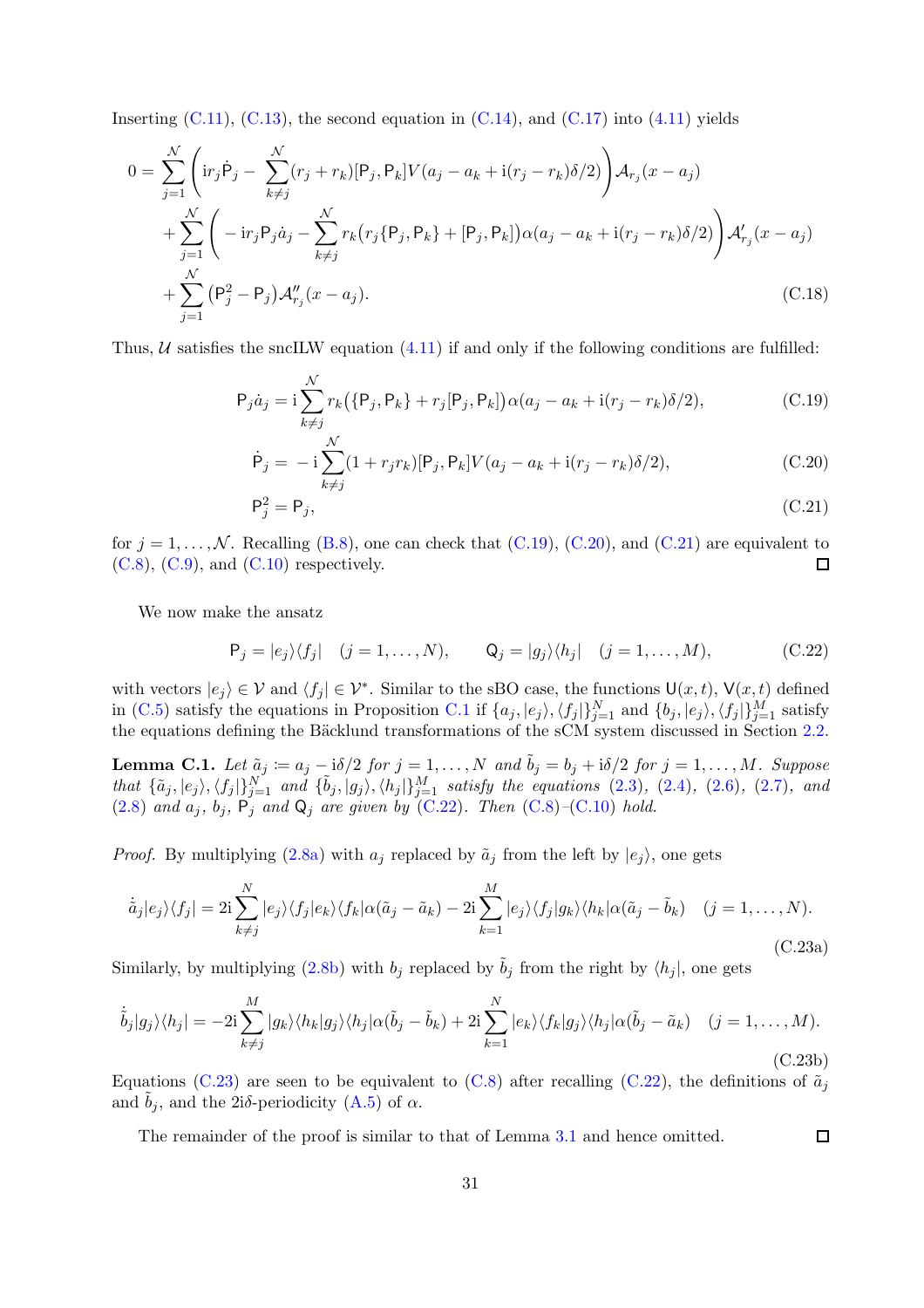Inserting  $(C.11)$ ,  $(C.13)$ , the second equation in  $(C.14)$ , and  $(C.17)$  into  $(4.11)$  yields

$$
0 = \sum_{j=1}^{N} \left( i r_j \dot{P}_j - \sum_{k \neq j}^{N} (r_j + r_k) [P_j, P_k] V(a_j - a_k + i(r_j - r_k) \delta/2) \right) A_{r_j}(x - a_j)
$$
  
+ 
$$
\sum_{j=1}^{N} \left( -i r_j P_j \dot{a}_j - \sum_{k \neq j}^{N} r_k (r_j \{P_j, P_k\} + [P_j, P_k]) \alpha(a_j - a_k + i(r_j - r_k) \delta/2) \right) A'_{r_j}(x - a_j)
$$
  
+ 
$$
\sum_{j=1}^{N} (P_j^2 - P_j) A''_{r_j}(x - a_j).
$$
 (C.18)

Thus,  $U$  satisfies the sncILW equation  $(4.11)$  if and only if the following conditions are fulfilled:

$$
P_j \dot{a}_j = i \sum_{k \neq j}^{N} r_k (\{P_j, P_k\} + r_j [P_j, P_k]) \alpha(a_j - a_k + i(r_j - r_k) \delta/2), \qquad (C.19)
$$

<span id="page-30-1"></span><span id="page-30-0"></span>
$$
\dot{P}_j = -i \sum_{k \neq j}^{N} (1 + r_j r_k) [P_j, P_k] V(a_j - a_k + i(r_j - r_k) \delta/2), \qquad (C.20)
$$

<span id="page-30-2"></span>
$$
\mathsf{P}_j^2 = \mathsf{P}_j,\tag{C.21}
$$

for  $j = 1, ..., N$ . Recalling [\(B.8\)](#page-25-3), one can check that [\(C.19\)](#page-30-0), [\(C.20\)](#page-30-1), and [\(C.21\)](#page-30-2) are equivalent to (C.8), (C.9), and (C.10) respectively.  $(C.8)$ ,  $(C.9)$ , and  $(C.10)$  respectively.

We now make the ansatz

$$
\mathsf{P}_j = |e_j\rangle\langle f_j| \quad (j = 1, \dots, N), \qquad \mathsf{Q}_j = |g_j\rangle\langle h_j| \quad (j = 1, \dots, M), \tag{C.22}
$$

<span id="page-30-3"></span>with vectors  $|e_j\rangle \in \mathcal{V}$  and  $\langle f_j | \in \mathcal{V}^*$ . Similar to the sBO case, the functions  $\mathsf{U}(x,t)$ ,  $\mathsf{V}(x,t)$  defined in [\(C.5\)](#page-27-3) satisfy the equations in Proposition [C.1](#page-28-6) if  $\{a_j, |e_j\rangle, \langle f_j|\}_{j=1}^N$  and  $\{b_j, |e_j\rangle, \langle f_j|\}_{j=1}^M$  satisfy the equations defining the Bäcklund transformations of the sCM system discussed in Section [2.2.](#page-9-1)

**Lemma C.1.** Let  $\tilde{a}_j := a_j - i\delta/2$  for  $j = 1, ..., N$  and  $\tilde{b}_j = b_j + i\delta/2$  for  $j = 1, ..., M$ . Suppose  $that \{\tilde{a}_j, |e_j\rangle, \langle f_j|\}_{j=1}^N$  *and*  $\{\tilde{b}_j, |g_j\rangle, \langle h_j|\}_{j=1}^M$  *satisfy the equations* [\(2.3\)](#page-9-3)*,* [\(2.4\)](#page-9-2)*,* [\(2.6\)](#page-9-6)*,* [\(2.7\)](#page-10-3)*, and*  $(2.8)$  *and*  $a_j$ ,  $b_j$ ,  $P_j$  *and*  $Q_j$  *are given by*  $(C.22)$ *. Then*  $(C.8)$  – $(C.10)$  *hold.* 

*Proof.* By multiplying  $(2.8a)$  with  $a_j$  replaced by  $\tilde{a}_j$  from the left by  $|e_j\rangle$ , one gets

$$
\dot{\tilde{a}}_j|e_j\rangle\langle f_j| = 2i\sum_{k\neq j}^N|e_j\rangle\langle f_j|e_k\rangle\langle f_k|\alpha(\tilde{a}_j - \tilde{a}_k) - 2i\sum_{k=1}^M|e_j\rangle\langle f_j|g_k\rangle\langle h_k|\alpha(\tilde{a}_j - \tilde{b}_k) \quad (j = 1, ..., N).
$$
\n(C.23a)

Similarly, by multiplying [\(2.8b\)](#page-10-5) with  $b_j$  replaced by  $\tilde{b}_j$  from the right by  $\langle h_j |$ , one gets

$$
\dot{\tilde{b}}_j|g_j\rangle\langle h_j| = -2i\sum_{k\neq j}^M|g_k\rangle\langle h_k|g_j\rangle\langle h_j|\alpha(\tilde{b}_j - \tilde{b}_k) + 2i\sum_{k=1}^N|e_k\rangle\langle f_k|g_j\rangle\langle h_j|\alpha(\tilde{b}_j - \tilde{a}_k) \quad (j = 1, ..., M).
$$
\n(C.23b)

Equations [\(C.23\)](#page-30-4) are seen to be equivalent to [\(C.8\)](#page-28-3) after recalling [\(C.22\)](#page-30-3), the definitions of  $\tilde{a}_i$ and  $b_i$ , and the 2iδ-periodicity [\(A.5\)](#page-24-7) of  $\alpha$ .

<span id="page-30-4"></span> $\Box$ 

The remainder of the proof is similar to that of Lemma [3.1](#page-19-4) and hence omitted.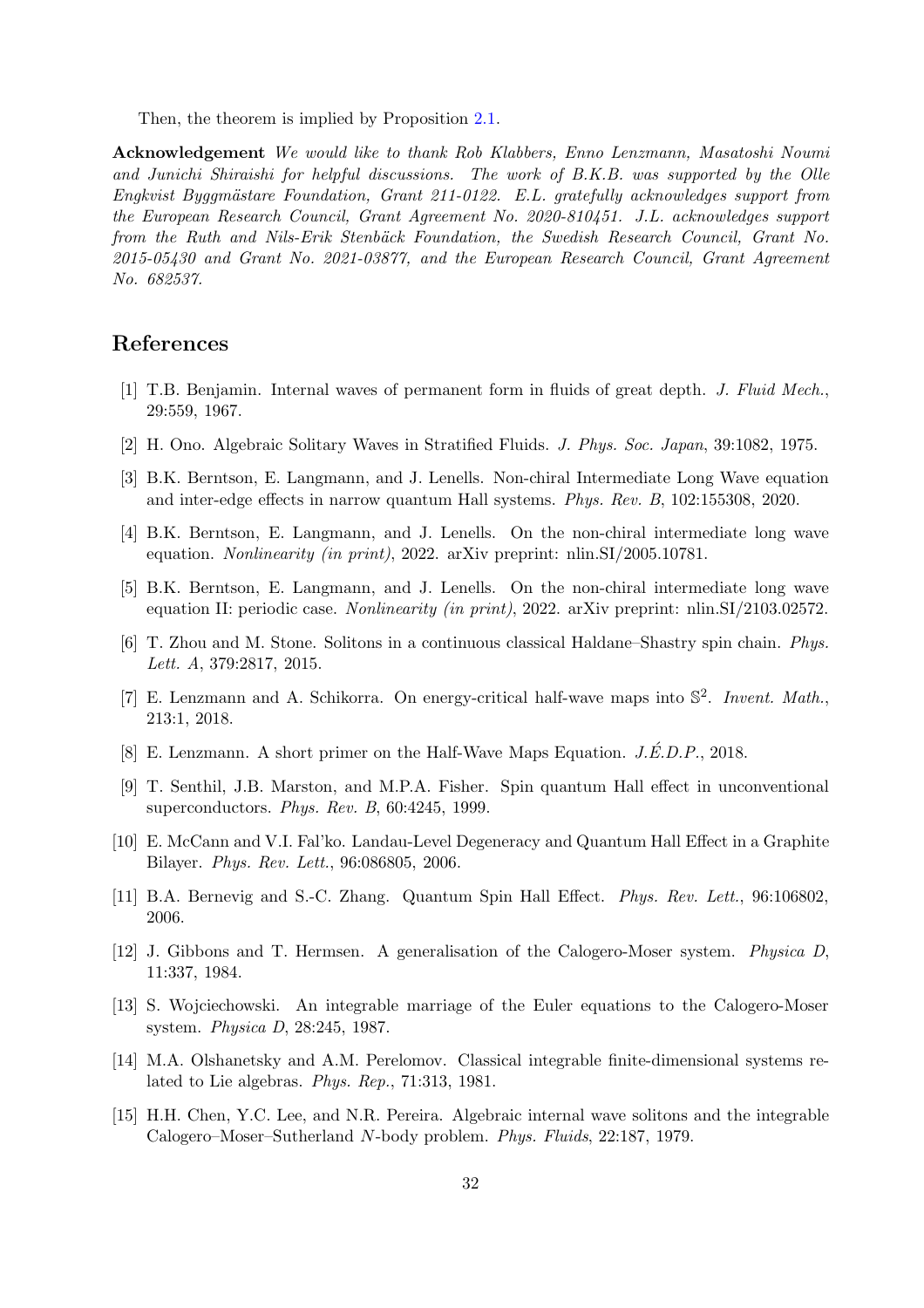Then, the theorem is implied by Proposition [2.1.](#page-10-0)

Acknowledgement *We would like to thank Rob Klabbers, Enno Lenzmann, Masatoshi Noumi and Junichi Shiraishi for helpful discussions. The work of B.K.B. was supported by the Olle Engkvist Byggmästare Foundation, Grant 211-0122. E.L. gratefully acknowledges support from the European Research Council, Grant Agreement No. 2020-810451. J.L. acknowledges support from the Ruth and Nils-Erik Stenbäck Foundation, the Swedish Research Council, Grant No. 2015-05430 and Grant No. 2021-03877, and the European Research Council, Grant Agreement No. 682537.*

## <span id="page-31-0"></span>References

- <span id="page-31-1"></span>[1] T.B. Benjamin. Internal waves of permanent form in fluids of great depth. *J. Fluid Mech.*, 29:559, 1967.
- <span id="page-31-2"></span>[2] H. Ono. Algebraic Solitary Waves in Stratified Fluids. *J. Phys. Soc. Japan*, 39:1082, 1975.
- <span id="page-31-3"></span>[3] B.K. Berntson, E. Langmann, and J. Lenells. Non-chiral Intermediate Long Wave equation and inter-edge effects in narrow quantum Hall systems. *Phys. Rev. B*, 102:155308, 2020.
- <span id="page-31-4"></span>[4] B.K. Berntson, E. Langmann, and J. Lenells. On the non-chiral intermediate long wave equation. *Nonlinearity (in print)*, 2022. arXiv preprint: nlin.SI/2005.10781.
- <span id="page-31-5"></span>[5] B.K. Berntson, E. Langmann, and J. Lenells. On the non-chiral intermediate long wave equation II: periodic case. *Nonlinearity (in print)*, 2022. arXiv preprint: nlin.SI/2103.02572.
- [6] T. Zhou and M. Stone. Solitons in a continuous classical Haldane–Shastry spin chain. *Phys. Lett. A*, 379:2817, 2015.
- <span id="page-31-6"></span>[7] E. Lenzmann and A. Schikorra. On energy-critical half-wave maps into S 2 . *Invent. Math.*, 213:1, 2018.
- <span id="page-31-8"></span><span id="page-31-7"></span>[8] E. Lenzmann. A short primer on the Half-Wave Maps Equation. *J.É.D.P.*, 2018.
- [9] T. Senthil, J.B. Marston, and M.P.A. Fisher. Spin quantum Hall effect in unconventional superconductors. *Phys. Rev. B*, 60:4245, 1999.
- <span id="page-31-9"></span>[10] E. McCann and V.I. Fal'ko. Landau-Level Degeneracy and Quantum Hall Effect in a Graphite Bilayer. *Phys. Rev. Lett.*, 96:086805, 2006.
- <span id="page-31-11"></span><span id="page-31-10"></span>[11] B.A. Bernevig and S.-C. Zhang. Quantum Spin Hall Effect. *Phys. Rev. Lett.*, 96:106802, 2006.
- [12] J. Gibbons and T. Hermsen. A generalisation of the Calogero-Moser system. *Physica D*, 11:337, 1984.
- <span id="page-31-12"></span>[13] S. Wojciechowski. An integrable marriage of the Euler equations to the Calogero-Moser system. *Physica D*, 28:245, 1987.
- <span id="page-31-13"></span>[14] M.A. Olshanetsky and A.M. Perelomov. Classical integrable finite-dimensional systems related to Lie algebras. *Phys. Rep.*, 71:313, 1981.
- <span id="page-31-14"></span>[15] H.H. Chen, Y.C. Lee, and N.R. Pereira. Algebraic internal wave solitons and the integrable Calogero–Moser–Sutherland N-body problem. *Phys. Fluids*, 22:187, 1979.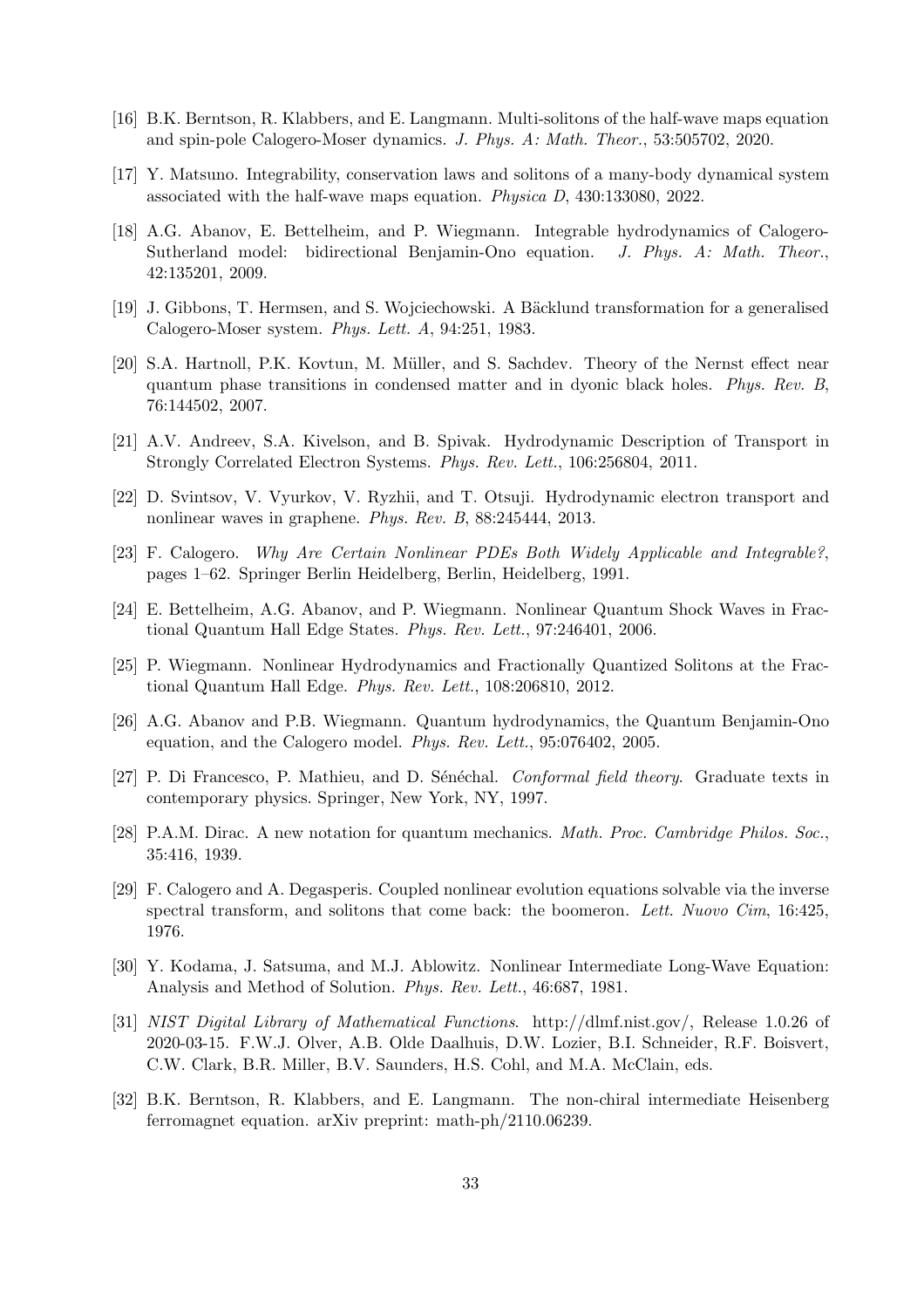- <span id="page-32-1"></span><span id="page-32-0"></span>[16] B.K. Berntson, R. Klabbers, and E. Langmann. Multi-solitons of the half-wave maps equation and spin-pole Calogero-Moser dynamics. *J. Phys. A: Math. Theor.*, 53:505702, 2020.
- <span id="page-32-2"></span>[17] Y. Matsuno. Integrability, conservation laws and solitons of a many-body dynamical system associated with the half-wave maps equation. *Physica D*, 430:133080, 2022.
- [18] A.G. Abanov, E. Bettelheim, and P. Wiegmann. Integrable hydrodynamics of Calogero-Sutherland model: bidirectional Benjamin-Ono equation. *J. Phys. A: Math. Theor.*, 42:135201, 2009.
- <span id="page-32-4"></span><span id="page-32-3"></span>[19] J. Gibbons, T. Hermsen, and S. Wojciechowski. A Bäcklund transformation for a generalised Calogero-Moser system. *Phys. Lett. A*, 94:251, 1983.
- [20] S.A. Hartnoll, P.K. Kovtun, M. Müller, and S. Sachdev. Theory of the Nernst effect near quantum phase transitions in condensed matter and in dyonic black holes. *Phys. Rev. B*, 76:144502, 2007.
- <span id="page-32-6"></span><span id="page-32-5"></span>[21] A.V. Andreev, S.A. Kivelson, and B. Spivak. Hydrodynamic Description of Transport in Strongly Correlated Electron Systems. *Phys. Rev. Lett.*, 106:256804, 2011.
- <span id="page-32-7"></span>[22] D. Svintsov, V. Vyurkov, V. Ryzhii, and T. Otsuji. Hydrodynamic electron transport and nonlinear waves in graphene. *Phys. Rev. B*, 88:245444, 2013.
- <span id="page-32-8"></span>[23] F. Calogero. *Why Are Certain Nonlinear PDEs Both Widely Applicable and Integrable?*, pages 1–62. Springer Berlin Heidelberg, Berlin, Heidelberg, 1991.
- <span id="page-32-9"></span>[24] E. Bettelheim, A.G. Abanov, and P. Wiegmann. Nonlinear Quantum Shock Waves in Fractional Quantum Hall Edge States. *Phys. Rev. Lett.*, 97:246401, 2006.
- <span id="page-32-10"></span>[25] P. Wiegmann. Nonlinear Hydrodynamics and Fractionally Quantized Solitons at the Fractional Quantum Hall Edge. *Phys. Rev. Lett.*, 108:206810, 2012.
- [26] A.G. Abanov and P.B. Wiegmann. Quantum hydrodynamics, the Quantum Benjamin-Ono equation, and the Calogero model. *Phys. Rev. Lett.*, 95:076402, 2005.
- <span id="page-32-12"></span><span id="page-32-11"></span>[27] P. Di Francesco, P. Mathieu, and D. Sénéchal. *Conformal field theory*. Graduate texts in contemporary physics. Springer, New York, NY, 1997.
- <span id="page-32-13"></span>[28] P.A.M. Dirac. A new notation for quantum mechanics. *Math. Proc. Cambridge Philos. Soc.*, 35:416, 1939.
- [29] F. Calogero and A. Degasperis. Coupled nonlinear evolution equations solvable via the inverse spectral transform, and solitons that come back: the boomeron. *Lett. Nuovo Cim*, 16:425, 1976.
- <span id="page-32-15"></span><span id="page-32-14"></span>[30] Y. Kodama, J. Satsuma, and M.J. Ablowitz. Nonlinear Intermediate Long-Wave Equation: Analysis and Method of Solution. *Phys. Rev. Lett.*, 46:687, 1981.
- [31] *NIST Digital Library of Mathematical Functions*. http://dlmf.nist.gov/, Release 1.0.26 of 2020-03-15. F.W.J. Olver, A.B. Olde Daalhuis, D.W. Lozier, B.I. Schneider, R.F. Boisvert, C.W. Clark, B.R. Miller, B.V. Saunders, H.S. Cohl, and M.A. McClain, eds.
- <span id="page-32-16"></span>[32] B.K. Berntson, R. Klabbers, and E. Langmann. The non-chiral intermediate Heisenberg ferromagnet equation. arXiv preprint: math-ph/2110.06239.